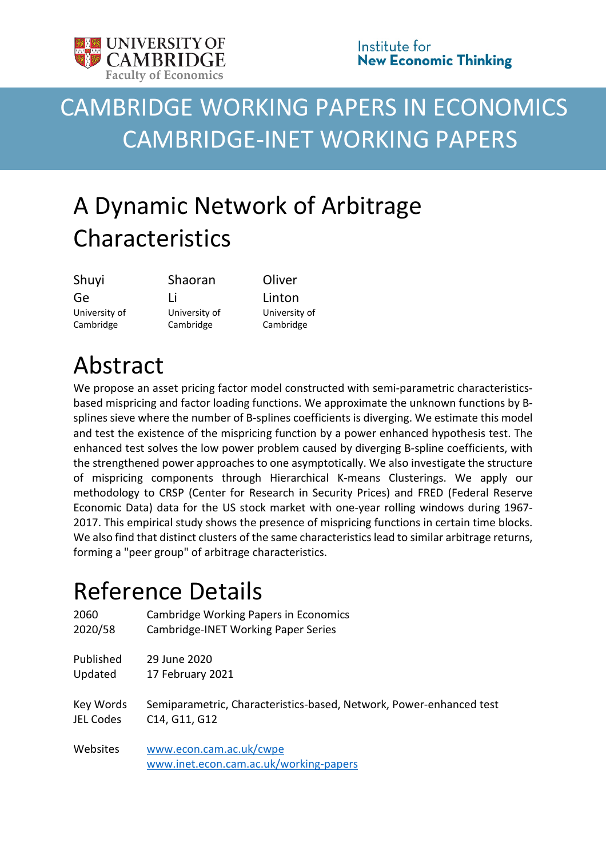

# CAMBRIDGE WORKING PAPERS IN ECONOMICS CAMBRIDGE-INET WORKING PAPERS

# A Dynamic Network of Arbitrage Characteristics

| Shuyi         |  |
|---------------|--|
| Ge            |  |
| University of |  |
| Cambridge     |  |

Shaoran Li University of Cambridge

**Oliver** Linton University of Cambridge

# Abstract

We propose an asset pricing factor model constructed with semi-parametric characteristicsbased mispricing and factor loading functions. We approximate the unknown functions by Bsplines sieve where the number of B-splines coefficients is diverging. We estimate this model and test the existence of the mispricing function by a power enhanced hypothesis test. The enhanced test solves the low power problem caused by diverging B-spline coefficients, with the strengthened power approaches to one asymptotically. We also investigate the structure of mispricing components through Hierarchical K-means Clusterings. We apply our methodology to CRSP (Center for Research in Security Prices) and FRED (Federal Reserve Economic Data) data for the US stock market with one-year rolling windows during 1967- 2017. This empirical study shows the presence of mispricing functions in certain time blocks. We also find that distinct clusters of the same characteristics lead to similar arbitrage returns, forming a "peer group" of arbitrage characteristics.

# Reference Details

| 2060      | Cambridge Working Papers in Economics                               |
|-----------|---------------------------------------------------------------------|
| 2020/58   | Cambridge-INET Working Paper Series                                 |
| Published | 29 June 2020                                                        |
| Updated   | 17 February 2021                                                    |
| Key Words | Semiparametric, Characteristics-based, Network, Power-enhanced test |
| JEL Codes | C14, G11, G12                                                       |
| Websites  | www.econ.cam.ac.uk/cwpe<br>www.inet.econ.cam.ac.uk/working-papers   |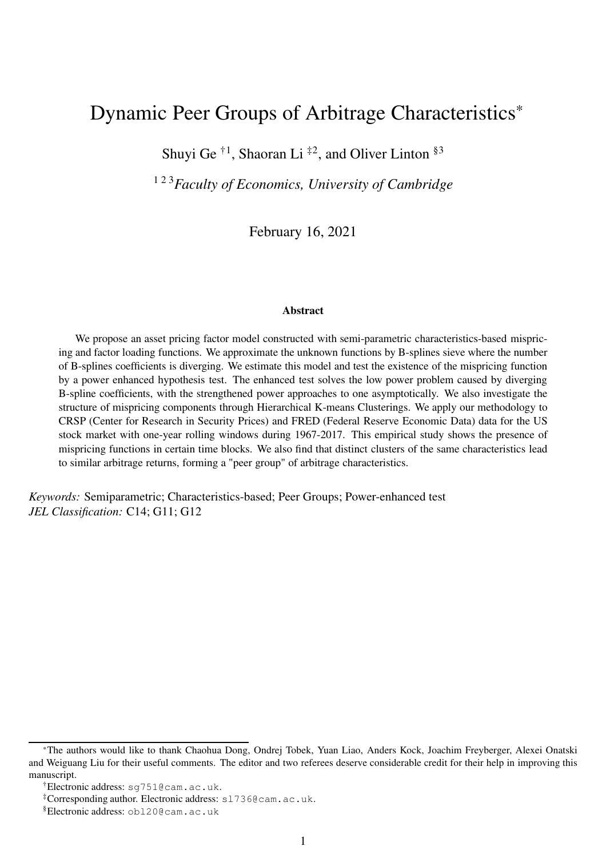# Dynamic Peer Groups of Arbitrage Characteristics\*

Shuyi Ge<sup> $\dagger$ 1</sup>, Shaoran Li<sup> $\ddagger$ 2</sup>, and Oliver Linton <sup>§3</sup>

1 2 3*Faculty of Economics, University of Cambridge*

February 16, 2021

#### Abstract

We propose an asset pricing factor model constructed with semi-parametric characteristics-based mispricing and factor loading functions. We approximate the unknown functions by B-splines sieve where the number of B-splines coefficients is diverging. We estimate this model and test the existence of the mispricing function by a power enhanced hypothesis test. The enhanced test solves the low power problem caused by diverging B-spline coefficients, with the strengthened power approaches to one asymptotically. We also investigate the structure of mispricing components through Hierarchical K-means Clusterings. We apply our methodology to CRSP (Center for Research in Security Prices) and FRED (Federal Reserve Economic Data) data for the US stock market with one-year rolling windows during 1967-2017. This empirical study shows the presence of mispricing functions in certain time blocks. We also find that distinct clusters of the same characteristics lead to similar arbitrage returns, forming a "peer group" of arbitrage characteristics.

*Keywords:* Semiparametric; Characteristics-based; Peer Groups; Power-enhanced test *JEL Classification:* C14; G11; G12

<sup>\*</sup>The authors would like to thank Chaohua Dong, Ondrej Tobek, Yuan Liao, Anders Kock, Joachim Freyberger, Alexei Onatski and Weiguang Liu for their useful comments. The editor and two referees deserve considerable credit for their help in improving this manuscript.

<sup>†</sup>Electronic address: sg751@cam.ac.uk.

<sup>‡</sup>Corresponding author. Electronic address: sl736@cam.ac.uk.

<sup>§</sup>Electronic address: obl20@cam.ac.uk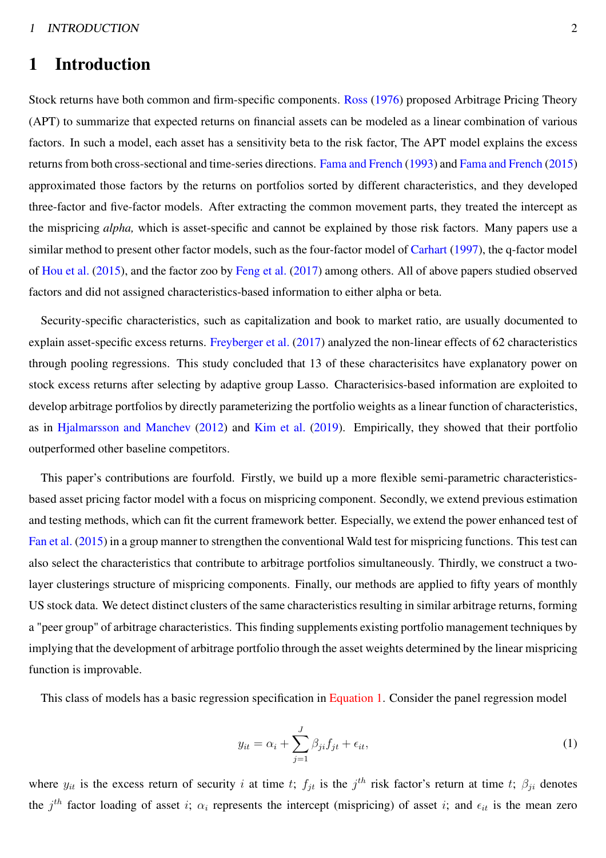# 1 Introduction

Stock returns have both common and firm-specific components. [Ross](#page-48-0) [\(1976](#page-48-0)) proposed Arbitrage Pricing Theory (APT) to summarize that expected returns on financial assets can be modeled as a linear combination of various factors. In such a model, each asset has a sensitivity beta to the risk factor, The APT model explains the excess returns from both cross-sectional and time-series directions. [Fama and French](#page-47-0) [\(1993\)](#page-47-0) and [Fama and French](#page-47-1) [\(2015](#page-47-1)) approximated those factors by the returns on portfolios sorted by different characteristics, and they developed three-factor and five-factor models. After extracting the common movement parts, they treated the intercept as the mispricing *alpha,* which is asset-specific and cannot be explained by those risk factors. Many papers use a similar method to present other factor models, such as the four-factor model of [Carhart](#page-47-2) [\(1997\)](#page-47-2), the q-factor model of [Hou et al.](#page-48-1) [\(2015\)](#page-48-1), and the factor zoo by [Feng et al.](#page-47-3) [\(2017](#page-47-3)) among others. All of above papers studied observed factors and did not assigned characteristics-based information to either alpha or beta.

Security-specific characteristics, such as capitalization and book to market ratio, are usually documented to explain asset-specific excess returns. [Freyberger et al.](#page-47-4) [\(2017](#page-47-4)) analyzed the non-linear effects of 62 characteristics through pooling regressions. This study concluded that 13 of these characterisitcs have explanatory power on stock excess returns after selecting by adaptive group Lasso. Characterisics-based information are exploited to develop arbitrage portfolios by directly parameterizing the portfolio weights as a linear function of characteristics, as in [Hjalmarsson and Manchev](#page-47-5) [\(2012\)](#page-47-5) and [Kim et al.](#page-48-2) [\(2019](#page-48-2)). Empirically, they showed that their portfolio outperformed other baseline competitors.

This paper's contributions are fourfold. Firstly, we build up a more flexible semi-parametric characteristicsbased asset pricing factor model with a focus on mispricing component. Secondly, we extend previous estimation and testing methods, which can fit the current framework better. Especially, we extend the power enhanced test of [Fan et al.](#page-47-6) [\(2015\)](#page-47-6) in a group manner to strengthen the conventional Wald test for mispricing functions. This test can also select the characteristics that contribute to arbitrage portfolios simultaneously. Thirdly, we construct a twolayer clusterings structure of mispricing components. Finally, our methods are applied to fifty years of monthly US stock data. We detect distinct clusters of the same characteristics resulting in similar arbitrage returns, forming a "peer group" of arbitrage characteristics. This finding supplements existing portfolio management techniques by implying that the development of arbitrage portfolio through the asset weights determined by the linear mispricing function is improvable.

This class of models has a basic regression specification in [Equation 1.](#page-2-0) Consider the panel regression model

<span id="page-2-0"></span>
$$
y_{it} = \alpha_i + \sum_{j=1}^{J} \beta_{ji} f_{jt} + \epsilon_{it}, \qquad (1)
$$

where  $y_{it}$  is the excess return of security i at time t;  $f_{jt}$  is the  $j^{th}$  risk factor's return at time t;  $\beta_{ji}$  denotes the  $j<sup>th</sup>$  factor loading of asset i;  $\alpha_i$  represents the intercept (mispricing) of asset i; and  $\epsilon_{it}$  is the mean zero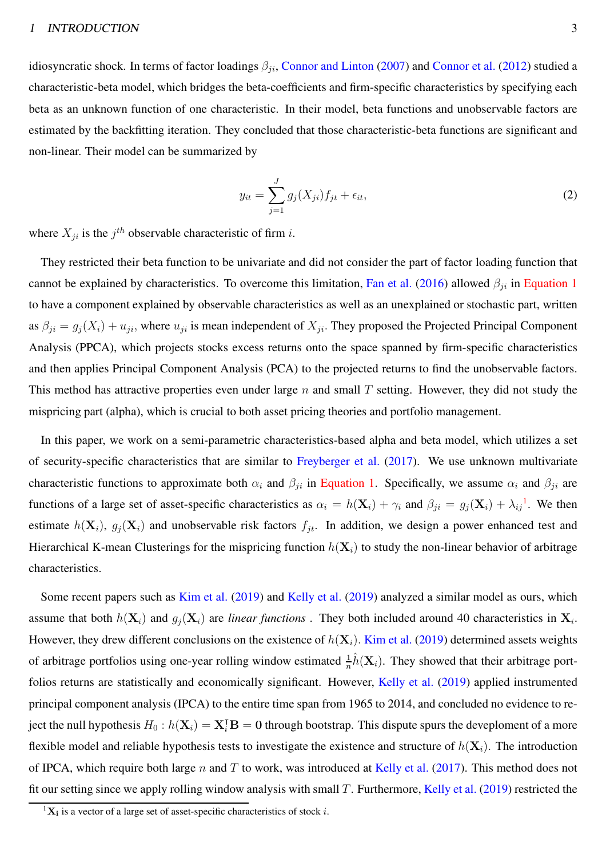idiosyncratic shock. In terms of factor loadings  $\beta_{ji}$ , [Connor and Linton](#page-47-7) [\(2007\)](#page-47-7) and [Connor et al.](#page-47-8) [\(2012](#page-47-8)) studied a characteristic-beta model, which bridges the beta-coefficients and firm-specific characteristics by specifying each beta as an unknown function of one characteristic. In their model, beta functions and unobservable factors are estimated by the backfitting iteration. They concluded that those characteristic-beta functions are significant and non-linear. Their model can be summarized by

$$
y_{it} = \sum_{j=1}^{J} g_j(X_{ji}) f_{jt} + \epsilon_{it}, \qquad (2)
$$

where  $X_{ji}$  is the  $j^{th}$  observable characteristic of firm *i*.

They restricted their beta function to be univariate and did not consider the part of factor loading function that cannot be explained by characteristics. To overcome this limitation, [Fan et al.](#page-47-9) [\(2016\)](#page-47-9) allowed  $\beta_{ji}$  in [Equation 1](#page-2-0) to have a component explained by observable characteristics as well as an unexplained or stochastic part, written as  $\beta_{ji} = g_j(X_i) + u_{ji}$ , where  $u_{ji}$  is mean independent of  $X_{ji}$ . They proposed the Projected Principal Component Analysis (PPCA), which projects stocks excess returns onto the space spanned by firm-specific characteristics and then applies Principal Component Analysis (PCA) to the projected returns to find the unobservable factors. This method has attractive properties even under large  $n$  and small  $T$  setting. However, they did not study the mispricing part (alpha), which is crucial to both asset pricing theories and portfolio management.

In this paper, we work on a semi-parametric characteristics-based alpha and beta model, which utilizes a set of security-specific characteristics that are similar to [Freyberger et al.](#page-47-4) [\(2017](#page-47-4)). We use unknown multivariate characteristic functions to approximate both  $\alpha_i$  and  $\beta_{ji}$  in [Equation 1.](#page-2-0) Specifically, we assume  $\alpha_i$  and  $\beta_{ji}$  are functions of a large set of asset-specific characteristics as  $\alpha_i = h(\mathbf{X}_i) + \gamma_i$  and  $\beta_{ji} = g_j(\mathbf{X}_i) + \lambda_{ij}^{-1}$  $\beta_{ji} = g_j(\mathbf{X}_i) + \lambda_{ij}^{-1}$  $\beta_{ji} = g_j(\mathbf{X}_i) + \lambda_{ij}^{-1}$ . We then estimate  $h(\mathbf{X}_i)$ ,  $g_j(\mathbf{X}_i)$  and unobservable risk factors  $f_{jt}$ . In addition, we design a power enhanced test and Hierarchical K-mean Clusterings for the mispricing function  $h(\mathbf{X}_i)$  to study the non-linear behavior of arbitrage characteristics.

Some recent papers such as [Kim et al.](#page-48-2) [\(2019\)](#page-48-2) and [Kelly et al.](#page-48-3) [\(2019\)](#page-48-3) analyzed a similar model as ours, which assume that both  $h(\mathbf{X}_i)$  and  $g_j(\mathbf{X}_i)$  are *linear functions*. They both included around 40 characteristics in  $\mathbf{X}_i$ . However, they drew different conclusions on the existence of  $h(\mathbf{X}_i)$ . [Kim et al.](#page-48-2) [\(2019](#page-48-2)) determined assets weights of arbitrage portfolios using one-year rolling window estimated  $\frac{1}{n}\hat{h}(\mathbf{X}_i)$ . They showed that their arbitrage port-folios returns are statistically and economically significant. However, [Kelly et al.](#page-48-3) [\(2019\)](#page-48-3) applied instrumented principal component analysis (IPCA) to the entire time span from 1965 to 2014, and concluded no evidence to reject the null hypothesis  $H_0$  :  $h(\mathbf{X}_i) = \mathbf{X}_i^{\mathsf{T}} \mathbf{B} = \mathbf{0}$  through bootstrap. This dispute spurs the deveploment of a more flexible model and reliable hypothesis tests to investigate the existence and structure of  $h(\mathbf{X}_i)$ . The introduction of IPCA, which require both large n and T to work, was introduced at [Kelly et al.](#page-48-4) [\(2017](#page-48-4)). This method does not fit our setting since we apply rolling window analysis with small T. Furthermore, [Kelly et al.](#page-48-3) [\(2019\)](#page-48-3) restricted the

<span id="page-3-0"></span> ${}^{1}$ **X**<sub>i</sub> is a vector of a large set of asset-specific characteristics of stock *i*.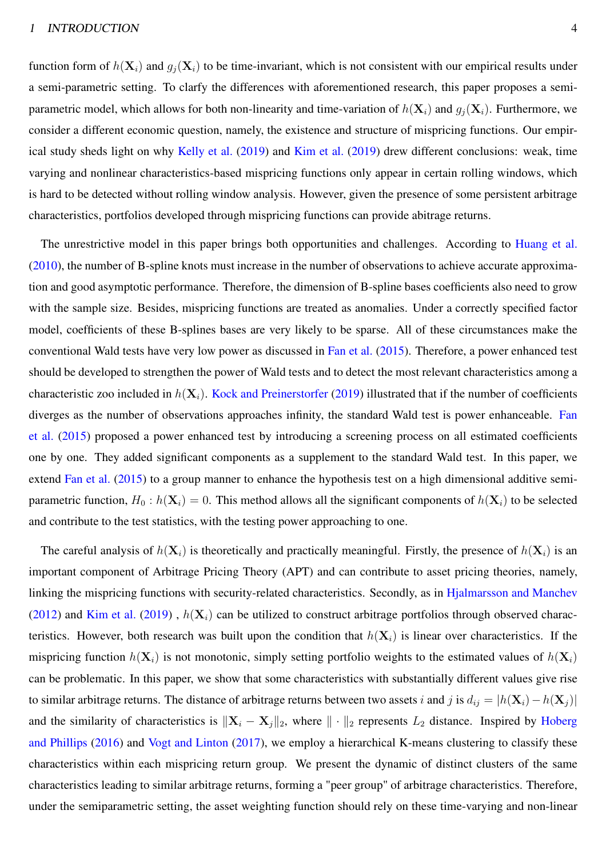function form of  $h(\mathbf{X}_i)$  and  $g_i(\mathbf{X}_i)$  to be time-invariant, which is not consistent with our empirical results under a semi-parametric setting. To clarfy the differences with aforementioned research, this paper proposes a semiparametric model, which allows for both non-linearity and time-variation of  $h(\mathbf{X}_i)$  and  $g_i(\mathbf{X}_i)$ . Furthermore, we consider a different economic question, namely, the existence and structure of mispricing functions. Our empirical study sheds light on why [Kelly et al.](#page-48-3) [\(2019](#page-48-3)) and [Kim et al.](#page-48-2) [\(2019](#page-48-2)) drew different conclusions: weak, time varying and nonlinear characteristics-based mispricing functions only appear in certain rolling windows, which is hard to be detected without rolling window analysis. However, given the presence of some persistent arbitrage characteristics, portfolios developed through mispricing functions can provide abitrage returns.

The unrestrictive model in this paper brings both opportunities and challenges. According to [Huang et al.](#page-48-5) [\(2010](#page-48-5)), the number of B-spline knots must increase in the number of observations to achieve accurate approximation and good asymptotic performance. Therefore, the dimension of B-spline bases coefficients also need to grow with the sample size. Besides, mispricing functions are treated as anomalies. Under a correctly specified factor model, coefficients of these B-splines bases are very likely to be sparse. All of these circumstances make the conventional Wald tests have very low power as discussed in [Fan et al.](#page-47-6) [\(2015](#page-47-6)). Therefore, a power enhanced test should be developed to strengthen the power of Wald tests and to detect the most relevant characteristics among a characteristic zoo included in  $h(\mathbf{X}_i)$ . [Kock and Preinerstorfer](#page-48-6) [\(2019](#page-48-6)) illustrated that if the number of coefficients diver[ges as the number of observations approaches infinity,](#page-47-6) the standard Wald test is power enhanceable. Fan et al. [\(2015\)](#page-47-6) proposed a power enhanced test by introducing a screening process on all estimated coefficients one by one. They added significant components as a supplement to the standard Wald test. In this paper, we extend [Fan et al.](#page-47-6) [\(2015\)](#page-47-6) to a group manner to enhance the hypothesis test on a high dimensional additive semiparametric function,  $H_0$ :  $h(\mathbf{X}_i) = 0$ . This method allows all the significant components of  $h(\mathbf{X}_i)$  to be selected and contribute to the test statistics, with the testing power approaching to one.

The careful analysis of  $h(\mathbf{X}_i)$  is theoretically and practically meaningful. Firstly, the presence of  $h(\mathbf{X}_i)$  is an important component of Arbitrage Pricing Theory (APT) and can contribute to asset pricing theories, namely, linking the mispricing functions with security-related characteristics. Secondly, as in [Hjalmarsson and Manchev](#page-47-5) [\(2012](#page-47-5)) and [Kim et al.](#page-48-2) [\(2019](#page-48-2)),  $h(X_i)$  can be utilized to construct arbitrage portfolios through observed characteristics. However, both research was built upon the condition that  $h(\mathbf{X}_i)$  is linear over characteristics. If the mispricing function  $h(\mathbf{X}_i)$  is not monotonic, simply setting portfolio weights to the estimated values of  $h(\mathbf{X}_i)$ can be problematic. In this paper, we show that some characteristics with substantially different values give rise to similar arbitrage returns. The distance of arbitrage returns between two assets i and j is  $d_{ij} = |h(\mathbf{X}_i) - h(\mathbf{X}_j)|$ and the si[milarity of characteristics is](#page-48-7)  $\|\mathbf{X}_i - \mathbf{X}_j\|_2$ , where  $\|\cdot\|_2$  represents  $L_2$  distance. Inspired by Hoberg and Phillips [\(2016](#page-48-7)) and [Vogt and Linton](#page-48-8) [\(2017\)](#page-48-8), we employ a hierarchical K-means clustering to classify these characteristics within each mispricing return group. We present the dynamic of distinct clusters of the same characteristics leading to similar arbitrage returns, forming a "peer group" of arbitrage characteristics. Therefore, under the semiparametric setting, the asset weighting function should rely on these time-varying and non-linear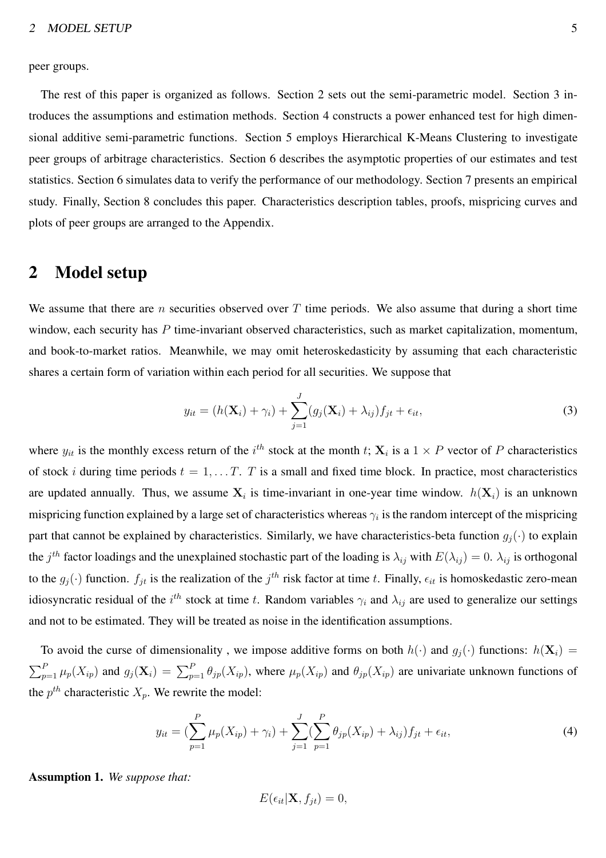peer groups.

The rest of this paper is organized as follows. Section 2 sets out the semi-parametric model. Section 3 introduces the assumptions and estimation methods. Section 4 constructs a power enhanced test for high dimensional additive semi-parametric functions. Section 5 employs Hierarchical K-Means Clustering to investigate peer groups of arbitrage characteristics. Section 6 describes the asymptotic properties of our estimates and test statistics. Section 6 simulates data to verify the performance of our methodology. Section 7 presents an empirical study. Finally, Section 8 concludes this paper. Characteristics description tables, proofs, mispricing curves and plots of peer groups are arranged to the Appendix.

### 2 Model setup

We assume that there are *n* securities observed over  $T$  time periods. We also assume that during a short time window, each security has P time-invariant observed characteristics, such as market capitalization, momentum, and book-to-market ratios. Meanwhile, we may omit heteroskedasticity by assuming that each characteristic shares a certain form of variation within each period for all securities. We suppose that

<span id="page-5-0"></span>
$$
y_{it} = (h(\mathbf{X}_i) + \gamma_i) + \sum_{j=1}^{J} (g_j(\mathbf{X}_i) + \lambda_{ij}) f_{jt} + \epsilon_{it},
$$
\n(3)

where  $y_{it}$  is the monthly excess return of the  $i^{th}$  stock at the month t;  $X_i$  is a  $1 \times P$  vector of P characteristics of stock *i* during time periods  $t = 1, \ldots T$ . T is a small and fixed time block. In practice, most characteristics are updated annually. Thus, we assume  $X_i$  is time-invariant in one-year time window.  $h(X_i)$  is an unknown mispricing function explained by a large set of characteristics whereas  $\gamma_i$  is the random intercept of the mispricing part that cannot be explained by characteristics. Similarly, we have characteristics-beta function  $g_i(\cdot)$  to explain the  $j^{th}$  factor loadings and the unexplained stochastic part of the loading is  $\lambda_{ij}$  with  $E(\lambda_{ij})=0$ .  $\lambda_{ij}$  is orthogonal to the  $g_j(\cdot)$  function.  $f_{jt}$  is the realization of the  $j^{th}$  risk factor at time t. Finally,  $\epsilon_{it}$  is homoskedastic zero-mean idiosyncratic residual of the  $i^{th}$  stock at time t. Random variables  $\gamma_i$  and  $\lambda_{ij}$  are used to generalize our settings and not to be estimated. They will be treated as noise in the identification assumptions.

To avoid the curse of dimensionality, we impose additive forms on both  $h(\cdot)$  and  $g_j(\cdot)$  functions:  $h(\mathbf{X}_i)$  =  $\sum_{p=1}^P \mu_p(X_{ip})$  and  $g_j(\mathbf{X}_i) = \sum_{p=1}^P \theta_{jp}(X_{ip})$ , where  $\mu_p(X_{ip})$  and  $\theta_{jp}(X_{ip})$  are univariate unknown functions of the  $p^{th}$  characteristic  $X_p$ . We rewrite the model:

<span id="page-5-1"></span>
$$
y_{it} = \left(\sum_{p=1}^{P} \mu_p(X_{ip}) + \gamma_i\right) + \sum_{j=1}^{J} \left(\sum_{p=1}^{P} \theta_{jp}(X_{ip}) + \lambda_{ij}\right) f_{jt} + \epsilon_{it},\tag{4}
$$

Assumption 1. *We suppose that:*

$$
E(\epsilon_{it}|\mathbf{X},f_{jt})=0,
$$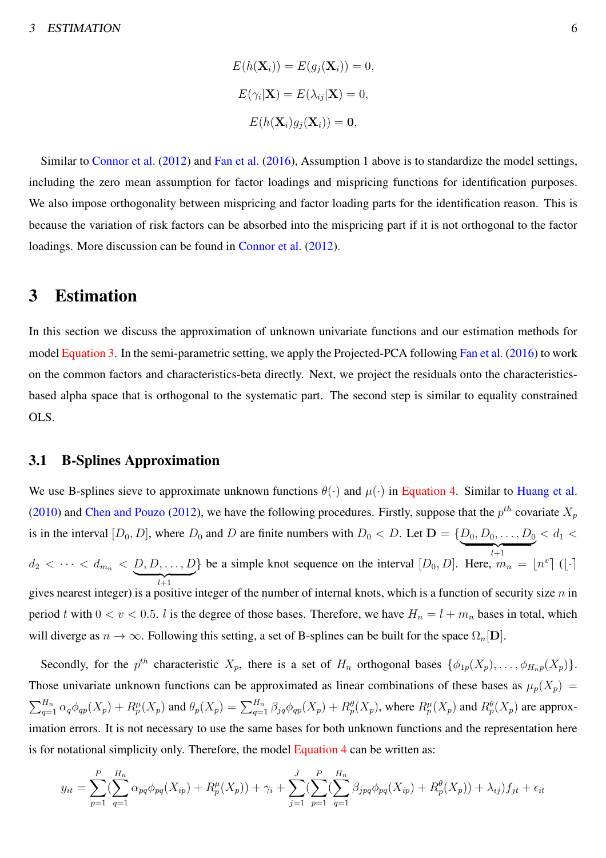$$
E(h(\mathbf{X}_i)) = E(g_j(\mathbf{X}_i)) = 0,
$$
  
\n
$$
E(\gamma_i|\mathbf{X}) = E(\lambda_{ij}|\mathbf{X}) = 0,
$$
  
\n
$$
E(h(\mathbf{X}_i)g_j(\mathbf{X}_i)) = \mathbf{0},
$$

Similar to [Connor et al.](#page-47-8) [\(2012](#page-47-8)) and [Fan et al.](#page-47-9) [\(2016\)](#page-47-9), Assumption 1 above is to standardize the model settings, including the zero mean assumption for factor loadings and mispricing functions for identification purposes. We also impose orthogonality between mispricing and factor loading parts for the identification reason. This is because the variation of risk factors can be absorbed into the mispricing part if it is not orthogonal to the factor loadings. More discussion can be found in [Connor et al.](#page-47-8) [\(2012](#page-47-8)).

### <span id="page-6-0"></span>3 Estimation

In this section we discuss the approximation of unknown univariate functions and our estimation methods for model [Equation 3.](#page-5-0) In the semi-parametric setting, we apply the Projected-PCA following [Fan et al.](#page-47-9) [\(2016](#page-47-9)) to work on the common factors and characteristics-beta directly. Next, we project the residuals onto the characteristicsbased alpha space that is orthogonal to the systematic part. The second step is similar to equality constrained OLS.

#### 3.1 B-Splines Approximation

We use B-splines sieve to approximate unknown functions  $\theta(\cdot)$  and  $\mu(\cdot)$  in [Equation 4.](#page-5-1) Similar to [Huang et al.](#page-48-5) [\(2010](#page-48-5)) and [Chen and Pouzo](#page-47-10) [\(2012](#page-47-10)), we have the following procedures. Firstly, suppose that the  $p^{th}$  covariate  $X_p$ is in the interval  $[D_0, D]$ , where  $D_0$  and D are finite numbers with  $D_0 < D$ . Let  $\mathbf{D} = \{D_0, D_0, \ldots, D_0\}$  $\overbrace{\phantom{a} \phantom{a}}^{l+1}$  $l+1$  $< d_1 <$  $d_2 < \cdots < d_{m_n} < \underbrace{D, D, \ldots, D}$  $\overline{l+1}$ } be a simple knot sequence on the interval  $[D_0, D]$ . Here,  $m_n = \lfloor n^v \rfloor$  ( $\lfloor \cdot \rceil$ ) gives nearest integer) is a positive integer of the number of internal knots, which is a function of security size  $n$  in period t with  $0 < v < 0.5$ . l is the degree of those bases. Therefore, we have  $H_n = l + m_n$  bases in total, which will diverge as  $n \to \infty$ . Following this setting, a set of B-splines can be built for the space  $\Omega_n[\mathbf{D}]$ .

Secondly, for the  $p^{th}$  characteristic  $X_p$ , there is a set of  $H_n$  orthogonal bases  $\{\phi_{1p}(X_p), \ldots, \phi_{H_n p}(X_p)\}.$ Those univariate unknown functions can be approximated as linear combinations of these bases as  $\mu_p(X_p)$  =  $\sum_{q=1}^{H_n} \alpha_q \phi_{qp}(X_p) + R_p^{\mu}(X_p)$  and  $\theta_p(X_p) = \sum_{q=1}^{H_n} \beta_{jq} \phi_{qp}(X_p) + R_p^{\theta}(X_p)$ , where  $R_p^{\mu}(X_p)$  and  $R_p^{\theta}(X_p)$  are approximation errors. It is not necessary to use the same bases for both unknown functions and the representation here is for notational simplicity only. Therefore, the model [Equation 4](#page-5-1) can be written as:

$$
y_{it} = \sum_{p=1}^{P} \left( \sum_{q=1}^{H_n} \alpha_{pq} \phi_{pq}(X_{ip}) + R_p^{\mu}(X_p) \right) + \gamma_i + \sum_{j=1}^{J} \left( \sum_{p=1}^{P} \left( \sum_{q=1}^{H_n} \beta_{jpq} \phi_{pq}(X_{ip}) + R_p^{\theta}(X_p) \right) + \lambda_{ij} \right) f_{jt} + \epsilon_{it}
$$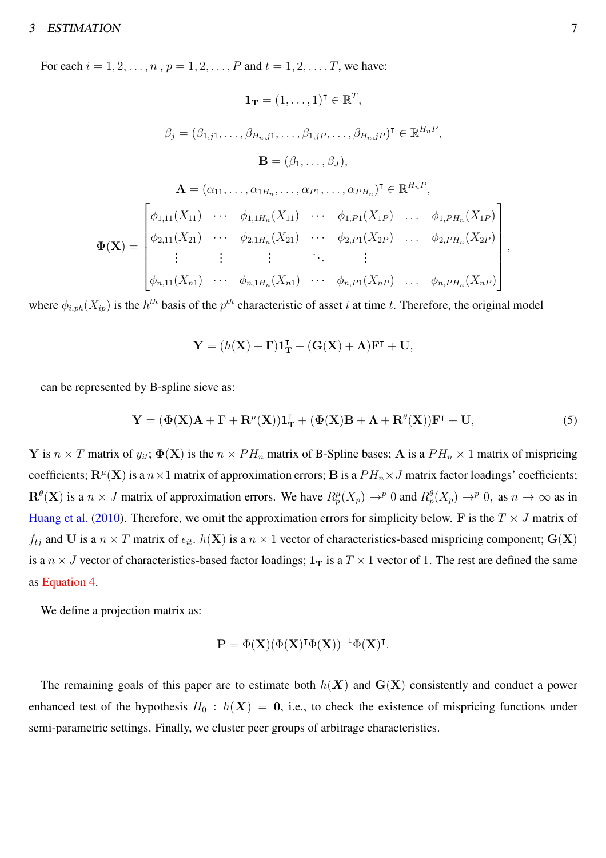#### <sup>3</sup> ESTIMATION 7

For each  $i = 1, 2, ..., n$ ,  $p = 1, 2, ..., P$  and  $t = 1, 2, ..., T$ , we have:

$$
\mathbf{1}_{\mathbf{T}} = (1, ..., 1)^{\mathsf{T}} \in \mathbb{R}^{T},
$$
\n
$$
\beta_{j} = (\beta_{1,j1}, ..., \beta_{H_{n},j1}, ..., \beta_{1,jP}, ..., \beta_{H_{n},jP})^{\mathsf{T}} \in \mathbb{R}^{H_{n}P},
$$
\n
$$
\mathbf{B} = (\beta_{1}, ..., \beta_{J}),
$$
\n
$$
\mathbf{A} = (\alpha_{11}, ..., \alpha_{1H_{n}}, ..., \alpha_{P1}, ..., \alpha_{PH_{n}})^{\mathsf{T}} \in \mathbb{R}^{H_{n}P},
$$
\n
$$
\Phi(\mathbf{X}) = \begin{bmatrix}\n\phi_{1,11}(X_{11}) & \cdots & \phi_{1,1H_{n}}(X_{11}) & \cdots & \phi_{1,P1}(X_{1P}) & \cdots & \phi_{1,PH_{n}}(X_{1P}) \\
\phi_{2,11}(X_{21}) & \cdots & \phi_{2,1H_{n}}(X_{21}) & \cdots & \phi_{2,P1}(X_{2P}) & \cdots & \phi_{2,PH_{n}}(X_{2P}) \\
\vdots & \vdots & \ddots & \vdots \\
\phi_{n,11}(X_{n1}) & \cdots & \phi_{n,1H_{n}}(X_{n1}) & \cdots & \phi_{n,P1}(X_{nP}) & \cdots & \phi_{n,PH_{n}}(X_{nP})\n\end{bmatrix},
$$

where  $\phi_{i,ph}(X_{ip})$  is the  $h^{th}$  basis of the  $p^{th}$  characteristic of asset i at time t. Therefore, the original model

$$
\mathbf{Y} = (h(\mathbf{X}) + \mathbf{\Gamma})\mathbf{1}_{\mathbf{T}}^{\mathsf{T}} + (\mathbf{G}(\mathbf{X}) + \mathbf{\Lambda})\mathbf{F}^{\mathsf{T}} + \mathbf{U},
$$

can be represented by B-spline sieve as:

$$
\mathbf{Y} = (\Phi(\mathbf{X})\mathbf{A} + \mathbf{\Gamma} + \mathbf{R}^{\mu}(\mathbf{X}))\mathbf{1}_{\mathbf{T}}^{\mathsf{T}} + (\Phi(\mathbf{X})\mathbf{B} + \mathbf{\Lambda} + \mathbf{R}^{\theta}(\mathbf{X}))\mathbf{F}^{\mathsf{T}} + \mathbf{U},\tag{5}
$$

Y is  $n \times T$  matrix of  $y_{it}$ ;  $\Phi(\mathbf{X})$  is the  $n \times PH_n$  matrix of B-Spline bases; A is a  $PH_n \times 1$  matrix of mispricing coefficients;  $\mathbf{R}^{\mu}(\mathbf{X})$  is a  $n \times 1$  matrix of approximation errors; B is a  $PH_n \times J$  matrix factor loadings' coefficients;  $\mathbf{R}^{\theta}(\mathbf{X})$  is a  $n \times J$  matrix of approximation errors. We have  $R_p^{\mu}(X_p) \to^p 0$  and  $R_p^{\theta}(X_p) \to^p 0$ , as  $n \to \infty$  as in [Huang et al.](#page-48-5) [\(2010\)](#page-48-5). Therefore, we omit the approximation errors for simplicity below. F is the  $T \times J$  matrix of  $f_{tj}$  and U is a  $n \times T$  matrix of  $\epsilon_{it}$ .  $h(\mathbf{X})$  is a  $n \times 1$  vector of characteristics-based mispricing component;  $\mathbf{G}(\mathbf{X})$ is a  $n \times J$  vector of characteristics-based factor loadings;  $1_T$  is a  $T \times 1$  vector of 1. The rest are defined the same as [Equation 4.](#page-5-1)

We define a projection matrix as:

$$
\mathbf{P} = \Phi(\mathbf{X})(\Phi(\mathbf{X})^{\intercal}\Phi(\mathbf{X}))^{-1}\Phi(\mathbf{X})^{\intercal}.
$$

The remaining goals of this paper are to estimate both  $h(X)$  and  $G(X)$  consistently and conduct a power enhanced test of the hypothesis  $H_0 : h(X) = 0$ , i.e., to check the existence of mispricing functions under semi-parametric settings. Finally, we cluster peer groups of arbitrage characteristics.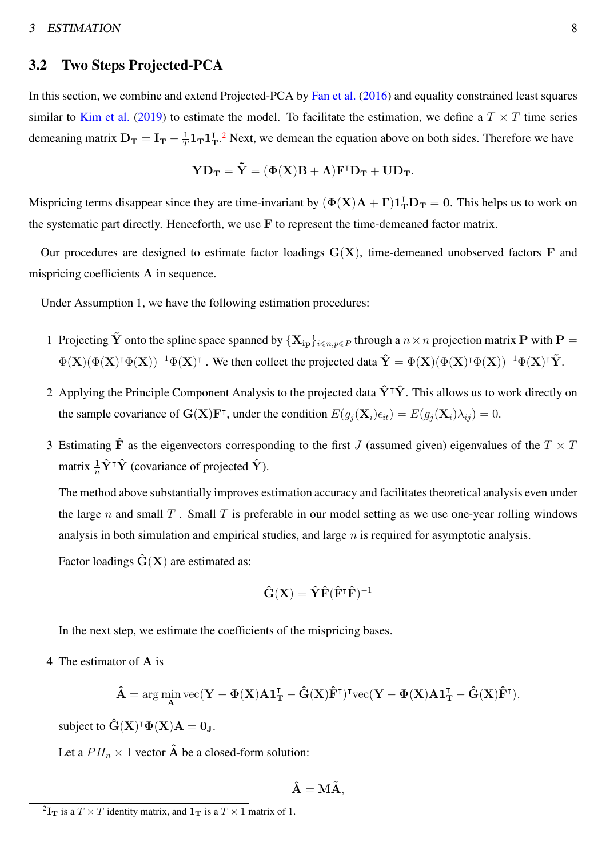#### <sup>3</sup> ESTIMATION 8

#### 3.2 Two Steps Projected-PCA

In this section, we combine and extend Projected-PCA by [Fan et al.](#page-47-9) [\(2016](#page-47-9)) and equality constrained least squares similar to [Kim et al.](#page-48-2) [\(2019](#page-48-2)) to estimate the model. To facilitate the estimation, we define a  $T \times T$  time series demeaning matrix  $D_T = I_T - \frac{1}{T}$  $\frac{1}{T}1_{\rm T}1_{\rm T}^{T}$ .<sup>[2](#page-8-0)</sup> Next, we demean the equation above on both sides. Therefore we have

$$
\mathbf{YD_T} = \mathbf{\tilde{Y}} = (\Phi(\mathbf{X})\mathbf{B} + \Lambda)\mathbf{F}^\intercal \mathbf{D_T} + \mathbf{U}\mathbf{D_T}.
$$

Mispricing terms disappear since they are time-invariant by  $(\Phi(X)A + \Gamma)1_T^T D_T = 0$ . This helps us to work on the systematic part directly. Henceforth, we use F to represent the time-demeaned factor matrix.

Our procedures are designed to estimate factor loadings  $G(X)$ , time-demeaned unobserved factors  $F$  and mispricing coefficients A in sequence.

Under Assumption 1, we have the following estimation procedures:

- 1 Projecting  $\tilde{Y}$  onto the spline space spanned by  $\{X_{in}\}_{i\le n,n\le P}$  through a  $n\times n$  projection matrix P with P =  $\Phi(\mathbf{X})(\Phi(\mathbf{X})^{\intercal}\Phi(\mathbf{X}))^{-1}\Phi(\mathbf{X})^{\intercal}$ . We then collect the projected data  $\hat{\mathbf{Y}} = \Phi(\mathbf{X})(\Phi(\mathbf{X})^{\intercal}\Phi(\mathbf{X}))^{-1}\Phi(\mathbf{X})^{\intercal}\tilde{\mathbf{Y}}$ .
- 2 Applying the Principle Component Analysis to the projected data  $\hat{Y}^{\dagger}\hat{Y}$ . This allows us to work directly on the sample covariance of  $\mathbf{G}(\mathbf{X})\mathbf{F}^{\intercal}$ , under the condition  $E(g_j(\mathbf{X}_i)\epsilon_{it}) = E(g_j(\mathbf{X}_i)\lambda_{ij}) = 0$ .
- 3 Estimating  $\hat{F}$  as the eigenvectors corresponding to the first J (assumed given) eigenvalues of the  $T \times T$ matrix  $\frac{1}{n}\hat{\mathbf{Y}}^{\mathsf{T}}\hat{\mathbf{Y}}$  (covariance of projected  $\hat{\mathbf{Y}}$ ).

The method above substantially improves estimation accuracy and facilitates theoretical analysis even under the large n and small  $T$ . Small  $T$  is preferable in our model setting as we use one-year rolling windows analysis in both simulation and empirical studies, and large  $n$  is required for asymptotic analysis.

Factor loadings  $\hat{G}(X)$  are estimated as:

$$
\mathbf{\hat{G}}(\mathbf{X}) = \mathbf{\hat{Y}} \mathbf{\hat{F}} (\mathbf{\hat{F}^\intercal}\mathbf{\hat{F}})^{-1}
$$

In the next step, we estimate the coefficients of the mispricing bases.

4 The estimator of A is

$$
\hat{\mathbf{A}} = \arg\min_{\mathbf{A}} \text{vec}(\mathbf{Y} - \Phi(\mathbf{X})\mathbf{A}\mathbf{1}_{\mathbf{T}}^{\mathsf{T}} - \hat{\mathbf{G}}(\mathbf{X})\hat{\mathbf{F}}^{\mathsf{T}})^{\mathsf{T}}\text{vec}(\mathbf{Y} - \Phi(\mathbf{X})\mathbf{A}\mathbf{1}_{\mathbf{T}}^{\mathsf{T}} - \hat{\mathbf{G}}(\mathbf{X})\hat{\mathbf{F}}^{\mathsf{T}}),
$$

subject to  $\mathbf{\hat{G}}(\mathbf{X})^{\intercal} \mathbf{\Phi}(\mathbf{X}) \mathbf{A} = \mathbf{0}_{\mathbf{J}}$ .

Let a  $PH_n \times 1$  vector  $\hat{A}$  be a closed-form solution:

$$
\mathbf{\hat{A}} = \mathbf{M}\mathbf{\tilde{A}},
$$

<span id="page-8-0"></span><sup>&</sup>lt;sup>2</sup> $\mathbf{I_T}$  is a  $T \times T$  identity matrix, and  $\mathbf{1_T}$  is a  $T \times 1$  matrix of 1.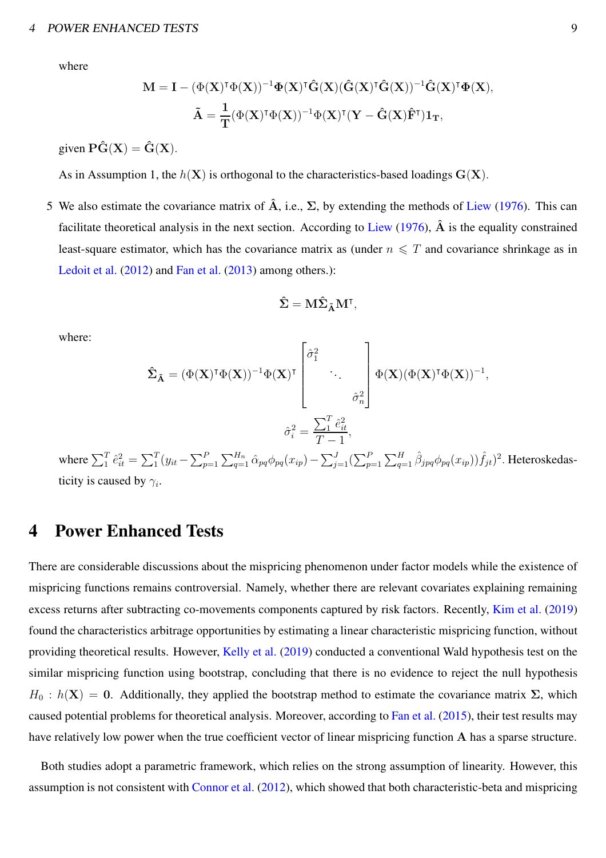#### <sup>4</sup> POWER ENHANCED TESTS 9

where

$$
\begin{aligned} \mathbf{M} &= \mathbf{I} - (\Phi(\mathbf{X})^{\intercal}\Phi(\mathbf{X}))^{-1}\Phi(\mathbf{X})^{\intercal}\hat{\mathbf{G}}(\mathbf{X})(\hat{\mathbf{G}}(\mathbf{X})^{\intercal}\hat{\mathbf{G}}(\mathbf{X}))^{-1}\hat{\mathbf{G}}(\mathbf{X})^{\intercal}\Phi(\mathbf{X}), \\ \tilde{\mathbf{A}} &= \frac{1}{\mathbf{T}}(\Phi(\mathbf{X})^{\intercal}\Phi(\mathbf{X}))^{-1}\Phi(\mathbf{X})^{\intercal}(\mathbf{Y} - \hat{\mathbf{G}}(\mathbf{X})\hat{\mathbf{F}}^{\intercal})\mathbf{1}_{\mathbf{T}}, \end{aligned}
$$

given  $\hat{\mathbf{P}(\mathbf{G}(\mathbf{X}))} = \hat{\mathbf{G}}(\mathbf{X})$ .

As in Assumption 1, the  $h(X)$  is orthogonal to the characteristics-based loadings  $G(X)$ .

5 We also estimate the covariance matrix of  $\hat{A}$ , i.e.,  $\Sigma$ , by extending the methods of [Liew](#page-48-9) [\(1976\)](#page-48-9). This can facilitate theoretical analysis in the next section. According to [Liew](#page-48-9) [\(1976\)](#page-48-9),  $\hat{A}$  is the equality constrained least-square estimator, which has the covariance matrix as (under  $n \leq T$  and covariance shrinkage as in [Ledoit et al.](#page-48-10) [\(2012](#page-48-10)) and [Fan et al.](#page-47-11) [\(2013](#page-47-11)) among others.):

$$
\hat{\Sigma}=M\hat{\Sigma}_{\tilde{A}}M^{\intercal},
$$

where:

$$
\hat{\Sigma}_{\tilde{\mathbf{A}}} = (\Phi(\mathbf{X})^{\mathsf{T}}\Phi(\mathbf{X}))^{-1}\Phi(\mathbf{X})^{\mathsf{T}} \begin{bmatrix} \hat{\sigma}_{1}^{2} & & \\ & \ddots & \\ & & \hat{\sigma}_{n}^{2} \end{bmatrix} \Phi(\mathbf{X})(\Phi(\mathbf{X})^{\mathsf{T}}\Phi(\mathbf{X}))^{-1},
$$
\n
$$
\hat{\sigma}_{i}^{2} = \frac{\sum_{1}^{T} \hat{e}_{it}^{2}}{T-1},
$$
\nwhere  $\sum_{1}^{T} \hat{e}_{it}^{2} = \sum_{1}^{T} (y_{it} - \sum_{p=1}^{P} \sum_{q=1}^{H_{n}} \hat{\alpha}_{pq} \phi_{pq}(x_{ip}) - \sum_{j=1}^{J} (\sum_{p=1}^{P} \sum_{q=1}^{H} \hat{\beta}_{jpq} \phi_{pq}(x_{ip})) \hat{f}_{jt})^{2}$ . Heteroskedas-  
ticity is caused by  $\gamma_{i}$ .

<span id="page-9-0"></span>4 Power Enhanced Tests

There are considerable discussions about the mispricing phenomenon under factor models while the existence of mispricing functions remains controversial. Namely, whether there are relevant covariates explaining remaining excess returns after subtracting co-movements components captured by risk factors. Recently, [Kim et al.](#page-48-2) [\(2019](#page-48-2)) found the characteristics arbitrage opportunities by estimating a linear characteristic mispricing function, without providing theoretical results. However, [Kelly et al.](#page-48-3) [\(2019\)](#page-48-3) conducted a conventional Wald hypothesis test on the similar mispricing function using bootstrap, concluding that there is no evidence to reject the null hypothesis  $H_0 : h(X) = 0$ . Additionally, they applied the bootstrap method to estimate the covariance matrix  $\Sigma$ , which caused potential problems for theoretical analysis. Moreover, according to [Fan et al.](#page-47-6) [\(2015\)](#page-47-6), their test results may have relatively low power when the true coefficient vector of linear mispricing function A has a sparse structure.

Both studies adopt a parametric framework, which relies on the strong assumption of linearity. However, this assumption is not consistent with [Connor et al.](#page-47-8) [\(2012\)](#page-47-8), which showed that both characteristic-beta and mispricing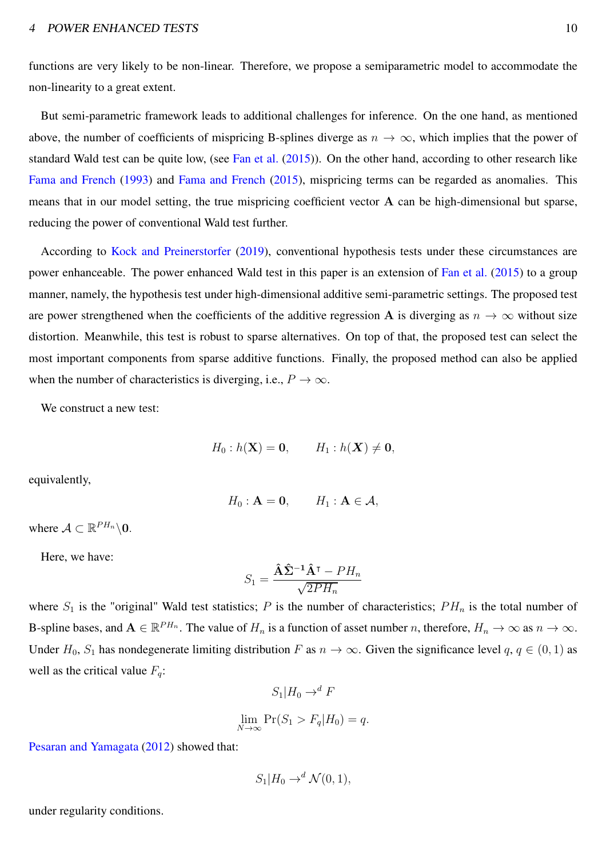#### 4 POWER ENHANCED TESTS 10

functions are very likely to be non-linear. Therefore, we propose a semiparametric model to accommodate the non-linearity to a great extent.

But semi-parametric framework leads to additional challenges for inference. On the one hand, as mentioned above, the number of coefficients of mispricing B-splines diverge as  $n \to \infty$ , which implies that the power of standard Wald test can be quite low, (see [Fan et al.](#page-47-6) [\(2015\)](#page-47-6)). On the other hand, according to other research like [Fama and French](#page-47-0) [\(1993\)](#page-47-0) and [Fama and French](#page-47-1) [\(2015\)](#page-47-1), mispricing terms can be regarded as anomalies. This means that in our model setting, the true mispricing coefficient vector A can be high-dimensional but sparse, reducing the power of conventional Wald test further.

According to [Kock and Preinerstorfer](#page-48-6) [\(2019](#page-48-6)), conventional hypothesis tests under these circumstances are power enhanceable. The power enhanced Wald test in this paper is an extension of [Fan et al.](#page-47-6) [\(2015](#page-47-6)) to a group manner, namely, the hypothesis test under high-dimensional additive semi-parametric settings. The proposed test are power strengthened when the coefficients of the additive regression A is diverging as  $n \to \infty$  without size distortion. Meanwhile, this test is robust to sparse alternatives. On top of that, the proposed test can select the most important components from sparse additive functions. Finally, the proposed method can also be applied when the number of characteristics is diverging, i.e.,  $P \to \infty$ .

We construct a new test:

$$
H_0: h(\mathbf{X}) = \mathbf{0}, \qquad H_1: h(\mathbf{X}) \neq \mathbf{0},
$$

equivalently,

$$
H_0: \mathbf{A} = \mathbf{0}, \qquad H_1: \mathbf{A} \in \mathcal{A},
$$

where  $\mathcal{A} \subset \mathbb{R}^{PH_n} \backslash \mathbf{0}$ .

Here, we have:

$$
S_1 = \frac{\hat{\mathbf{A}}\hat{\mathbf{\Sigma}}^{-1}\hat{\mathbf{A}}^\mathsf{T} - PH_n}{\sqrt{2PH_n}}
$$

where  $S_1$  is the "original" Wald test statistics; P is the number of characteristics;  $PH_n$  is the total number of B-spline bases, and  $A \in \mathbb{R}^{PH_n}$ . The value of  $H_n$  is a function of asset number n, therefore,  $H_n \to \infty$  as  $n \to \infty$ . Under  $H_0$ ,  $S_1$  has nondegenerate limiting distribution F as  $n \to \infty$ . Given the significance level  $q, q \in (0, 1)$  as well as the critical value  $F_q$ :

$$
S_1|H_0 \to^d F
$$
  

$$
\lim_{N \to \infty} \Pr(S_1 > F_q|H_0) = q.
$$

[Pesaran and Yamagata](#page-48-11) [\(2012\)](#page-48-11) showed that:

$$
S_1|H_0 \to^d \mathcal{N}(0,1),
$$

under regularity conditions.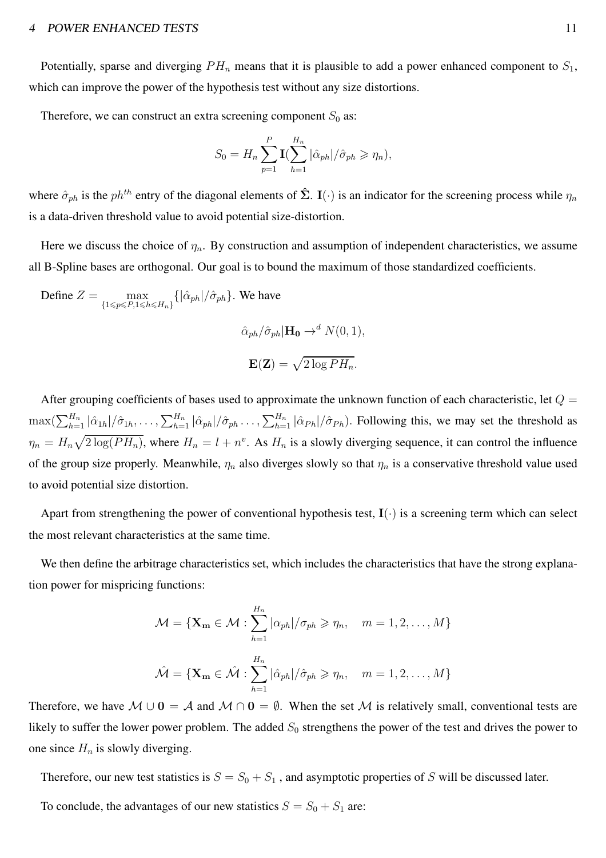#### 4 POWER ENHANCED TESTS 11

Potentially, sparse and diverging  $PH_n$  means that it is plausible to add a power enhanced component to  $S_1$ , which can improve the power of the hypothesis test without any size distortions.

Therefore, we can construct an extra screening component  $S_0$  as:

$$
S_0 = H_n \sum_{p=1}^P \mathbf{I}(\sum_{h=1}^{H_n} |\hat{\alpha}_{ph}|/\hat{\sigma}_{ph} \geq \eta_n),
$$

where  $\hat{\sigma}_{ph}$  is the  $ph^{th}$  entry of the diagonal elements of  $\hat{\Sigma}$ . I(·) is an indicator for the screening process while  $\eta_n$ is a data-driven threshold value to avoid potential size-distortion.

Here we discuss the choice of  $\eta_n$ . By construction and assumption of independent characteristics, we assume all B-Spline bases are orthogonal. Our goal is to bound the maximum of those standardized coefficients.

Define  $Z = \text{max}$  $\max_{\{1 \leq p \leq P, 1 \leq h \leq H_n\}} \{ |\hat{\alpha}_{ph}| / \hat{\sigma}_{ph} \}.$  We have  $\hat{\alpha}_{ph}/\hat{\sigma}_{ph}|\mathbf{H_0} \rightarrow^d N(0, 1),$  $\mathbf{E}(\mathbf{Z}) = \sqrt{2 \log PH_n}.$ 

After grouping coefficients of bases used to approximate the unknown function of each characteristic, let  $Q =$  $\max(\sum_{h=1}^{H_n} |\hat{\alpha}_{1h}|/\hat{\sigma}_{1h}, \dots, \sum_{h=1}^{H_n} |\hat{\alpha}_{ph}|/\hat{\sigma}_{ph} \dots, \sum_{h=1}^{H_n} |\hat{\alpha}_{Ph}|/\hat{\sigma}_{Ph})$ . Following this, we may set the threshold as  $\eta_n = H_n \sqrt{2 \log(PH_n)}$ , where  $H_n = l + n^v$ . As  $H_n$  is a slowly diverging sequence, it can control the influence of the group size properly. Meanwhile,  $\eta_n$  also diverges slowly so that  $\eta_n$  is a conservative threshold value used to avoid potential size distortion.

Apart from strengthening the power of conventional hypothesis test,  $I(.)$  is a screening term which can select the most relevant characteristics at the same time.

We then define the arbitrage characteristics set, which includes the characteristics that have the strong explanation power for mispricing functions:

$$
\mathcal{M} = \{ \mathbf{X_m} \in \mathcal{M} : \sum_{h=1}^{H_n} |\alpha_{ph}| / \sigma_{ph} \ge \eta_n, \quad m = 1, 2, \dots, M \}
$$

$$
\hat{\mathcal{M}} = \{ \mathbf{X_m} \in \hat{\mathcal{M}} : \sum_{h=1}^{n} |\hat{\alpha}_{ph}| / \hat{\sigma}_{ph} \ge \eta_n, \quad m = 1, 2, \dots, M \}
$$

Therefore, we have  $M \cup 0 = A$  and  $M \cap 0 = \emptyset$ . When the set M is relatively small, conventional tests are likely to suffer the lower power problem. The added  $S_0$  strengthens the power of the test and drives the power to one since  $H_n$  is slowly diverging.

Therefore, our new test statistics is  $S = S_0 + S_1$ , and asymptotic properties of S will be discussed later.

To conclude, the advantages of our new statistics  $S = S_0 + S_1$  are: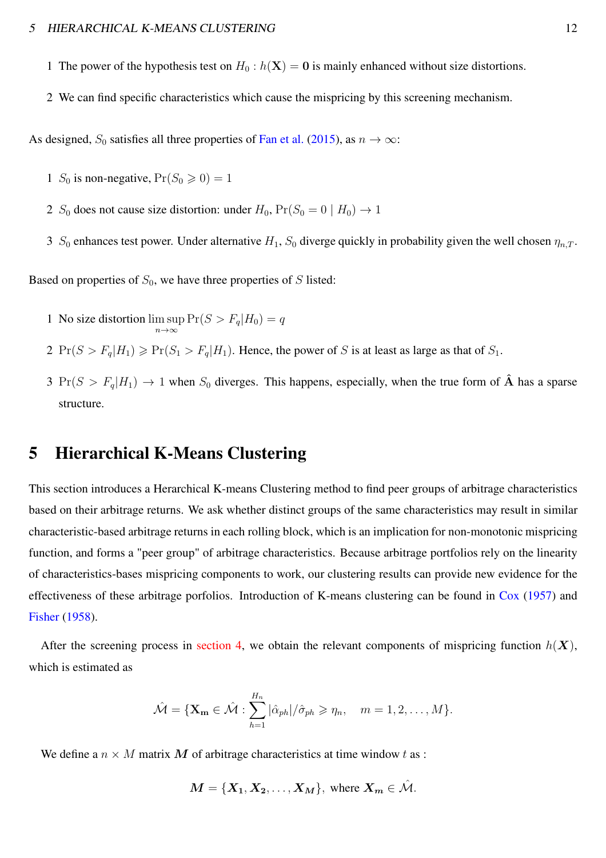- 1 The power of the hypothesis test on  $H_0$ :  $h(\mathbf{X}) = \mathbf{0}$  is mainly enhanced without size distortions.
- 2 We can find specific characteristics which cause the mispricing by this screening mechanism.

As designed,  $S_0$  satisfies all three properties of [Fan et al.](#page-47-6) [\(2015](#page-47-6)), as  $n \to \infty$ :

- 1 S<sub>0</sub> is non-negative,  $Pr(S_0 \ge 0) = 1$
- 2  $S_0$  does not cause size distortion: under  $H_0$ ,  $Pr(S_0 = 0 | H_0) \rightarrow 1$
- 3  $S_0$  enhances test power. Under alternative  $H_1$ ,  $S_0$  diverge quickly in probability given the well chosen  $\eta_{n,T}$ .

Based on properties of  $S_0$ , we have three properties of S listed:

- 1 No size distortion lim sup  $\limsup_{n\to\infty} \Pr(S > F_q | H_0) = q$
- 2  $Pr(S > F_q|H_1) \geqslant Pr(S_1 > F_q|H_1)$ . Hence, the power of S is at least as large as that of  $S_1$ .
- <span id="page-12-0"></span>3 Pr( $S > F_q|H_1$ )  $\rightarrow$  1 when  $S_0$  diverges. This happens, especially, when the true form of  $\hat{A}$  has a sparse structure.

# 5 Hierarchical K-Means Clustering

This section introduces a Herarchical K-means Clustering method to find peer groups of arbitrage characteristics based on their arbitrage returns. We ask whether distinct groups of the same characteristics may result in similar characteristic-based arbitrage returns in each rolling block, which is an implication for non-monotonic mispricing function, and forms a "peer group" of arbitrage characteristics. Because arbitrage portfolios rely on the linearity of characteristics-bases mispricing components to work, our clustering results can provide new evidence for the effectiveness of these arbitrage porfolios. Introduction of K-means clustering can be found in [Cox](#page-47-12) [\(1957\)](#page-47-12) and [Fisher](#page-47-13) [\(1958](#page-47-13)).

After the screening process in [section 4,](#page-9-0) we obtain the relevant components of mispricing function  $h(X)$ , which is estimated as

$$
\hat{\mathcal{M}} = \{ \mathbf{X}_{\mathbf{m}} \in \hat{\mathcal{M}} : \sum_{h=1}^{H_n} |\hat{\alpha}_{ph}| / \hat{\sigma}_{ph} \geqslant \eta_n, \quad m = 1, 2, \dots, M \}.
$$

We define a  $n \times M$  matrix M of arbitrage characteristics at time window t as :

$$
M = \{X_1, X_2, \ldots, X_M\}, \text{ where } X_m \in \hat{\mathcal{M}}.
$$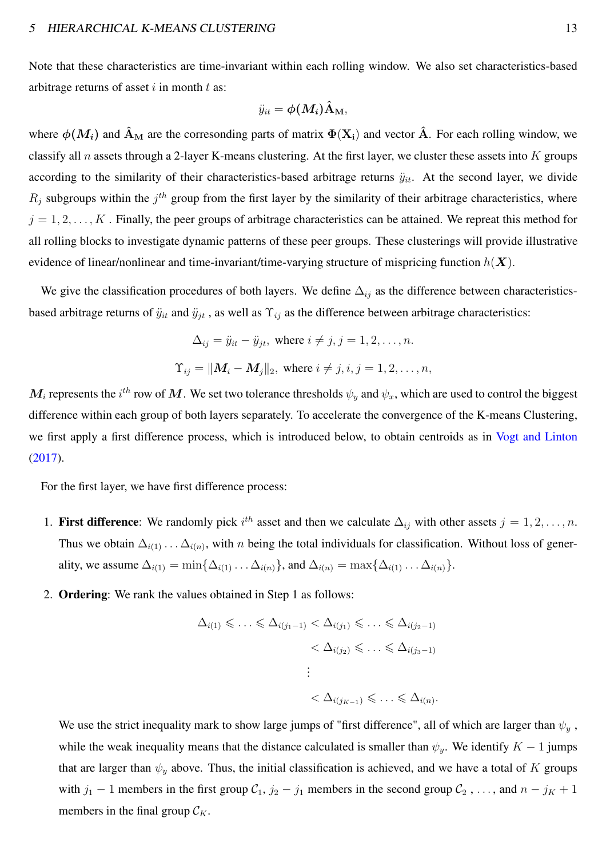Note that these characteristics are time-invariant within each rolling window. We also set characteristics-based arbitrage returns of asset  $i$  in month  $t$  as:

$$
\ddot{y}_{it} = \boldsymbol{\phi}(\boldsymbol{M_i}) \hat{\mathbf{A}}_{\mathbf{M}},
$$

where  $\phi(M_i)$  and  $\hat{A}_{\text{M}}$  are the corresonding parts of matrix  $\Phi(X_i)$  and vector  $\hat{A}$ . For each rolling window, we classify all  $n$  assets through a 2-layer K-means clustering. At the first layer, we cluster these assets into  $K$  groups according to the similarity of their characteristics-based arbitrage returns  $\ddot{y}_{it}$ . At the second layer, we divide  $R_j$  subgroups within the  $j<sup>th</sup>$  group from the first layer by the similarity of their arbitrage characteristics, where  $j = 1, 2, \ldots, K$ . Finally, the peer groups of arbitrage characteristics can be attained. We repreat this method for all rolling blocks to investigate dynamic patterns of these peer groups. These clusterings will provide illustrative evidence of linear/nonlinear and time-invariant/time-varying structure of mispricing function  $h(X)$ .

We give the classification procedures of both layers. We define  $\Delta_{ij}$  as the difference between characteristicsbased arbitrage returns of  $\ddot{y}_{it}$  and  $\ddot{y}_{jt}$ , as well as  $\Upsilon_{ij}$  as the difference between arbitrage characteristics:

$$
\Delta_{ij} = \ddot{y}_{it} - \ddot{y}_{jt}, \text{ where } i \neq j, j = 1, 2, \dots, n.
$$
  

$$
\Upsilon_{ij} = ||\mathbf{M}_i - \mathbf{M}_j||_2, \text{ where } i \neq j, i, j = 1, 2, \dots, n,
$$

 $M_i$  represents the  $i^{th}$  row of  $M$ . We set two tolerance thresholds  $\psi_y$  and  $\psi_x$ , which are used to control the biggest difference within each group of both layers separately. To accelerate the convergence of the K-means Clustering, we first apply a first difference process, which is introduced below, to obtain centroids as in [Vogt and Linton](#page-48-8) [\(2017](#page-48-8)).

For the first layer, we have first difference process:

- 1. First difference: We randomly pick  $i^{th}$  asset and then we calculate  $\Delta_{ij}$  with other assets  $j = 1, 2, \ldots, n$ . Thus we obtain  $\Delta_{i(1)} \dots \Delta_{i(n)}$ , with n being the total individuals for classification. Without loss of generality, we assume  $\Delta_{i(1)} = \min\{\Delta_{i(1)}\dots\Delta_{i(n)}\}$ , and  $\Delta_{i(n)} = \max\{\Delta_{i(1)}\dots\Delta_{i(n)}\}$ .
- 2. Ordering: We rank the values obtained in Step 1 as follows:

$$
\Delta_{i(1)} \leq \ldots \leq \Delta_{i(j_1-1)} < \Delta_{i(j_1)} \leq \ldots \leq \Delta_{i(j_2-1)} \\
&< \Delta_{i(j_2)} \leq \ldots \leq \Delta_{i(j_3-1)} \\
\vdots \\
&< \Delta_{i(j_{K-1})} \leq \ldots \leq \Delta_{i(n)}.
$$

We use the strict inequality mark to show large jumps of "first difference", all of which are larger than  $\psi_y$ , while the weak inequality means that the distance calculated is smaller than  $\psi_y$ . We identify  $K - 1$  jumps that are larger than  $\psi_y$  above. Thus, the initial classification is achieved, and we have a total of K groups with  $j_1 - 1$  members in the first group  $C_1$ ,  $j_2 - j_1$  members in the second group  $C_2$ , ..., and  $n - j_K + 1$ members in the final group  $\mathcal{C}_K$ .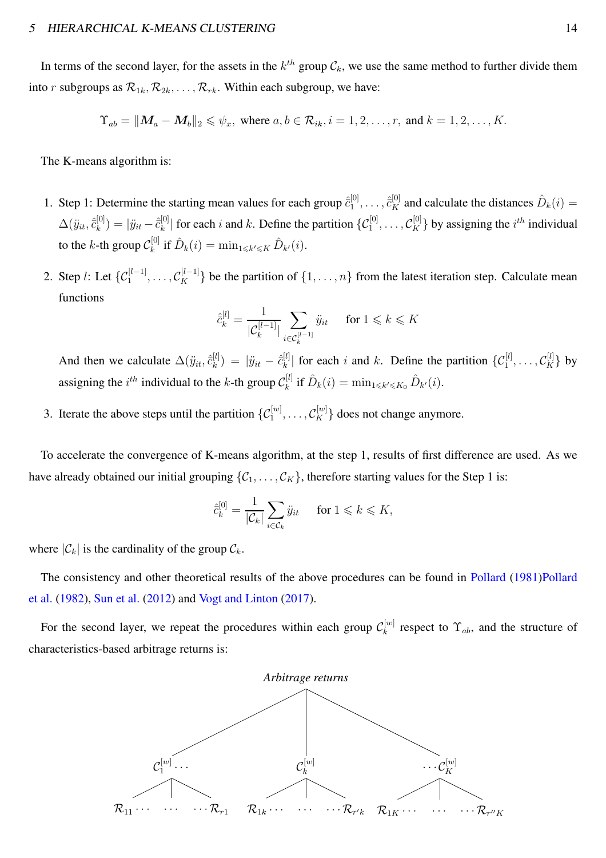In terms of the second layer, for the assets in the  $k^{th}$  group  $\mathcal{C}_k$ , we use the same method to further divide them into r subgroups as  $\mathcal{R}_{1k}, \mathcal{R}_{2k}, \ldots, \mathcal{R}_{rk}$ . Within each subgroup, we have:

$$
\Upsilon_{ab} = ||\mathbf{M}_a - \mathbf{M}_b||_2 \leqslant \psi_x, \text{ where } a, b \in \mathcal{R}_{ik}, i = 1, 2, \dots, r, \text{ and } k = 1, 2, \dots, K.
$$

The K-means algorithm is:

- 1. Step 1: Determine the starting mean values for each group  $\hat{c}_1^{[0]}$  $\hat{\bar{c}}_{1}^{[0]}, \ldots, \hat{\bar{c}}_{K}^{[0]}$  and calculate the distances  $\hat{D}_{k}(i) =$  $\Delta(\ddot{y}_{it}, \hat{\bar{c}}_{k}^{[0]}$  $\hat{y}^{[0]}_{k}) = |\ddot{y}_{it} - \hat{c}^{[0]}_{k}|$  $\{[b] \mid k$  for each i and k. Define the partition  $\{C_1^{[0]}, \ldots, C_K^{[0]}\}$  by assigning the  $i^{th}$  individual to the *k*-th group  $\mathcal{C}_k^{[0]}$  $\hat{D}_k^{[0]}$  if  $\hat{D}_k(i) = \min_{1 \leq k' \leq K} \hat{D}_{k'}(i)$ .
- 2. Step *l*: Let  $\{C_1^{[l-1]}, \ldots, C_K^{[l-1]}\}$  be the partition of  $\{1, \ldots, n\}$  from the latest iteration step. Calculate mean functions

$$
\hat{c}_k^{[l]} = \frac{1}{|\mathcal{C}_k^{[l-1]}|} \sum_{i \in \mathcal{C}_k^{[l-1]}} \ddot{y}_{it} \quad \text{ for } 1 \leqslant k \leqslant K
$$

And then we calculate  $\Delta(\ddot{y}_{it}, \hat{\bar{c}}_k^{[l]})$  $\binom{[l]}{k} \, = \, \, |\ddot{y}_{it} - \hat{\bar{c}}_k^{[l]}|$  $\mathcal{L}_{k}^{[l]}$  for each i and k. Define the partition  $\{\mathcal{C}_{1}^{[l]}, \ldots, \mathcal{C}_{K}^{[l]}\}$  by assigning the  $i^{th}$  individual to the k-th group  $\mathcal{C}_k^{[l]}$  $\hat{L}_k^{[l]}$  if  $\hat{D}_k(i) = \min_{1 \leq k' \leq K_0} \hat{D}_{k'}(i)$ .

3. Iterate the above steps until the partition  $\{C_1^{[w]}, \ldots, C_K^{[w]}\}$  does not change anymore.

To accelerate the convergence of K-means algorithm, at the step 1, results of first difference are used. As we have already obtained our initial grouping  $\{C_1, \ldots, C_K\}$ , therefore starting values for the Step 1 is:

$$
\hat{c}_k^{[0]} = \frac{1}{|\mathcal{C}_k|} \sum_{i \in \mathcal{C}_k} \ddot{y}_{it} \quad \text{for } 1 \leqslant k \leqslant K,
$$

where  $|\mathcal{C}_k|$  is the cardinality of the group  $\mathcal{C}_k$ .

T[he consistency and other theoretical results of the above procedures can be found in](#page-48-13) [Pollard](#page-48-12) [\(1981](#page-48-12))Pollard et al. [\(1982\)](#page-48-13), [Sun et al.](#page-48-14) [\(2012](#page-48-14)) and [Vogt and Linton](#page-48-8) [\(2017\)](#page-48-8).

For the second layer, we repeat the procedures within each group  $\mathcal{C}_k^{[w]}$  $k^{[w]}$  respect to  $\Upsilon_{ab}$ , and the structure of characteristics-based arbitrage returns is:

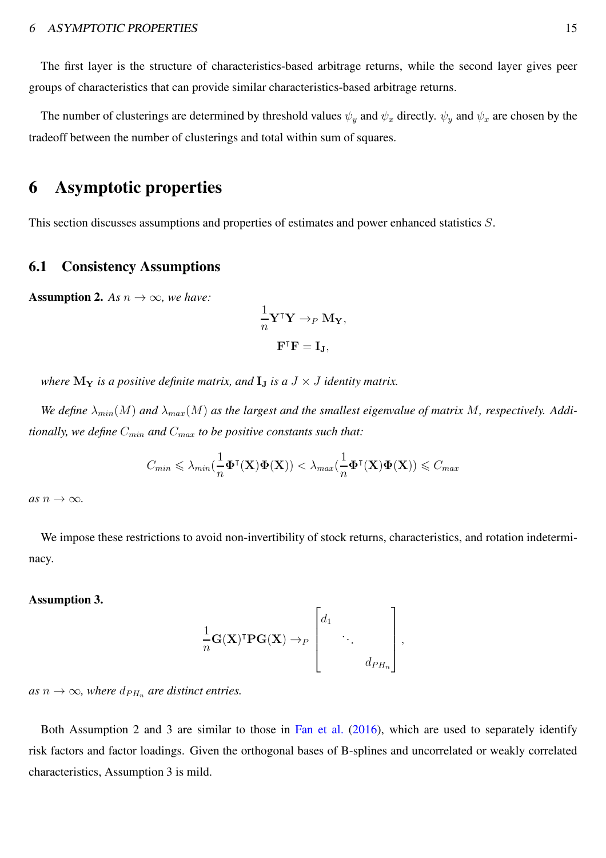The first layer is the structure of characteristics-based arbitrage returns, while the second layer gives peer groups of characteristics that can provide similar characteristics-based arbitrage returns.

The number of clusterings are determined by threshold values  $\psi_y$  and  $\psi_x$  directly.  $\psi_y$  and  $\psi_x$  are chosen by the tradeoff between the number of clusterings and total within sum of squares.

### 6 Asymptotic properties

This section discusses assumptions and properties of estimates and power enhanced statistics S.

#### 6.1 Consistency Assumptions

**Assumption 2.** *As*  $n \to \infty$ *, we have:* 

$$
\frac{1}{n} \mathbf{Y}^\mathsf{T} \mathbf{Y} \to_P \mathbf{M}_{\mathbf{Y}},
$$

$$
\mathbf{F}^\mathsf{T} \mathbf{F} = \mathbf{I}_{\mathbf{J}},
$$

*where*  $\mathbf{M}_{\mathbf{Y}}$  *is a positive definite matrix, and*  $\mathbf{I}_{\mathbf{J}}$  *is a*  $J \times J$  *identity matrix.* 

We define  $\lambda_{min}(M)$  and  $\lambda_{max}(M)$  as the largest and the smallest eigenvalue of matrix M, respectively. Addi*tionally, we define*  $C_{min}$  *and*  $C_{max}$  *to be positive constants such that:* 

$$
C_{min} \leqslant \lambda_{min}(\frac{1}{n}\boldsymbol{\Phi}^\intercal(\mathbf{X})\boldsymbol{\Phi}(\mathbf{X})) < \lambda_{max}(\frac{1}{n}\boldsymbol{\Phi}^\intercal(\mathbf{X})\boldsymbol{\Phi}(\mathbf{X})) \leqslant C_{max}
$$

 $as n \rightarrow \infty$ .

We impose these restrictions to avoid non-invertibility of stock returns, characteristics, and rotation indeterminacy.

#### Assumption 3.

$$
\frac{1}{n}\mathbf{G}(\mathbf{X})^{\mathsf{T}}\mathbf{P}\mathbf{G}(\mathbf{X}) \to_{P} \begin{bmatrix} d_{1} & & \\ & \ddots & \\ & & d_{PH_n} \end{bmatrix},
$$

*as*  $n \to \infty$ *, where*  $d_{PH_n}$  *are distinct entries.* 

Both Assumption 2 and 3 are similar to those in [Fan et al.](#page-47-9) [\(2016](#page-47-9)), which are used to separately identify risk factors and factor loadings. Given the orthogonal bases of B-splines and uncorrelated or weakly correlated characteristics, Assumption 3 is mild.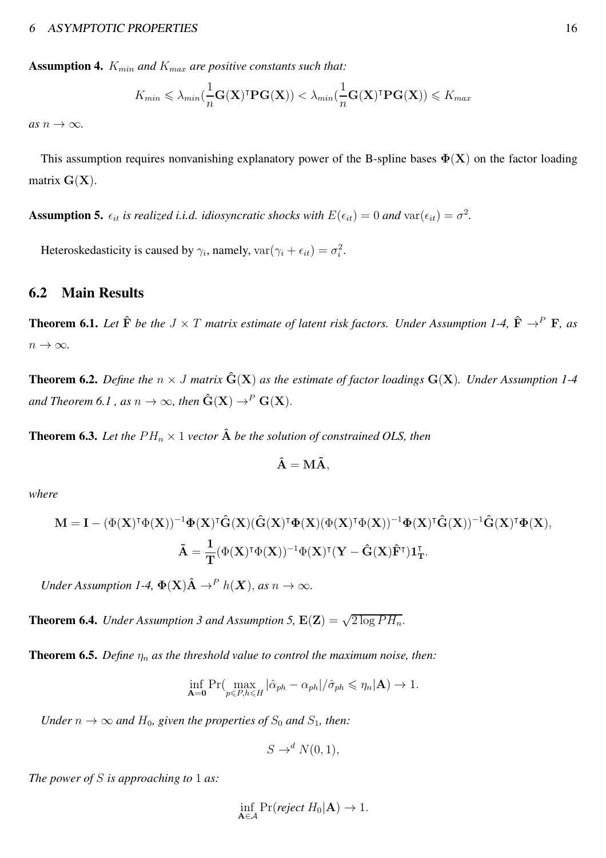**Assumption 4.**  $K_{min}$  and  $K_{max}$  are positive constants such that:

$$
K_{min} \leqslant \lambda_{min}(\frac{1}{n}\mathbf{G}(\mathbf{X})^{\intercal}\mathbf{PG}(\mathbf{X})) < \lambda_{min}(\frac{1}{n}\mathbf{G}(\mathbf{X})^{\intercal}\mathbf{PG}(\mathbf{X})) \leqslant K_{max}
$$

 $as n \rightarrow \infty$ .

This assumption requires nonvanishing explanatory power of the B-spline bases  $\Phi(X)$  on the factor loading matrix  $G(X)$ .

**Assumption 5.**  $\epsilon_{it}$  is realized i.i.d. idiosyncratic shocks with  $E(\epsilon_{it}) = 0$  and  $var(\epsilon_{it}) = \sigma^2$ .

Heteroskedasticity is caused by  $\gamma_i$ , namely,  $var(\gamma_i + \epsilon_{it}) = \sigma_i^2$ .

#### 6.2 Main Results

<span id="page-16-0"></span>**Theorem 6.1.** Let  $\hat{\mathbf{F}}$  be the  $J \times T$  matrix estimate of latent risk factors. Under Assumption 1-4,  $\hat{\mathbf{F}} \to^P \mathbf{F}$ , as  $n \to \infty$ .

<span id="page-16-1"></span>**Theorem 6.2.** Define the  $n \times J$  matrix  $\hat{G}(X)$  as the estimate of factor loadings  $G(X)$ . Under Assumption 1-4 *and Theorem 6.1, as*  $n \to \infty$ *, then*  $\hat{G}(X) \to^P G(X)$ *.* 

<span id="page-16-2"></span>**Theorem 6.3.** Let the  $PH_n \times 1$  vector  $\hat{A}$  be the solution of constrained OLS, then

$$
\hat{\mathbf{A}} = \mathbf{M}\tilde{\mathbf{A}},
$$

*where*

$$
\begin{aligned} \mathbf{M}=&\ \mathbf{I}-(\Phi(\mathbf{X})^{\intercal}\Phi(\mathbf{X}))^{-1}\Phi(\mathbf{X})^{\intercal}\hat{\mathbf{G}}(\mathbf{X})(\hat{\mathbf{G}}(\mathbf{X})^{\intercal}\Phi(\mathbf{X})(\Phi(\mathbf{X})^{\intercal}\Phi(\mathbf{X}))^{-1}\Phi(\mathbf{X})^{\intercal}\hat{\mathbf{G}}(\mathbf{X}))^{-1}\hat{\mathbf{G}}(\mathbf{X})^{\intercal}\Phi(\mathbf{X}),\\ &\tilde{\mathbf{A}}=\frac{1}{T}(\Phi(\mathbf{X})^{\intercal}\Phi(\mathbf{X}))^{-1}\Phi(\mathbf{X})^{\intercal}(\mathbf{Y}-\hat{\mathbf{G}}(\mathbf{X})\hat{\mathbf{F}}^{\intercal})\mathbf{1}_{\mathbf{T}}^{\intercal}. \end{aligned}
$$

*Under Assumption 1-4,*  $\Phi(\mathbf{X})\hat{\mathbf{A}} \to^P h(\mathbf{X})$ *, as*  $n \to \infty$ *.* 

<span id="page-16-3"></span>**Theorem 6.4.** *Under Assumption 3 and Assumption 5,*  $E(Z) = \sqrt{2 \log PH_n}$ .

<span id="page-16-4"></span>**Theorem 6.5.** *Define*  $\eta_n$  *as the threshold value to control the maximum noise, then:* 

$$
\inf_{\mathbf{A}=\mathbf{0}} \Pr(\max_{p\leq P,h\leq H} |\hat{\alpha}_{ph} - \alpha_{ph}|/\hat{\sigma}_{ph} \leq \eta_n|\mathbf{A}) \to 1.
$$

*Under*  $n \to \infty$  *and*  $H_0$ *, given the properties of*  $S_0$  *and*  $S_1$ *, then:* 

$$
S \to^d N(0, 1),
$$

*The power of* S *is approaching to* 1 *as:*

$$
\inf_{\mathbf{A}\in\mathcal{A}} \Pr(\text{reject } H_0|\mathbf{A}) \to 1.
$$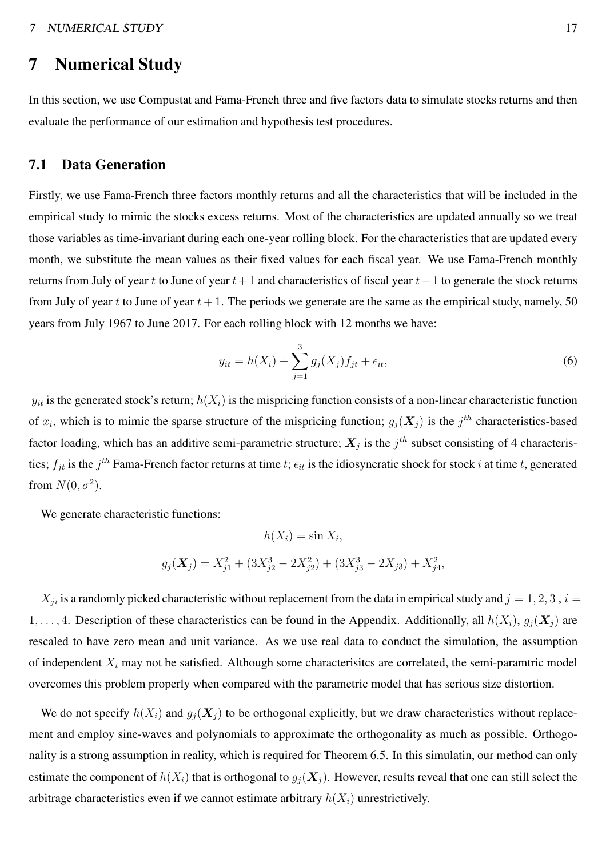# 7 Numerical Study

In this section, we use Compustat and Fama-French three and five factors data to simulate stocks returns and then evaluate the performance of our estimation and hypothesis test procedures.

#### 7.1 Data Generation

Firstly, we use Fama-French three factors monthly returns and all the characteristics that will be included in the empirical study to mimic the stocks excess returns. Most of the characteristics are updated annually so we treat those variables as time-invariant during each one-year rolling block. For the characteristics that are updated every month, we substitute the mean values as their fixed values for each fiscal year. We use Fama-French monthly returns from July of year t to June of year  $t+1$  and characteristics of fiscal year  $t-1$  to generate the stock returns from July of year t to June of year  $t + 1$ . The periods we generate are the same as the empirical study, namely, 50 years from July 1967 to June 2017. For each rolling block with 12 months we have:

<span id="page-17-0"></span>
$$
y_{it} = h(X_i) + \sum_{j=1}^{3} g_j(X_j) f_{jt} + \epsilon_{it},
$$
\n(6)

 $y_{it}$  is the generated stock's return;  $h(X_i)$  is the mispricing function consists of a non-linear characteristic function of  $x_i$ , which is to mimic the sparse structure of the mispricing function;  $g_j(\bm{X}_j)$  is the  $j^{th}$  characteristics-based factor loading, which has an additive semi-parametric structure;  $X_j$  is the  $j^{th}$  subset consisting of 4 characteristics;  $f_{jt}$  is the  $j^{th}$  Fama-French factor returns at time  $t$ ;  $\epsilon_{it}$  is the idiosyncratic shock for stock  $i$  at time  $t$ , generated from  $N(0, \sigma^2)$ .

We generate characteristic functions:

$$
h(X_i) = \sin X_i,
$$
  

$$
g_j(\mathbf{X}_j) = X_{j1}^2 + (3X_{j2}^3 - 2X_{j2}^2) + (3X_{j3}^3 - 2X_{j3}) + X_{j4}^2,
$$

 $X_{ji}$  is a randomly picked characteristic without replacement from the data in empirical study and  $j = 1, 2, 3$ ,  $i =$ 1, ..., 4. Description of these characteristics can be found in the Appendix. Additionally, all  $h(X_i)$ ,  $g_i(\mathbf{X}_i)$  are rescaled to have zero mean and unit variance. As we use real data to conduct the simulation, the assumption of independent  $X_i$  may not be satisfied. Although some characterisites are correlated, the semi-paramtric model overcomes this problem properly when compared with the parametric model that has serious size distortion.

We do not specify  $h(X_i)$  and  $g_i(\mathbf{X}_i)$  to be orthogonal explicitly, but we draw characteristics without replacement and employ sine-waves and polynomials to approximate the orthogonality as much as possible. Orthogonality is a strong assumption in reality, which is required for Theorem 6.5. In this simulatin, our method can only estimate the component of  $h(X_i)$  that is orthogonal to  $g_i(\mathbf{X}_i)$ . However, results reveal that one can still select the arbitrage characteristics even if we cannot estimate arbitrary  $h(X_i)$  unrestrictively.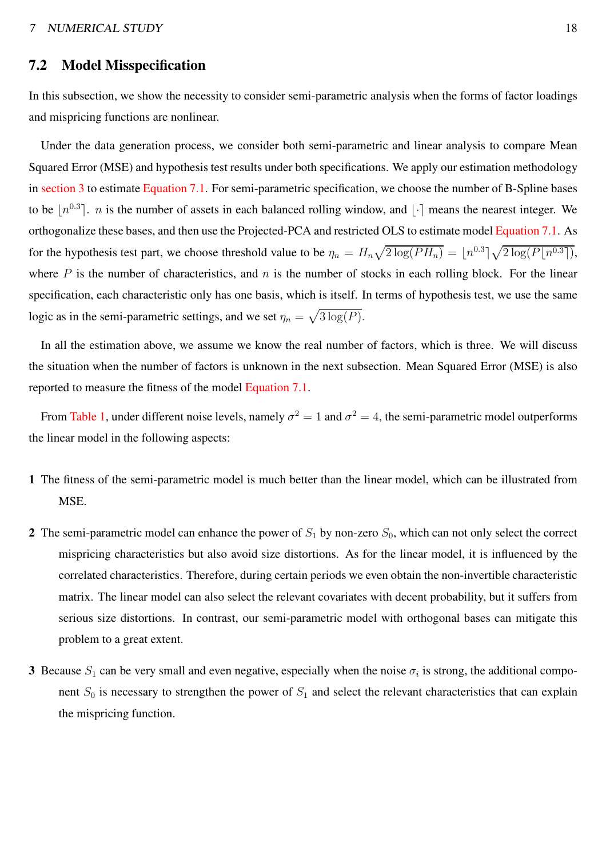#### 7.2 Model Misspecification

In this subsection, we show the necessity to consider semi-parametric analysis when the forms of factor loadings and mispricing functions are nonlinear.

Under the data generation process, we consider both semi-parametric and linear analysis to compare Mean Squared Error (MSE) and hypothesis test results under both specifications. We apply our estimation methodology in [section 3](#page-6-0) to estimate [Equation 7.1.](#page-17-0) For semi-parametric specification, we choose the number of B-Spline bases to be  $\lfloor n^{0.3} \rfloor$ . *n* is the number of assets in each balanced rolling window, and  $\lfloor \cdot \rfloor$  means the nearest integer. We orthogonalize these bases, and then use the Projected-PCA and restricted OLS to estimate model [Equation 7.1.](#page-17-0) As for the hypothesis test part, we choose threshold value to be  $\eta_n = H_n \sqrt{2 \log(PH_n)} = \lfloor n^{0.3} \rfloor \sqrt{2 \log(P\lfloor n^{0.3} \rfloor)}$ , where P is the number of characteristics, and n is the number of stocks in each rolling block. For the linear specification, each characteristic only has one basis, which is itself. In terms of hypothesis test, we use the same logic as in the semi-parametric settings, and we set  $\eta_n = \sqrt{3 \log(P)}$ .

In all the estimation above, we assume we know the real number of factors, which is three. We will discuss the situation when the number of factors is unknown in the next subsection. Mean Squared Error (MSE) is also reported to measure the fitness of the model [Equation 7.1.](#page-17-0)

From [Table 1,](#page-19-0) under different noise levels, namely  $\sigma^2 = 1$  and  $\sigma^2 = 4$ , the semi-parametric model outperforms the linear model in the following aspects:

- 1 The fitness of the semi-parametric model is much better than the linear model, which can be illustrated from MSE.
- 2 The semi-parametric model can enhance the power of  $S_1$  by non-zero  $S_0$ , which can not only select the correct mispricing characteristics but also avoid size distortions. As for the linear model, it is influenced by the correlated characteristics. Therefore, during certain periods we even obtain the non-invertible characteristic matrix. The linear model can also select the relevant covariates with decent probability, but it suffers from serious size distortions. In contrast, our semi-parametric model with orthogonal bases can mitigate this problem to a great extent.
- 3 Because  $S_1$  can be very small and even negative, especially when the noise  $\sigma_i$  is strong, the additional component  $S_0$  is necessary to strengthen the power of  $S_1$  and select the relevant characteristics that can explain the mispricing function.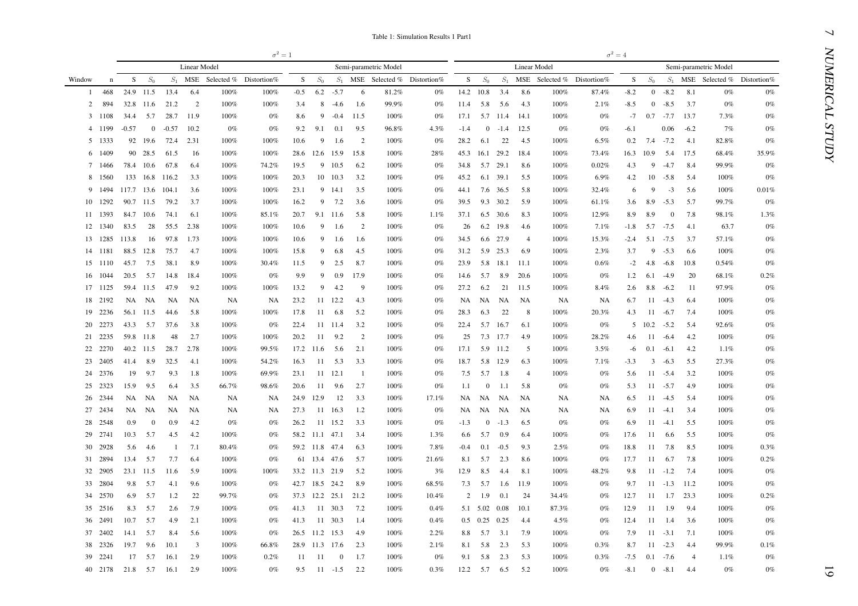|        |         |                  |                |                       |                         |                            | $\sigma^2=1$ |                |                |                     |                     |                       |                                  |                |              |                   |                    |              |                            | $\sigma^2=4$ |                   |                     |                   |                       |                                  |
|--------|---------|------------------|----------------|-----------------------|-------------------------|----------------------------|--------------|----------------|----------------|---------------------|---------------------|-----------------------|----------------------------------|----------------|--------------|-------------------|--------------------|--------------|----------------------------|--------------|-------------------|---------------------|-------------------|-----------------------|----------------------------------|
|        |         |                  |                |                       | <b>Linear Model</b>     |                            |              |                |                |                     |                     | Semi-parametric Model |                                  |                |              |                   |                    | Linear Model |                            |              |                   |                     |                   | Semi-parametric Model |                                  |
| Window | n       | S                | $S_0$          | $S_1$                 |                         | MSE Selected % Distortion% |              | S              | $S_0$          |                     |                     |                       | $S_1$ MSE Selected % Distortion% | S.             | $S_0$        | $S_1$             |                    |              | MSE Selected % Distortion% | S            | $S_0$             |                     |                   |                       | $S_1$ MSE Selected % Distortion% |
| 1      | 468     |                  | 24.9 11.5      | 13.4                  | 6.4                     | 100%                       | 100%         | $-0.5$         | 6.2            | $-5.7$              | -6                  | 81.2%                 | $0\%$                            | 14.2 10.8      |              | 3.4               | 8.6                | 100%         | 87.4%                      | $-8.2$       |                   | $0 - 8.2$           | 8.1               | $0\%$                 | $0\%$                            |
| 2      | 894     |                  | 32.8 11.6      | 21.2                  | 2                       | 100%                       | 100%         | 3.4            | 8              | $-4.6$              | -1.6                | 99.9%                 | $0\%$                            | 11.4           | 5.8          | 5.6               | 4.3                | 100%         | 2.1%                       | $-8.5$       |                   | $0 - 8.5$           | 3.7               | $0\%$                 | $0\%$                            |
|        | 3 1108  | 34.4             | 5.7            | 28.7                  | 11.9                    | 100%                       | $0\%$        | 8.6            | 9              | $-0.4$              | 11.5                | 100%                  | $0\%$                            | 17.1           |              | 5.7 11.4          | - 14.1             | 100%         | $0\%$                      | -7           |                   | $0.7 -7.7$          | 13.7              | 7.3%                  | $0\%$                            |
|        | 4 1199  | $-0.57$          | $\mathbf{0}$   | $-0.57$               | 10.2                    | $0\%$                      | $0\%$        | 9.2            | 9.1            | 0.1                 | 9.5                 | 96.8%                 | 4.3%                             | $-1.4$         | $\mathbf{0}$ | $-1.4$            | 12.5               | $0\%$        | $0\%$                      | $-6.1$       |                   | 0.06                | $-6.2$            | 7%                    | $0\%$                            |
|        | 5 1333  |                  | 92 19.6        | 72.4                  | 2.31                    | 100%                       | 100%         | 10.6           | 9              | 1.6                 | 2                   | 100%                  | $0\%$                            | 28.2           | 6.1          | 22                | 4.5                | 100%         | 6.5%                       | 0.2          |                   | $7.4 - 7.2$         | -4.1              | 82.8%                 | $0\%$                            |
|        | 6 1409  |                  | 90 28.5        | 61.5                  | -16                     | 100%                       | 100%         | 28.6           | 12.6 15.9      |                     | 15.8                | 100%                  | 28%                              | 45.3 16.1 29.2 |              |                   | 18.4               | 100%         | 73.4%                      |              | 16.3 10.9         | 5.4                 | 17.5              | 68.4%                 | 35.9%                            |
|        | 7 1466  |                  | 78.4 10.6      | 67.8                  | 6.4                     | 100%                       | 74.2%        | 19.5           |                | 9 10.5              | 6.2                 | 100%                  | $0\%$                            | 34.8           | 5.7          | 29.1              | 8.6                | 100%         | 0.02%                      | 4.3          | 9                 | $-4.7$              | 8.4               | 99.9%                 | $0\%$                            |
|        | 8 1560  |                  |                | 133 16.8 116.2        | 3.3                     | 100%                       | 100%         | 20.3           |                | 10 10.3             | 3.2                 | 100%                  | $0\%$                            | 45.2           |              | 6.1 39.1          | 5.5                | 100%         | $6.9\%$                    | 4.2          | 10                | $-5.8$              | 5.4               | 100%                  | 0%                               |
| 9      | 1494    | 117.7 13.6 104.1 |                |                       | 3.6                     | 100%                       | 100%         | 23.1           |                | 9 14.1              | 3.5                 | 100%                  | $0\%$                            | 44.1           |              | 7.6 36.5          | 5.8                | 100%         | 32.4%                      | 6            | 9                 | $-3$                | 5.6               | 100%                  | 0.01%                            |
|        | 10 1292 |                  | 90.7 11.5      | 79.2                  | 3.7                     | 100%                       | 100%         | 16.2           | 9              | 7.2                 | 3.6                 | 100%                  | $0\%$                            | 39.5           |              | 9.3 30.2          | 5.9                | 100%         | 61.1%                      | 3.6          | 8.9               | $-5.3$              | 5.7               | 99.7%                 | $0\%$                            |
|        | 11 1393 |                  | 84.7 10.6      | 74.1                  | 6.1                     | 100%                       | 85.1%        | 20.7           |                | 9.1 11.6            | -5.8                | 100%                  | $1.1\%$                          | 37.1           |              | 6.5 30.6          | 8.3                | 100%         | 12.9%                      | 8.9          | 8.9               | $\overline{0}$      | 7.8               | 98.1%                 | 1.3%                             |
|        | 12 1340 | 83.5             | 28             | 55.5                  | 2.38                    | 100%                       | 100%         | 10.6           | 9              | 1.6                 | 2                   | 100%                  | $0\%$                            | 26             |              | 6.2 19.8          | 4.6                | 100%         | 7.1%                       | $-1.8$       |                   | $5.7 -7.5$          | 4.1               | 63.7                  | $0\%$                            |
|        | 13 1285 | 113.8            | 16             | 97.8                  | 1.73                    | 100%                       | 100%         | 10.6           | 9              | 1.6                 | -1.6                | 100%                  | $0\%$                            | 34.5           |              | 6.6 27.9          | 4                  | 100%         | 15.3%                      | $-2.4$       |                   | $5.1 - 7.5$         | 3.7               | 57.1%                 | $0\%$                            |
|        | 14 1181 | 88.5             | 12.8           | 75.7                  | 4.7                     | 100%                       | 100%         | 15.8           | 9              | 6.8                 | 4.5                 | 100%                  | $0\%$                            | 31.2           |              | 5.9 25.3          | 6.9                | 100%         | 2.3%                       | 3.7          | 9                 | $-5.3$              | 6.6               | 100%                  | $0\%$                            |
|        | 15 1110 | 45.7             | 7.5            | 38.1                  | 8.9                     | 100%                       | 30.4%        | 11.5           | 9              | 2.5                 | 8.7                 | 100%                  | $0\%$                            | 23.9           |              | 5.8 18.1          | - 11.1             | 100%         | 0.6%                       | -2           | 4.8               | $-6.8$              | 10.8              | 0.54%                 | $0\%$                            |
|        | 16 1044 | 20.5             | 5.7            | 14.8                  | 18.4                    | 100%                       | 0%           | 9.9            | -9             | 0.9                 | 17.9                | 100%                  | $0\%$                            | 14.6           | 5.7          | 8.9               | -20.6              | 100%         | $0\%$                      | 1.2          |                   | $6.1 -4.9$          | 20                | 68.1%                 | 0.2%                             |
|        | 17 1125 |                  | 59.4 11.5      | 47.9                  | 9.2                     | 100%                       | 100%         | 13.2           | 9              | 4.2                 | - 9                 | 100%                  | $0\%$                            | 27.2           | 6.2          | 21                | 11.5               | 100%         | 8.4%                       | 2.6          | 8.8               | -6.2                | -11               | 97.9%                 | $0\%$                            |
|        | 18 2192 |                  | NA NA          | NA                    | NA                      | NA                         | NA           | 23.2           |                | 11 12.2             | 4.3                 | 100%                  | $0\%$                            |                | NA NA        | NA                | NA                 | NA           | NA                         | 6.7          |                   | $11 - -4.3$         | 6.4               | 100%                  | $0\%$                            |
|        | 19 2236 |                  | 56.1 11.5      | 44.6                  | 5.8                     | 100%                       | 100%         | 17.8           | 11             | 6.8                 | 5.2                 | 100%                  | $0\%$                            | 28.3           | 6.3          | 22                | -8                 | 100%         | 20.3%                      | 4.3          |                   | $11 - 6.7$          | 7.4               | 100%                  | $0\%$                            |
|        | 20 2273 | 43.3             | 5.7            | 37.6                  | 3.8                     | 100%                       | 0%           | 22.4           |                | 11 11.4             | 3.2                 | 100%                  | $0\%$                            | 22.4           |              | 5.7 16.7          | 6.1                | 100%         | $0\%$                      |              | $5 \t10.2 \t-5.2$ |                     | 5.4               | 92.6%                 | $0\%$                            |
|        | 21 2235 |                  | 59.8 11.8      | 48                    | 2.7                     | 100%                       | 100%         | 20.2           | 11             | 9.2                 | 2                   | 100%                  | $0\%$                            | 25             |              | 7.3 17.7          | 4.9                | 100%         | 28.2%                      | 4.6          |                   | $11 - 6.4$          | 4.2               | 100%                  | $0\%$                            |
|        | 22 2270 |                  | 40.2 11.5      | 28.7                  | 2.78                    | 100%                       | 99.5%        | 17.2 11.6      |                | - 5.6               | 2.1                 | 100%                  | $0\%$                            | 17.1           |              | 5.9 11.2          | 5                  | 100%         | 3.5%                       | -6           |                   | $0.1 -6.1$          | 4.2               | $1.1\%$               | $0\%$                            |
| 23     | 2405    | 41.4             | 8.9            | 32.5                  | -4.1                    | 100%                       | 54.2%        | 16.3           | 11             | 5.3                 | 3.3                 | 100%                  | $0\%$                            | 18.7           |              | 5.8 12.9          | 6.3                | 100%         | 7.1%                       | $-3.3$       | 3                 | $-6.3$              | 5.5               | 27.3%                 | $0\%$                            |
|        | 24 2376 | 19               | 9.7            | 9.3                   | -1.8                    | 100%                       | 69.9%        | 23.1           |                | 11 12.1             | - 1                 | 100%                  | $0\%$                            | 7.5            |              | 5.7 1.8           | 4                  | 100%         | $0\%$                      | 5.6          |                   | $11 - 5.4$          | 3.2               | $100\%$               | $0\%$                            |
|        | 25 2323 | 15.9             | 9.5            | 6.4                   | 3.5                     | 66.7%                      | 98.6%        | 20.6           | 11             | 9.6                 | 2.7                 | 100%                  | $0\%$                            | $1.1\,$        | $\bf{0}$     | - 1.1             | 5.8                | $0\%$        | $0\%$                      | 5.3          |                   | $11 - 5.7$          | 4.9               | 100%                  | $0\%$                            |
|        | 26 2344 |                  | NA NA          | NA                    | NA                      | NA                         | NA           | 24.9           | 12.9           | -12                 | 3.3                 | 100%                  | 17.1%                            |                | NA NA NA     |                   | NA                 | NA           | NA                         | 6.5          |                   | $11 - 4.5$          | 5.4               | 100%                  | $0\%$                            |
|        | 27 2434 |                  | NA NA          | NA                    | NA                      | NA                         | NA           | 27.3           |                | 11 16.3             | -1.2                | 100%                  | $0\%$                            |                | NA NA NA     |                   | NA                 | NA           | NA                         | 6.9          |                   | $11 - -4.1$         | 3.4               | 100%                  | $0\%$                            |
|        | 28 2548 | 0.9              | $\overline{0}$ | 0.9                   | 4.2                     | $0\%$                      | $0\%$        | 26.2           |                | 11 15.2             | 3.3                 | 100%                  | $0\%$                            | $-1.3$         | $\mathbf{0}$ | $-1.3$            | 6.5                | $0\%$        | $0\%$                      | 6.9          |                   | $11 -4.1$           | 5.5               | $100\%$               | $0\%$                            |
|        | 29 2741 | 10.3             | 5.7            | 4.5                   | 4.2                     | 100%                       | $0\%$        | 58.2 11.1 47.1 |                |                     | 3.4                 | 100%                  | 1.3%                             | 6.6            | 5.7          | 0.9               | 6.4                | 100%         | $0\%$                      | 17.6         | 11                | 6.6                 | 5.5               | $100\%$               | $0\%$                            |
|        | 30 2928 | 5.6              | -4.6           | -1                    | 7.1                     | 80.4%                      | $0\%$        |                | 59.2 11.8 47.4 |                     | 6.3                 | 100%                  | 7.8%                             | -0.4           | 0.1          | $-0.5$            | 9.3                | 2.5%         | $0\%$                      | 18.8         | 11                | 7.8                 | 8.5               | $100\%$               | 0.3%                             |
|        | 31 2894 | 13.4             | 5.7            | 7.7                   | 6.4                     | 100%                       | $0\%$        |                | 61 13.4 47.6   |                     | 5.7                 | 100%                  | 21.6%                            | 8.1            | 5.7          | 2.3               | 8.6                | 100%         | $0\%$                      | 17.7         |                   | 11 6.7              | 7.8               | $100\%$               | 0.2%                             |
|        | 32 2905 |                  | 23.1 11.5      | 11.6                  | - 5.9                   | 100%                       | 100%         |                | 33.2 11.3 21.9 |                     | 5.2                 | 100%                  | 3%                               | 12.9           | 8.5          | 4.4               | -8.1               | 100%         | 48.2%                      | 9.8          |                   | $11 - 1.2$          | 7.4               | 100%                  | $0\%$                            |
|        | 33 2804 | 9.8              | 5.7            | 4.1                   | 9.6                     | 100%                       | $0\%$        |                | 42.7 18.5 24.2 |                     | 8.9                 | 100%                  | 68.5%                            |                |              | $7.3$ $5.7$ $1.6$ | 11.9               | 100%         | $0\%$                      | 9.7          |                   |                     | $11 - 1.3$ $11.2$ | 100%                  | $0\%$                            |
|        | 34 2570 | 6.9              | 5.7            | 1.2                   | 22                      | 99.7%                      | $0\%$        |                |                | 37.3 12.2 25.1 21.2 |                     | 100%                  | 10.4%                            |                |              | $2 \t1.9 \t0.1$   | - 24               | 34.4%        | $0\%$                      | 12.7         |                   | $11 \t 1.7 \t 23.3$ |                   | 100%                  | 0.2%                             |
|        | 35 2516 |                  | 8.3 5.7        | 2.6                   | 7.9                     | 100%                       | $0\%$        | 41.3           |                | 11 30.3 7.2         |                     | 100%                  | 0.4%                             |                |              |                   | 5.1 5.02 0.08 10.1 | 87.3%        | $0\%$                      | 12.9         |                   |                     | 11 1.9 9.4        | 100%                  | $0\%$                            |
|        | 36 2491 |                  | $10.7$ 5.7     | 4.9                   | 2.1                     | 100%                       | $0\%$        | 41.3           |                | 11 30.3             | 1.4                 | 100%                  | 0.4%                             |                |              |                   | 0.5 0.25 0.25 4.4  | $4.5\%$      | $0\%$                      | 12.4         |                   |                     | $11 \t1.4 \t3.6$  | 100%                  | $0\%$                            |
|        | 37 2402 |                  | 14.1 5.7       | 8.4                   | 5.6                     | 100%                       | $0\%$        | 26.5 11.2 15.3 |                |                     | - 4.9               | 100%                  | 2.2%                             |                |              |                   | 8.8 5.7 3.1 7.9    | 100%         | $0\%$                      |              |                   |                     | 7.9 11 -3.1 7.1   | 100%                  | $0\%$                            |
|        | 38 2326 |                  | 19.7 9.6       | 10.1                  | $\overline{\mathbf{3}}$ | 100%                       | 66.8%        |                |                | 28.9 11.3 17.6      | 2.3                 | 100%                  | 2.1%                             |                |              |                   | 8.1 5.8 2.3 5.3    | 100%         | 0.3%                       | 8.7          |                   | $11 - -2.3$         | 4.4               | 99.9%                 | 0.1%                             |
|        | 39 2241 |                  | 17 5.7         | 16.1                  | 2.9                     | 100%                       | $0.2\%$      |                |                | $11 \t 11 \t 0$     | 1.7                 | 100%                  | $0\%$                            |                |              |                   | 9.1 5.8 2.3 5.3    | 100%         | 0.3%                       |              | $-7.5$ 0.1 $-7.6$ |                     | $\overline{4}$    | 1.1%                  | $0\%$                            |
|        |         |                  |                | 40 2178 21.8 5.7 16.1 | 2.9                     | 100%                       | $0\%$        |                |                |                     | $9.5$ 11 $-1.5$ 2.2 | 100%                  | $0.3\%$                          |                |              |                   | 12.2 5.7 6.5 5.2   | 100%         | $0\%$                      | $-8.1$       |                   |                     | $0 -8.1 4.4$      | $0\%$                 | $0\%$                            |

<span id="page-19-0"></span>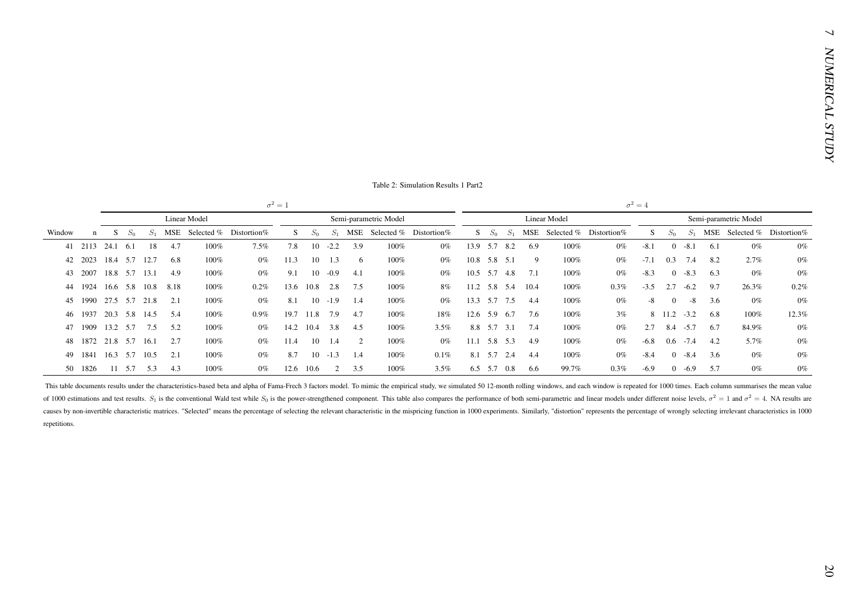| J. |  |  |  |
|----|--|--|--|
|    |  |  |  |

|              |                    |                    |       |                          |      |                     |                                                                                                                                                                                                                                                                                                                                                                                                                                                                 | $\sigma^2=1$ |           |             |     |                       |                                  |                |             |             |      |              |                            | $\sigma^2=4$ |                |             |     |                            |       |
|--------------|--------------------|--------------------|-------|--------------------------|------|---------------------|-----------------------------------------------------------------------------------------------------------------------------------------------------------------------------------------------------------------------------------------------------------------------------------------------------------------------------------------------------------------------------------------------------------------------------------------------------------------|--------------|-----------|-------------|-----|-----------------------|----------------------------------|----------------|-------------|-------------|------|--------------|----------------------------|--------------|----------------|-------------|-----|----------------------------|-------|
|              |                    |                    |       |                          |      | <b>Linear Model</b> |                                                                                                                                                                                                                                                                                                                                                                                                                                                                 |              |           |             |     | Semi-parametric Model |                                  |                |             |             |      | Linear Model |                            |              |                |             |     | Semi-parametric Model      |       |
| Window       | n                  | S                  | $S_0$ | $S_1$                    |      |                     | MSE Selected % Distortion%                                                                                                                                                                                                                                                                                                                                                                                                                                      | S            | $S_0$     |             |     |                       | $S_1$ MSE Selected % Distortion% |                | $S \t S_0$  | $S_1$       |      |              | MSE Selected % Distortion% | S            | $S_0$          | $S_1$       |     | MSE Selected % Distortion% |       |
|              | 41 2113 24.1 6.1   |                    |       | 18                       | 4.7  | 100%                | 7.5%                                                                                                                                                                                                                                                                                                                                                                                                                                                            | 7.8          |           | $10 -2.2$   | 3.9 | 100%                  | $0\%$                            | 13.9 5.7 8.2   |             |             | 6.9  | $100\%$      | $0\%$                      | $-8.1$       | $\overline{0}$ | $-8.1$      | 6.1 | $0\%$                      | $0\%$ |
|              | 42 2023            |                    |       | 18.4 5.7 12.7            | 6.8  | 100%                | $0\%$                                                                                                                                                                                                                                                                                                                                                                                                                                                           | 11.3         |           | $10 \t 1.3$ | 6   | 100%                  | $0\%$                            | 10.8 5.8 5.1   |             |             | 9    | 100%         | $0\%$                      | $-7.1$       |                | $0.3$ 7.4   | 8.2 | 2.7%                       | $0\%$ |
| 43           | 2007               |                    |       | 18.8 5.7 13.1            | 4.9  | 100%                | $0\%$                                                                                                                                                                                                                                                                                                                                                                                                                                                           | 9.1          | 10        | $-0.9$      | 4.1 | 100%                  | $0\%$                            | $10.5$ 5.7 4.8 |             |             | 7.1  | 100%         | $0\%$                      | $-8.3$       | $\overline{0}$ | $-8.3$      | 6.3 | $0\%$                      | $0\%$ |
| 44           | 1924               |                    |       | 16.6 5.8 10.8            | 8.18 | 100%                | 0.2%                                                                                                                                                                                                                                                                                                                                                                                                                                                            | 13.6         | 10.8      | 2.8         | 7.5 | 100%                  | 8%                               | 11.2 5.8 5.4   |             |             | 10.4 | 100%         | $0.3\%$                    | $-3.5$       |                | $2.7 - 6.2$ | 9.7 | 26.3%                      | 0.2%  |
| 45           | 1990 27.5 5.7 21.8 |                    |       |                          | 2.1  | 100%                | $0\%$                                                                                                                                                                                                                                                                                                                                                                                                                                                           | 8.1          |           | $10 - 1.9$  | 1.4 | 100%                  | $0\%$                            | 13.3 5.7 7.5   |             |             | 4.4  | 100%         | $0\%$                      | $-8$         | $\mathbf{0}$   | $-8$        | 3.6 | $0\%$                      | $0\%$ |
| 46           | 1937               |                    |       | 20.3 5.8 14.5            | 5.4  | $100\%$             | $0.9\%$                                                                                                                                                                                                                                                                                                                                                                                                                                                         | 19.7         | 11.8 7.9  |             | 4.7 | 100%                  | 18%                              | 12.6 5.9 6.7   |             |             | 7.6  | 100%         | 3%                         |              | $8$ 11.2 -3.2  |             | 6.8 | 100%                       | 12.3% |
| 47           | 1909               |                    |       | 13.2 5.7 7.5             | 5.2  | 100%                | $0\%$                                                                                                                                                                                                                                                                                                                                                                                                                                                           | 14.2         | 10.4      | 3.8         | 4.5 | 100%                  | 3.5%                             |                | 8.8 5.7 3.1 |             | 7.4  | 100%         | $0\%$                      | 2.7          |                | $8.4 - 5.7$ | 6.7 | 84.9%                      | $0\%$ |
| 48           | 1872 21.8 5.7 16.1 |                    |       |                          | 2.7  | 100%                | $0\%$                                                                                                                                                                                                                                                                                                                                                                                                                                                           | 11.4         | 10        | 1.4         | 2   | 100%                  | $0\%$                            | 11.1 5.8 5.3   |             |             | 4.9  | 100%         | $0\%$                      | $-6.8$       |                | $0.6 - 7.4$ | 4.2 | 5.7%                       | $0\%$ |
| 49           |                    | 1841 16.3 5.7 10.5 |       |                          | 2.1  | 100%                | $0\%$                                                                                                                                                                                                                                                                                                                                                                                                                                                           | 8.7          | 10        | $-1.3$      | 1.4 | 100%                  | $0.1\%$                          |                | 8.1 5.7 2.4 |             | 4.4  | 100%         | $0\%$                      | $-8.4$       | $\overline{0}$ | $-8.4$      | 3.6 | $0\%$                      | $0\%$ |
|              | 50 1826            |                    |       | $11 \quad 5.7 \quad 5.3$ | 4.3  | 100%                | $0\%$                                                                                                                                                                                                                                                                                                                                                                                                                                                           |              | 12.6 10.6 | 2           | 3.5 | 100%                  | 3.5%                             |                |             | 6.5 5.7 0.8 | 6.6  | 99.7%        | $0.3\%$                    | $-6.9$       |                | $0 - 6.9$   | 5.7 | $0\%$                      | $0\%$ |
| repetitions. |                    |                    |       |                          |      |                     | of 1000 estimations and test results. $S_1$ is the conventional Wald test while $S_0$ is the power-strengthened component. This table also compares the performance of both semi-parametric and linear models under different<br>causes by non-invertible characteristic matrices. "Selected" means the percentage of selecting the relevant characteristic in the mispricing function in 1000 experiments. Similarly, "distortion" represents the percentage o |              |           |             |     |                       |                                  |                |             |             |      |              |                            |              |                |             |     |                            |       |
|              |                    |                    |       |                          |      |                     |                                                                                                                                                                                                                                                                                                                                                                                                                                                                 |              |           |             |     |                       |                                  |                |             |             |      |              |                            |              |                |             |     |                            |       |
|              |                    |                    |       |                          |      |                     |                                                                                                                                                                                                                                                                                                                                                                                                                                                                 |              |           |             |     |                       |                                  |                |             |             |      |              |                            |              |                |             |     |                            |       |
|              |                    |                    |       |                          |      |                     |                                                                                                                                                                                                                                                                                                                                                                                                                                                                 |              |           |             |     |                       |                                  |                |             |             |      |              |                            |              |                |             |     |                            |       |
|              |                    |                    |       |                          |      |                     |                                                                                                                                                                                                                                                                                                                                                                                                                                                                 |              |           |             |     |                       |                                  |                |             |             |      |              |                            |              |                |             |     |                            |       |
|              |                    |                    |       |                          |      |                     |                                                                                                                                                                                                                                                                                                                                                                                                                                                                 |              |           |             |     |                       |                                  |                |             |             |      |              |                            |              |                |             |     |                            |       |
|              |                    |                    |       |                          |      |                     |                                                                                                                                                                                                                                                                                                                                                                                                                                                                 |              |           |             |     |                       |                                  |                |             |             |      |              |                            |              |                |             |     |                            |       |
|              |                    |                    |       |                          |      |                     |                                                                                                                                                                                                                                                                                                                                                                                                                                                                 |              |           |             |     |                       |                                  |                |             |             |      |              |                            |              |                |             |     |                            |       |
|              |                    |                    |       |                          |      |                     |                                                                                                                                                                                                                                                                                                                                                                                                                                                                 |              |           |             |     |                       |                                  |                |             |             |      |              |                            |              |                |             |     |                            |       |
|              |                    |                    |       |                          |      |                     |                                                                                                                                                                                                                                                                                                                                                                                                                                                                 |              |           |             |     |                       |                                  |                |             |             |      |              |                            |              |                |             |     |                            |       |
|              |                    |                    |       |                          |      |                     |                                                                                                                                                                                                                                                                                                                                                                                                                                                                 |              |           |             |     |                       |                                  |                |             |             |      |              |                            |              |                |             |     |                            |       |
|              |                    |                    |       |                          |      |                     |                                                                                                                                                                                                                                                                                                                                                                                                                                                                 |              |           |             |     |                       |                                  |                |             |             |      |              |                            |              |                |             |     |                            |       |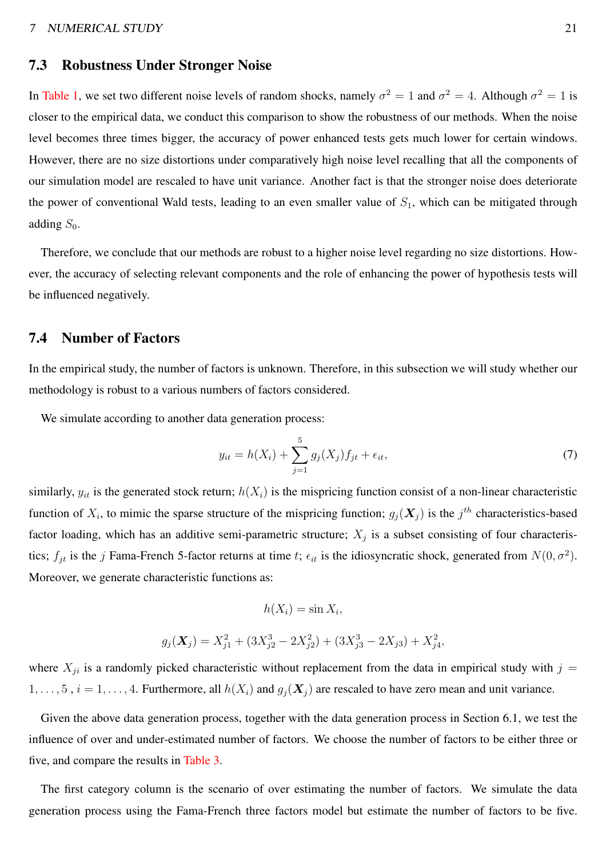#### 7.3 Robustness Under Stronger Noise

In [Table 1,](#page-19-0) we set two different noise levels of random shocks, namely  $\sigma^2 = 1$  and  $\sigma^2 = 4$ . Although  $\sigma^2 = 1$  is closer to the empirical data, we conduct this comparison to show the robustness of our methods. When the noise level becomes three times bigger, the accuracy of power enhanced tests gets much lower for certain windows. However, there are no size distortions under comparatively high noise level recalling that all the components of our simulation model are rescaled to have unit variance. Another fact is that the stronger noise does deteriorate the power of conventional Wald tests, leading to an even smaller value of  $S_1$ , which can be mitigated through adding  $S_0$ .

Therefore, we conclude that our methods are robust to a higher noise level regarding no size distortions. However, the accuracy of selecting relevant components and the role of enhancing the power of hypothesis tests will be influenced negatively.

#### 7.4 Number of Factors

In the empirical study, the number of factors is unknown. Therefore, in this subsection we will study whether our methodology is robust to a various numbers of factors considered.

We simulate according to another data generation process:

$$
y_{it} = h(X_i) + \sum_{j=1}^{5} g_j(X_j) f_{jt} + \epsilon_{it},
$$
\n(7)

,

similarly,  $y_{it}$  is the generated stock return;  $h(X_i)$  is the mispricing function consist of a non-linear characteristic function of  $X_i$ , to mimic the sparse structure of the mispricing function;  $g_j(\mathbf{X}_j)$  is the  $j^{th}$  characteristics-based factor loading, which has an additive semi-parametric structure;  $X_j$  is a subset consisting of four characteristics;  $f_{jt}$  is the j Fama-French 5-factor returns at time t;  $\epsilon_{it}$  is the idiosyncratic shock, generated from  $N(0, \sigma^2)$ . Moreover, we generate characteristic functions as:

$$
h(X_i) = \sin X_i,
$$

$$
g_j(\mathbf{X}_j) = X_{j1}^2 + (3X_{j2}^3 - 2X_{j2}^2) + (3X_{j3}^3 - 2X_{j3}) + X_{j4}^2
$$

where  $X_{ji}$  is a randomly picked characteristic without replacement from the data in empirical study with  $j =$  $1, \ldots, 5$ ,  $i = 1, \ldots, 4$ . Furthermore, all  $h(X_i)$  and  $g_i(\mathbf{X}_j)$  are rescaled to have zero mean and unit variance.

Given the above data generation process, together with the data generation process in Section 6.1, we test the influence of over and under-estimated number of factors. We choose the number of factors to be either three or five, and compare the results in [Table 3.](#page-23-0)

The first category column is the scenario of over estimating the number of factors. We simulate the data generation process using the Fama-French three factors model but estimate the number of factors to be five.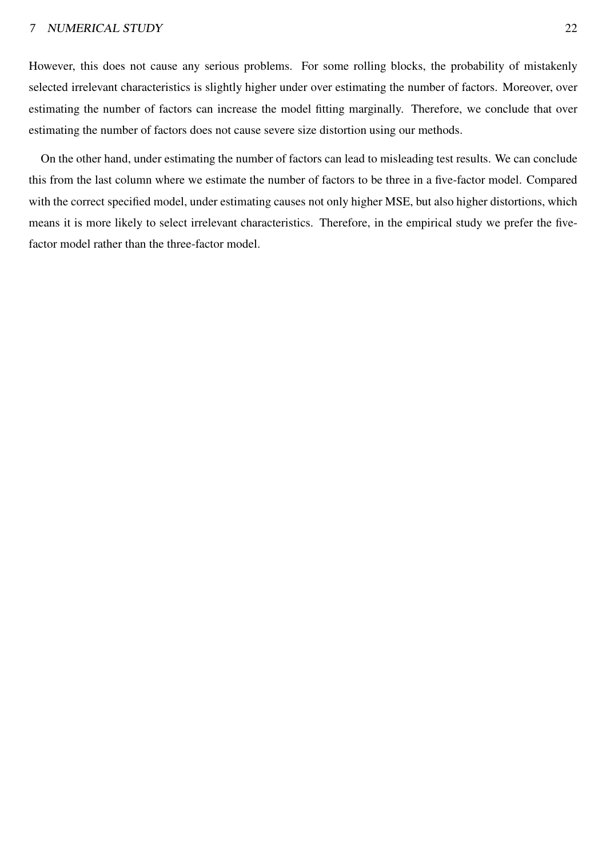#### <sup>7</sup> NUMERICAL STUDY 22

However, this does not cause any serious problems. For some rolling blocks, the probability of mistakenly selected irrelevant characteristics is slightly higher under over estimating the number of factors. Moreover, over estimating the number of factors can increase the model fitting marginally. Therefore, we conclude that over estimating the number of factors does not cause severe size distortion using our methods.

On the other hand, under estimating the number of factors can lead to misleading test results. We can conclude this from the last column where we estimate the number of factors to be three in a five-factor model. Compared with the correct specified model, under estimating causes not only higher MSE, but also higher distortions, which means it is more likely to select irrelevant characteristics. Therefore, in the empirical study we prefer the fivefactor model rather than the three-factor model.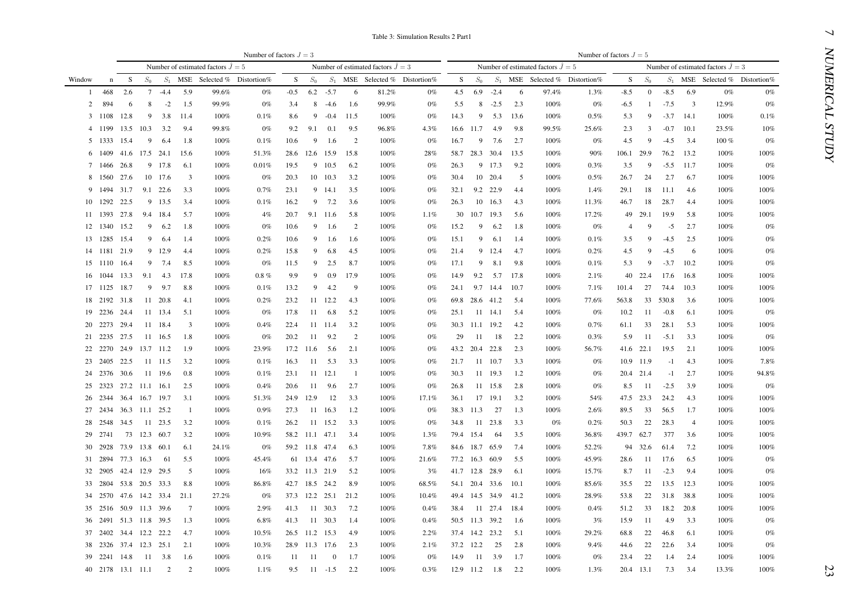<span id="page-23-0"></span>

| Table 3: Simulation Results 2 Part |  |  |  |
|------------------------------------|--|--|--|
|------------------------------------|--|--|--|

|        |         |                                 |                 |          |                         |                                     |                           |        |                |          |                         |                                     | Table 3: Simulation Results 2 Part1 |      |                |                |                     |                                     |                                  |            |              |                   |                |                                            |                                  |
|--------|---------|---------------------------------|-----------------|----------|-------------------------|-------------------------------------|---------------------------|--------|----------------|----------|-------------------------|-------------------------------------|-------------------------------------|------|----------------|----------------|---------------------|-------------------------------------|----------------------------------|------------|--------------|-------------------|----------------|--------------------------------------------|----------------------------------|
|        |         |                                 |                 |          |                         |                                     | Number of factors $J = 3$ |        |                |          |                         |                                     |                                     |      |                |                |                     |                                     | Number of factors $J = 5$        |            |              |                   |                |                                            |                                  |
|        |         |                                 |                 |          |                         | Number of estimated factors $J = 5$ |                           |        |                |          |                         | Number of estimated factors $J = 3$ |                                     |      |                |                |                     | Number of estimated factors $J = 5$ |                                  |            |              |                   |                | Number of estimated factors $\ddot{J} = 3$ |                                  |
| Window | n       | - S                             | $S_0$           | $S_1$    |                         | MSE Selected % Distortion%          |                           | S.     | $S_0$          |          |                         |                                     | $S_1$ MSE Selected % Distortion%    | S    | $S_0$          |                |                     |                                     | $S_1$ MSE Selected % Distortion% | S          | $S_0$        |                   |                |                                            | $S_1$ MSE Selected % Distortion% |
| -1     | 468     | 2.6                             | $7\phantom{.0}$ | $-4.4$   | 5.9                     | 99.6%                               | $0\%$                     | $-0.5$ | 6.2            | $-5.7$   | -6                      | 81.2%                               | $0\%$                               | 4.5  | 6.9            | $-2.4$         | 6                   | 97.4%                               | 1.3%                             | $-8.5$     | $\mathbf{0}$ | $-8.5$            | 6.9            | $0\%$                                      | $0\%$                            |
| 2      | 894     | 6                               | 8               | $-2$     | 1.5                     | 99.9%                               | $0\%$                     | 3.4    | 8              | $-4.6$   | -1.6                    | 99.9%                               | $0\%$                               | 5.5  | 8              | $-2.5$         | 2.3                 | $100\%$                             | $0\%$                            | $-6.5$     | -1           | $-7.5$            | $\overline{3}$ | 12.9%                                      | $0\%$                            |
| 3      | 1108    | 12.8                            | 9               | 3.8      | - 11.4                  | $100\%$                             | 0.1%                      | 8.6    | 9              | $-0.4$   | 11.5                    | 100%                                | $0\%$                               | 14.3 | 9              | 5.3            | 13.6                | 100%                                | 0.5%                             | 5.3        | 9            | $-3.7$            | 14.1           | 100%                                       | 0.1%                             |
|        | 1199    | 13.5                            | 10.3            | 3.2      | 9.4                     | 99.8%                               | 0%                        | 9.2    | 9.1            | 0.1      | 9.5                     | 96.8%                               | 4.3%                                |      | 16.6 11.7      | 4.9            | 9.8                 | 99.5%                               | 25.6%                            | 2.3        | 3            | $-0.7$            | 10.1           | 23.5%                                      | 10%                              |
| 5      | 1333    | 15.4                            | 9               | 6.4      | -1.8                    | 100%                                | 0.1%                      | 10.6   | 9              | 1.6      | 2                       | 100%                                | $0\%$                               | 16.7 | 9              | 7.6            | 2.7                 | $100\%$                             | $0\%$                            | 4.5        | 9            | $-4.5$            | 3.4            | $100\%$                                    | $0\%$                            |
|        | 1409    |                                 |                 |          | 41.6 17.5 24.1 15.6     | 100%                                | 51.3%                     |        | 28.6 12.6 15.9 |          | 15.8                    | 100%                                | 28%                                 |      | 58.7 28.3      | 30.4           | 13.5                | 100%                                | 90%                              | 106.1 29.9 |              | 76.2              | 13.2           | $100\%$                                    | 100%                             |
|        | 1466    | 26.8                            |                 | 9 17.8   | 6.1                     | 100%                                | 0.01%                     | 19.5   |                | 9 10.5   | 6.2                     | 100%                                | $0\%$                               | 26.3 | 9              | 17.3           | 9.2                 | 100%                                | 0.3%                             | 3.5        | -9           | $-5.5$            | - 11.7         | $100\%$                                    | $0\%$                            |
| 8      | 1560    | 27.6                            |                 | 10 17.6  | $\overline{\mathbf{3}}$ | 100%                                | $0\%$                     | 20.3   |                | 10 10.3  | 3.2                     | 100%                                | $0\%$                               | 30.4 |                | 10 20.4        | -5                  | 100%                                | 0.5%                             | 26.7       | 24           | 2.7               | 6.7            | 100%                                       | 100%                             |
| 9      | 1494    | 31.7                            |                 | 9.1 22.6 | 3.3                     | 100%                                | 0.7%                      | 23.1   |                | 9 14.1   | 3.5                     | 100%                                | $0\%$                               | 32.1 |                | 9.2 22.9       | 4.4                 | 100%                                | 1.4%                             | 29.1       | 18           | 11.1              | 4.6            | 100%                                       | 100%                             |
| 10     | 1292    | 22.5                            |                 | 9 13.5   | 3.4                     | 100%                                | 0.1%                      | 16.2   | 9              | 7.2      | 3.6                     | 100%                                | $0\%$                               | 26.3 | 10             | 16.3           | 4.3                 | 100%                                | 11.3%                            | 46.7       | 18           | 28.7              | -4.4           | 100%                                       | 100%                             |
|        | 11 1393 | 27.8                            |                 | 9.4 18.4 | 5.7                     | 100%                                | 4%                        | 20.7   |                | 9.1 11.6 | 5.8                     | 100%                                | 1.1%                                | 30   | 10.7           | 19.3           | 5.6                 | 100%                                | 17.2%                            | 49         | - 29.1       | 19.9              | 5.8            | 100%                                       | 100%                             |
|        |         | 12 1340 15.2                    | 9               | 6.2      | -1.8                    | 100%                                | $0\%$                     | 10.6   | 9              | -1.6     | 2                       | 100%                                | $0\%$                               | 15.2 | 9              | 6.2            | 1.8                 | 100%                                | $0\%$                            | 4          | -9           | $-5$              | 2.7            | 100%                                       | $0\%$                            |
|        |         | 13 1285 15.4                    | 9               | -6.4     | -1.4                    | 100%                                | 0.2%                      | 10.6   | 9              | -1.6     | -1.6                    | 100%                                | $0\%$                               | 15.1 | 9              | 6.1            | 1.4                 | 100%                                | $0.1\%$                          | 3.5        | 9            | $-4.5$            | 2.5            | 100%                                       | $0\%$                            |
|        |         | 14 1181 21.9                    |                 | 9 12.9   | 4.4                     | 100%                                | 0.2%                      | 15.8   | 9              | 6.8      | 4.5                     | 100%                                | $0\%$                               | 21.4 | 9              | 12.4           | 4.7                 | 100%                                | 0.2%                             | 4.5        | 9            | $-4.5$            | - 6            | 100%                                       | $0\%$                            |
|        | 15 1110 | - 16.4                          | 9               | 7.4      | 8.5                     | 100%                                | 0%                        | 11.5   | 9              | 2.5      | 8.7                     | 100%                                | $0\%$                               | 17.1 | 9              | 8.1            | 9.8                 | 100%                                | 0.1%                             | 5.3        | 9            | $-3.7$            | 10.2           | 100%                                       | $0\%$                            |
|        |         | 16 1044 13.3                    | 9.1             | 4.3      | 17.8                    | 100%                                | $0.8 \%$                  | 9.9    | 9              | 0.9      | 17.9                    | 100%                                | $0\%$                               | 14.9 | 9.2            | 5.7            | 17.8                | 100%                                | 2.1%                             |            | 40 22.4      | 17.6              | 16.8           | 100%                                       | 100%                             |
|        |         | 17 1125 18.7                    | 9               | 9.7      | 8.8                     | 100%                                | 0.1%                      | 13.2   | 9              | 4.2      | - 9                     | 100%                                | $0\%$                               | 24.1 |                | 9.7 14.4       | 10.7                | 100%                                | 7.1%                             | 101.4      | 27           | 74.4              | 10.3           | 100%                                       | 100%                             |
|        |         | 18 2192 31.8                    |                 | 11 20.8  | -4.1                    | 100%                                | 0.2%                      | 23.2   | 11             | 12.2     | 4.3                     | 100%                                | $0\%$                               |      |                | 69.8 28.6 41.2 | 5.4                 | 100%                                | 77.6%                            | 563.8      |              | 33 530.8          | 3.6            | 100%                                       | 100%                             |
|        |         | 19 2236 24.4                    |                 | 11 13.4  | 5.1                     | 100%                                | 0%                        | 17.8   | 11             | 6.8      | 5.2                     | 100%                                | $0\%$                               | 25.1 | 11             | - 14.1         | 5.4                 | 100%                                | $0\%$                            | 10.2       | 11           | -0.8              | 6.1            | $100\%$                                    | $0\%$                            |
| 20     | 2273    | 29.4                            |                 | 11 18.4  | $\overline{\mathbf{3}}$ | 100%                                | 0.4%                      | 22.4   |                | 11 11.4  | 3.2                     | 100%                                | $0\%$                               |      | 30.3 11.1      | 19.2           | 4.2                 | 100%                                | 0.7%                             | 61.1       | 33           | 28.1              | 5.3            | 100%                                       | 100%                             |
| 21     | 2235    | 27.5                            |                 | 11 16.5  | -1.8                    | 100%                                | 0%                        | 20.2   | 11             | 9.2      | 2                       | 100%                                | $0\%$                               | 29   | -11            | -18            | 2.2                 | 100%                                | 0.3%                             | 5.9        | -11          | $-5.1$            | 3.3            | $100\%$                                    | $0\%$                            |
| 22     | 2270    |                                 | 24.9 13.7 11.2  |          | -1.9                    | 100%                                | 23.9%                     |        | 17.2 11.6      | 5.6      | 2.1                     | 100%                                | $0\%$                               |      | 43.2 20.4      | 22.8           | 2.3                 | $100\%$                             | 56.7%                            |            | 41.6 22.1    | 19.5              | 2.1            | $100\%$                                    | 100%                             |
| 23     | 2405    | 22.5                            |                 | 11 11.5  | 3.2                     | 100%                                | 0.1%                      | 16.3   | -11            | 5.3      | 3.3                     | 100%                                | $0\%$                               | 21.7 |                | 11 10.7        | 3.3                 | 100%                                | $0\%$                            |            | 10.9 11.9    | $-1$              | 4.3            | 100%                                       | 7.8%                             |
|        | 24 2376 | 30.6                            |                 | 11 19.6  | 0.8                     | 100%                                | 0.1%                      | 23.1   |                | 11 12.1  | - 1                     | 100%                                | $0\%$                               | 30.3 |                | 11 19.3        | 1.2                 | 100%                                | $0\%$                            |            | 20.4 21.4    | $-1$              | 2.7            | $100\%$                                    | 94.8%                            |
| 25     | 2323    |                                 | 27.2 11.1 16.1  |          | 2.5                     | 100%                                | 0.4%                      | 20.6   | 11             | 9.6      | 2.7                     | 100%                                | $0\%$                               | 26.8 |                | 11 15.8        | 2.8                 | 100%                                | $0\%$                            | 8.5        | - 11         | $-2.5$            | 3.9            | $100\%$                                    | $0\%$                            |
| 26     | 2344    |                                 | 36.4 16.7 19.7  |          | 3.1                     | 100%                                | 51.3%                     |        | 24.9 12.9      | 12       | 3.3                     | 100%                                | 17.1%                               | 36.1 |                | 17 19.1        | 3.2                 | 100%                                | 54%                              |            | 47.5 23.3    | 24.2              | 4.3            | $100\%$                                    | 100%                             |
| 27     | 2434    |                                 | 36.3 11.1 25.2  |          | -1                      | 100%                                | $0.9\%$                   | 27.3   |                | 11 16.3  | 1.2                     | 100%                                | $0\%$                               |      | 38.3 11.3      | -27            | 1.3                 | 100%                                | 2.6%                             | 89.5       | 33           | 56.5              | 1.7            | $100\%$                                    | 100%                             |
| 28     | 2548    | 34.5                            |                 | 11 23.5  | 3.2                     | 100%                                | 0.1%                      | 26.2   |                | 11 15.2  | 3.3                     | 100%                                | $0\%$                               | 34.8 | -11            | 23.8           | 3.3                 | 0%                                  | 0.2%                             | 50.3       | 22           | 28.3              | $\overline{4}$ | $100\%$                                    | 100%                             |
| 29     | 2741    |                                 | 73 12.3 60.7    |          | 3.2                     | 100%                                | 10.9%                     |        | 58.2 11.1 47.1 |          | 3.4                     | 100%                                | 1.3%                                |      | 79.4 15.4      | -64            | 3.5                 | $100\%$                             | 36.8%                            | 439.7 62.7 |              | 377               | 3.6            | $100\%$                                    | 100%                             |
| 30     | 2928    |                                 | 73.9 13.8 60.1  |          | 6.1                     | 24.1%                               | 0%                        |        | 59.2 11.8 47.4 |          | 6.3                     | 100%                                | 7.8%                                |      | 84.6 18.7 65.9 |                | 7.4                 | $100\%$                             | 52.2%                            |            | 94 32.6      | 61.4              | 7.2            | $100\%$                                    | 100%                             |
|        | 31 2894 | 77.3 16.3                       |                 | - 61     | 5.5                     | 100%                                | 45.4%                     |        | 61 13.4 47.6   |          | - 5.7                   | 100%                                | 21.6%                               |      | 77.2 16.3 60.9 |                | 5.5                 | $100\%$                             | 45.9%                            | 28.6       | -11          | 17.6              | 6.5            | $100\%$                                    | $0\%$                            |
| 32     | 2905    |                                 | 42.4 12.9 29.5  |          | 5                       | 100%                                | 16%                       |        | 33.2 11.3 21.9 |          | 5.2                     | 100%                                | 3%                                  |      | 41.7 12.8      | 28.9           | 6.1                 | $100\%$                             | 15.7%                            | 8.7        | -11          | $-2.3$            | 9.4            | 100%                                       | $0\%$                            |
|        |         | 33 2804 53.8 20.5 33.3          |                 |          | 8.8                     | 100%                                | 86.8%                     |        | 42.7 18.5 24.2 |          | 8.9                     | 100%                                | 68.5%                               |      |                | 54.1 20.4 33.6 | - 10.1              | 100%                                | 85.6%                            | 35.5       | 22           | 13.5 12.3         |                | $100\%$                                    | 100%                             |
|        |         | 34 2570 47.6 14.2 33.4 21.1     |                 |          |                         | 27.2%                               | $0\%$                     |        |                |          | 37.3 12.2 25.1 21.2     | 100%                                | 10.4%                               |      |                |                | 49.4 14.5 34.9 41.2 | 100%                                | 28.9%                            | 53.8       |              | 22 31.8 38.8      |                | 100%                                       | 100%                             |
|        |         | 35 2516 50.9 11.3 39.6          |                 |          | $\overline{7}$          | 100%                                | 2.9%                      |        |                |          | 41.3 11 30.3 7.2        | 100%                                | $0.4\%$                             |      |                |                | 38.4 11 27.4 18.4   | 100%                                | $0.4\%$                          |            |              | 51.2 33 18.2 20.8 |                | 100%                                       | 100%                             |
|        |         | 36 2491 51.3 11.8 39.5 1.3      |                 |          |                         | 100%                                | 6.8%                      |        |                |          | 41.3 11 30.3 1.4        | 100%                                | 0.4%                                |      |                |                | 50.5 11.3 39.2 1.6  | 100%                                | 3%                               | 15.9       | - 11         | 4.9               | 3.3            | 100%                                       | $0\%$                            |
|        |         | 37  2402  34.4  12.2  22.2  4.7 |                 |          |                         | 100%                                | 10.5%                     |        |                |          | 26.5 11.2 15.3 4.9      | 100%                                | 2.2%                                |      |                |                | 37.4 14.2 23.2 5.1  | 100%                                | 29.2%                            | 68.8       | 22           | 46.8              | 6.1            | 100%                                       | $0\%$                            |
|        |         | 38 2326 37.4 12.3 25.1 2.1      |                 |          |                         | 100%                                | 10.3%                     |        |                |          | 28.9 11.3 17.6 2.3      | 100%                                | 2.1%                                |      |                | 37.2 12.2 25   | 2.8                 | 100%                                | 9.4%                             | 44.6       | 22           | 22.6              | 3.4            | 100%                                       | $0\%$                            |
|        |         | 39  2241  14.8  11  3.8  1.6    |                 |          |                         | 100%                                | 0.1%                      |        |                |          | 11 11 0 1.7             | 100%                                | $0\%$                               |      |                | 14.9 11 3.9    | 1.7                 | 100%                                | $0\%$                            | 23.4       | 22           | 1.4               | 2.4            | 100%                                       | 100%                             |
|        |         |                                 |                 |          | 40 2178 13.1 11.1 2 2   | 100%                                | 1.1%                      |        |                |          | $9.5$ $11$ $-1.5$ $2.2$ | 100%                                | $0.3\%$                             |      |                |                | 12.9 11.2 1.8 2.2   | 100%                                | $1.3\%$                          |            |              | 20.4 13.1 7.3 3.4 |                | 13.3%                                      | 100%                             |
|        |         |                                 |                 |          |                         |                                     |                           |        |                |          |                         |                                     |                                     |      |                |                |                     |                                     |                                  |            |              |                   |                |                                            |                                  |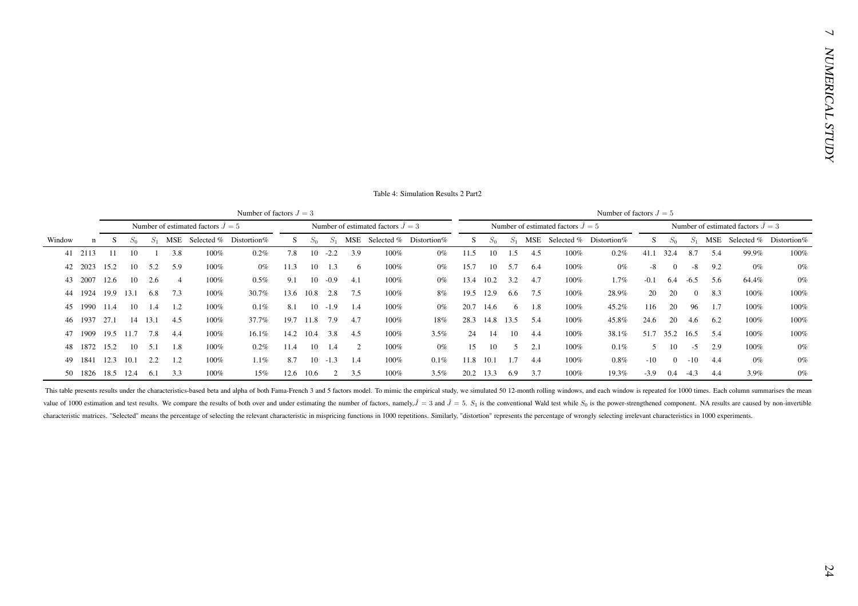| Number of estimated factors $\hat{J} = 5$<br>Number of estimated factors $\hat{J} = 3$<br>Number of estimated factors $\hat{J} = 5$<br>Number of estimated factors $\hat{J} = 3$<br>$S_1$ MSE Selected % Distortion%<br>S<br>$S_1$<br>MSE Selected % Distortion%<br>S<br>$S_1$ MSE Selected % Distortion%<br>S<br>$S_1$<br>S.<br>$S_0$<br>$S_0$<br>$S_0$<br>$S_0$<br>Window<br>$\mathbf n$<br>41 2113<br>3.8<br>$10 - 2.2$<br>3.9<br>11.5<br>10<br>1.5<br>4.5<br>41.1 32.4<br>8.7<br>99.9%<br>-11<br>10<br>100%<br>7.8<br>100%<br>$0\%$<br>100%<br>5.4<br>-1<br>0.2%<br>0.2%<br>10<br>10 1.3<br>10<br>5.7<br>2023<br>15.2<br>5.2<br>5.9<br>100%<br>$0\%$<br>11.3<br>100%<br>$0\%$<br>15.7<br>6.4<br>100%<br>$0\%$<br>$-8$<br>$\overline{0}$<br>$-8$<br>9.2<br>$0\%$<br>42<br>6<br>$10 - 0.9$<br>3.2<br>2007<br>12.6<br>10<br>2.6<br>100%<br>0.5%<br>9.1<br>13.4 10.2<br>4.7<br>100%<br>1.7%<br>$-0.1$<br>6.4<br>64.4%<br>$\overline{4}$<br>4.1<br>100%<br>$0\%$<br>$-6.5$<br>5.6<br>43<br>2.8<br>12.9<br>20<br>20<br>19.9<br>13.1<br>6.8<br>7.3<br>13.6<br>10.8<br>7.5<br>19.5<br>6.6<br>7.5<br>28.9%<br>$\overline{0}$<br>8.3<br>1924<br>$100\%$<br>30.7%<br>100%<br>8%<br>100%<br>100%<br>44<br>1990<br>10<br>1.2<br>0.1%<br>8.1<br>$10 - 1.9$<br>20.7<br>14.6<br>1.8<br>45.2%<br>116<br>20<br>96<br>11.4<br>1.4<br>$100\%$<br>100%<br>$0\%$<br>6<br>100%<br>100%<br>45<br>1.4<br>1.7<br>11.8 7.9<br>28.3 14.8 13.5<br>20<br>1937<br>27.1<br>14<br>13.1<br>4.5<br>37.7%<br>19.7<br>100%<br>18%<br>5.4<br>100%<br>45.8%<br>24.6<br>100%<br>$100\%$<br>4.7<br>4.6<br>6.2<br>46<br>14.2<br>10.4<br>51.7<br>35.2 16.5<br>1909<br>19.5 11.7<br>7.8<br>16.1%<br>3.8<br>14<br>10<br>38.1%<br>4.4<br>$100\%$<br>4.5<br>$100\%$<br>3.5%<br>24<br>4.4<br>100%<br>5.4<br>$100\%$<br>47<br>15.2<br>11.4<br>10<br>15<br>10<br>0.1%<br>10<br>$-5$<br>1872<br>10<br>5.1<br>1.8<br>100%<br>0.2%<br>1.4<br>2<br>100%<br>$0\%$<br>5<br>2.1<br>100%<br>5<br>2.9<br>100%<br>48<br>$-10$<br>1841<br>12.3 10.1<br>1.1%<br>8.7<br>10<br>$-1.3$<br>0.1%<br>11.8 10.1<br>1.7<br>100%<br>$0.8\%$<br>$0\%$<br>2.2<br>1.2<br>$100\%$<br>1.4<br>100%<br>4.4<br>$\overline{0}$<br>$-10$<br>49<br>4.4<br>50 1826 18.5 12.4 6.1 3.3<br>100%<br>15%<br>12.6 10.6<br>$\overline{2}$<br>3.5<br>100%<br>3.5%<br>20.2 13.3 6.9<br>3.7<br>100%<br>19.3%<br>$-3.9$<br>$0.4 -4.3$<br>3.9%<br>4.4<br>characteristic matrices. "Selected" means the percentage of selecting the relevant characteristic in mispricing functions in 1000 repetitions. Similarly, "distortion" represents the percentage of wrongly selecting irreleva | MSE Selected % Distortion%<br>This table presents results under the characteristics-based beta and alpha of both Fama-French 3 and 5 factors model. To mimic the empirical study, we simulated 50 12-month rolling windows, and each window is repeated for<br>value of 1000 estimation and test results. We compare the results of both over and under estimating the number of factors, namely, $\hat{J} = 3$ and $\hat{J} = 5$ . $S_1$ is the conventional Wald test while $S_0$ is the power-st |  |  |  | Number of factors $J = 3$ |  |  |  |  |  | Number of factors $J = 5$ |  |  |       |
|----------------------------------------------------------------------------------------------------------------------------------------------------------------------------------------------------------------------------------------------------------------------------------------------------------------------------------------------------------------------------------------------------------------------------------------------------------------------------------------------------------------------------------------------------------------------------------------------------------------------------------------------------------------------------------------------------------------------------------------------------------------------------------------------------------------------------------------------------------------------------------------------------------------------------------------------------------------------------------------------------------------------------------------------------------------------------------------------------------------------------------------------------------------------------------------------------------------------------------------------------------------------------------------------------------------------------------------------------------------------------------------------------------------------------------------------------------------------------------------------------------------------------------------------------------------------------------------------------------------------------------------------------------------------------------------------------------------------------------------------------------------------------------------------------------------------------------------------------------------------------------------------------------------------------------------------------------------------------------------------------------------------------------------------------------------------------------------------------------------------------------------------------------------------------------------------------------------------------------------------------------------------------------------------------------------------------------------------------------------------------------------------------------------------------------------------------------------------------------------------------------------------------------------------------------------------------------------------|-----------------------------------------------------------------------------------------------------------------------------------------------------------------------------------------------------------------------------------------------------------------------------------------------------------------------------------------------------------------------------------------------------------------------------------------------------------------------------------------------------|--|--|--|---------------------------|--|--|--|--|--|---------------------------|--|--|-------|
|                                                                                                                                                                                                                                                                                                                                                                                                                                                                                                                                                                                                                                                                                                                                                                                                                                                                                                                                                                                                                                                                                                                                                                                                                                                                                                                                                                                                                                                                                                                                                                                                                                                                                                                                                                                                                                                                                                                                                                                                                                                                                                                                                                                                                                                                                                                                                                                                                                                                                                                                                                                              |                                                                                                                                                                                                                                                                                                                                                                                                                                                                                                     |  |  |  |                           |  |  |  |  |  |                           |  |  |       |
|                                                                                                                                                                                                                                                                                                                                                                                                                                                                                                                                                                                                                                                                                                                                                                                                                                                                                                                                                                                                                                                                                                                                                                                                                                                                                                                                                                                                                                                                                                                                                                                                                                                                                                                                                                                                                                                                                                                                                                                                                                                                                                                                                                                                                                                                                                                                                                                                                                                                                                                                                                                              |                                                                                                                                                                                                                                                                                                                                                                                                                                                                                                     |  |  |  |                           |  |  |  |  |  |                           |  |  |       |
|                                                                                                                                                                                                                                                                                                                                                                                                                                                                                                                                                                                                                                                                                                                                                                                                                                                                                                                                                                                                                                                                                                                                                                                                                                                                                                                                                                                                                                                                                                                                                                                                                                                                                                                                                                                                                                                                                                                                                                                                                                                                                                                                                                                                                                                                                                                                                                                                                                                                                                                                                                                              |                                                                                                                                                                                                                                                                                                                                                                                                                                                                                                     |  |  |  |                           |  |  |  |  |  |                           |  |  | 100%  |
|                                                                                                                                                                                                                                                                                                                                                                                                                                                                                                                                                                                                                                                                                                                                                                                                                                                                                                                                                                                                                                                                                                                                                                                                                                                                                                                                                                                                                                                                                                                                                                                                                                                                                                                                                                                                                                                                                                                                                                                                                                                                                                                                                                                                                                                                                                                                                                                                                                                                                                                                                                                              |                                                                                                                                                                                                                                                                                                                                                                                                                                                                                                     |  |  |  |                           |  |  |  |  |  |                           |  |  | $0\%$ |
|                                                                                                                                                                                                                                                                                                                                                                                                                                                                                                                                                                                                                                                                                                                                                                                                                                                                                                                                                                                                                                                                                                                                                                                                                                                                                                                                                                                                                                                                                                                                                                                                                                                                                                                                                                                                                                                                                                                                                                                                                                                                                                                                                                                                                                                                                                                                                                                                                                                                                                                                                                                              |                                                                                                                                                                                                                                                                                                                                                                                                                                                                                                     |  |  |  |                           |  |  |  |  |  |                           |  |  | $0\%$ |
|                                                                                                                                                                                                                                                                                                                                                                                                                                                                                                                                                                                                                                                                                                                                                                                                                                                                                                                                                                                                                                                                                                                                                                                                                                                                                                                                                                                                                                                                                                                                                                                                                                                                                                                                                                                                                                                                                                                                                                                                                                                                                                                                                                                                                                                                                                                                                                                                                                                                                                                                                                                              |                                                                                                                                                                                                                                                                                                                                                                                                                                                                                                     |  |  |  |                           |  |  |  |  |  |                           |  |  | 100%  |
|                                                                                                                                                                                                                                                                                                                                                                                                                                                                                                                                                                                                                                                                                                                                                                                                                                                                                                                                                                                                                                                                                                                                                                                                                                                                                                                                                                                                                                                                                                                                                                                                                                                                                                                                                                                                                                                                                                                                                                                                                                                                                                                                                                                                                                                                                                                                                                                                                                                                                                                                                                                              |                                                                                                                                                                                                                                                                                                                                                                                                                                                                                                     |  |  |  |                           |  |  |  |  |  |                           |  |  | 100%  |
|                                                                                                                                                                                                                                                                                                                                                                                                                                                                                                                                                                                                                                                                                                                                                                                                                                                                                                                                                                                                                                                                                                                                                                                                                                                                                                                                                                                                                                                                                                                                                                                                                                                                                                                                                                                                                                                                                                                                                                                                                                                                                                                                                                                                                                                                                                                                                                                                                                                                                                                                                                                              |                                                                                                                                                                                                                                                                                                                                                                                                                                                                                                     |  |  |  |                           |  |  |  |  |  |                           |  |  | 100%  |
|                                                                                                                                                                                                                                                                                                                                                                                                                                                                                                                                                                                                                                                                                                                                                                                                                                                                                                                                                                                                                                                                                                                                                                                                                                                                                                                                                                                                                                                                                                                                                                                                                                                                                                                                                                                                                                                                                                                                                                                                                                                                                                                                                                                                                                                                                                                                                                                                                                                                                                                                                                                              |                                                                                                                                                                                                                                                                                                                                                                                                                                                                                                     |  |  |  |                           |  |  |  |  |  |                           |  |  | 100%  |
|                                                                                                                                                                                                                                                                                                                                                                                                                                                                                                                                                                                                                                                                                                                                                                                                                                                                                                                                                                                                                                                                                                                                                                                                                                                                                                                                                                                                                                                                                                                                                                                                                                                                                                                                                                                                                                                                                                                                                                                                                                                                                                                                                                                                                                                                                                                                                                                                                                                                                                                                                                                              |                                                                                                                                                                                                                                                                                                                                                                                                                                                                                                     |  |  |  |                           |  |  |  |  |  |                           |  |  | $0\%$ |
|                                                                                                                                                                                                                                                                                                                                                                                                                                                                                                                                                                                                                                                                                                                                                                                                                                                                                                                                                                                                                                                                                                                                                                                                                                                                                                                                                                                                                                                                                                                                                                                                                                                                                                                                                                                                                                                                                                                                                                                                                                                                                                                                                                                                                                                                                                                                                                                                                                                                                                                                                                                              |                                                                                                                                                                                                                                                                                                                                                                                                                                                                                                     |  |  |  |                           |  |  |  |  |  |                           |  |  | $0\%$ |
|                                                                                                                                                                                                                                                                                                                                                                                                                                                                                                                                                                                                                                                                                                                                                                                                                                                                                                                                                                                                                                                                                                                                                                                                                                                                                                                                                                                                                                                                                                                                                                                                                                                                                                                                                                                                                                                                                                                                                                                                                                                                                                                                                                                                                                                                                                                                                                                                                                                                                                                                                                                              |                                                                                                                                                                                                                                                                                                                                                                                                                                                                                                     |  |  |  |                           |  |  |  |  |  |                           |  |  |       |
|                                                                                                                                                                                                                                                                                                                                                                                                                                                                                                                                                                                                                                                                                                                                                                                                                                                                                                                                                                                                                                                                                                                                                                                                                                                                                                                                                                                                                                                                                                                                                                                                                                                                                                                                                                                                                                                                                                                                                                                                                                                                                                                                                                                                                                                                                                                                                                                                                                                                                                                                                                                              |                                                                                                                                                                                                                                                                                                                                                                                                                                                                                                     |  |  |  |                           |  |  |  |  |  |                           |  |  |       |
|                                                                                                                                                                                                                                                                                                                                                                                                                                                                                                                                                                                                                                                                                                                                                                                                                                                                                                                                                                                                                                                                                                                                                                                                                                                                                                                                                                                                                                                                                                                                                                                                                                                                                                                                                                                                                                                                                                                                                                                                                                                                                                                                                                                                                                                                                                                                                                                                                                                                                                                                                                                              |                                                                                                                                                                                                                                                                                                                                                                                                                                                                                                     |  |  |  |                           |  |  |  |  |  |                           |  |  | $0\%$ |
|                                                                                                                                                                                                                                                                                                                                                                                                                                                                                                                                                                                                                                                                                                                                                                                                                                                                                                                                                                                                                                                                                                                                                                                                                                                                                                                                                                                                                                                                                                                                                                                                                                                                                                                                                                                                                                                                                                                                                                                                                                                                                                                                                                                                                                                                                                                                                                                                                                                                                                                                                                                              |                                                                                                                                                                                                                                                                                                                                                                                                                                                                                                     |  |  |  |                           |  |  |  |  |  |                           |  |  |       |
|                                                                                                                                                                                                                                                                                                                                                                                                                                                                                                                                                                                                                                                                                                                                                                                                                                                                                                                                                                                                                                                                                                                                                                                                                                                                                                                                                                                                                                                                                                                                                                                                                                                                                                                                                                                                                                                                                                                                                                                                                                                                                                                                                                                                                                                                                                                                                                                                                                                                                                                                                                                              |                                                                                                                                                                                                                                                                                                                                                                                                                                                                                                     |  |  |  |                           |  |  |  |  |  |                           |  |  |       |
|                                                                                                                                                                                                                                                                                                                                                                                                                                                                                                                                                                                                                                                                                                                                                                                                                                                                                                                                                                                                                                                                                                                                                                                                                                                                                                                                                                                                                                                                                                                                                                                                                                                                                                                                                                                                                                                                                                                                                                                                                                                                                                                                                                                                                                                                                                                                                                                                                                                                                                                                                                                              |                                                                                                                                                                                                                                                                                                                                                                                                                                                                                                     |  |  |  |                           |  |  |  |  |  |                           |  |  |       |
|                                                                                                                                                                                                                                                                                                                                                                                                                                                                                                                                                                                                                                                                                                                                                                                                                                                                                                                                                                                                                                                                                                                                                                                                                                                                                                                                                                                                                                                                                                                                                                                                                                                                                                                                                                                                                                                                                                                                                                                                                                                                                                                                                                                                                                                                                                                                                                                                                                                                                                                                                                                              |                                                                                                                                                                                                                                                                                                                                                                                                                                                                                                     |  |  |  |                           |  |  |  |  |  |                           |  |  |       |
|                                                                                                                                                                                                                                                                                                                                                                                                                                                                                                                                                                                                                                                                                                                                                                                                                                                                                                                                                                                                                                                                                                                                                                                                                                                                                                                                                                                                                                                                                                                                                                                                                                                                                                                                                                                                                                                                                                                                                                                                                                                                                                                                                                                                                                                                                                                                                                                                                                                                                                                                                                                              |                                                                                                                                                                                                                                                                                                                                                                                                                                                                                                     |  |  |  |                           |  |  |  |  |  |                           |  |  |       |
|                                                                                                                                                                                                                                                                                                                                                                                                                                                                                                                                                                                                                                                                                                                                                                                                                                                                                                                                                                                                                                                                                                                                                                                                                                                                                                                                                                                                                                                                                                                                                                                                                                                                                                                                                                                                                                                                                                                                                                                                                                                                                                                                                                                                                                                                                                                                                                                                                                                                                                                                                                                              |                                                                                                                                                                                                                                                                                                                                                                                                                                                                                                     |  |  |  |                           |  |  |  |  |  |                           |  |  |       |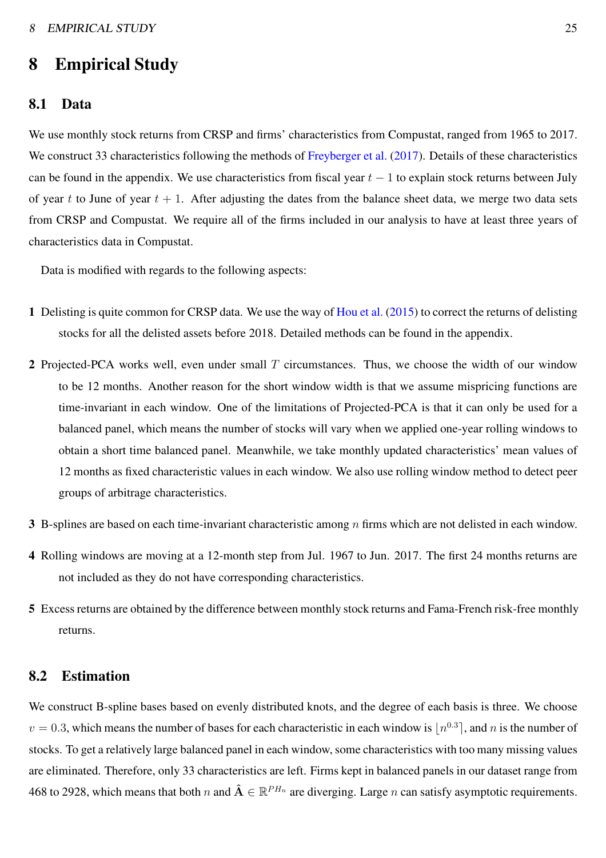# 8 Empirical Study

#### 8.1 Data

We use monthly stock returns from CRSP and firms' characteristics from Compustat, ranged from 1965 to 2017. We construct 33 characteristics following the methods of [Freyberger et al.](#page-47-4) [\(2017](#page-47-4)). Details of these characteristics can be found in the appendix. We use characteristics from fiscal year  $t - 1$  to explain stock returns between July of year t to June of year  $t + 1$ . After adjusting the dates from the balance sheet data, we merge two data sets from CRSP and Compustat. We require all of the firms included in our analysis to have at least three years of characteristics data in Compustat.

Data is modified with regards to the following aspects:

- 1 Delisting is quite common for CRSP data. We use the way of [Hou et al.](#page-48-1) [\(2015\)](#page-48-1) to correct the returns of delisting stocks for all the delisted assets before 2018. Detailed methods can be found in the appendix.
- 2 Projected-PCA works well, even under small  $T$  circumstances. Thus, we choose the width of our window to be 12 months. Another reason for the short window width is that we assume mispricing functions are time-invariant in each window. One of the limitations of Projected-PCA is that it can only be used for a balanced panel, which means the number of stocks will vary when we applied one-year rolling windows to obtain a short time balanced panel. Meanwhile, we take monthly updated characteristics' mean values of 12 months as fixed characteristic values in each window. We also use rolling window method to detect peer groups of arbitrage characteristics.
- 3 B-splines are based on each time-invariant characteristic among  $n$  firms which are not delisted in each window.
- 4 Rolling windows are moving at a 12-month step from Jul. 1967 to Jun. 2017. The first 24 months returns are not included as they do not have corresponding characteristics.
- 5 Excess returns are obtained by the difference between monthly stock returns and Fama-French risk-free monthly returns.

#### 8.2 Estimation

We construct B-spline bases based on evenly distributed knots, and the degree of each basis is three. We choose  $v = 0.3$ , which means the number of bases for each characteristic in each window is  $\lfloor n^{0.3} \rfloor$ , and n is the number of stocks. To get a relatively large balanced panel in each window, some characteristics with too many missing values are eliminated. Therefore, only 33 characteristics are left. Firms kept in balanced panels in our dataset range from 468 to 2928, which means that both n and  $\hat{A} \in \mathbb{R}^{PH_n}$  are diverging. Large n can satisfy asymptotic requirements.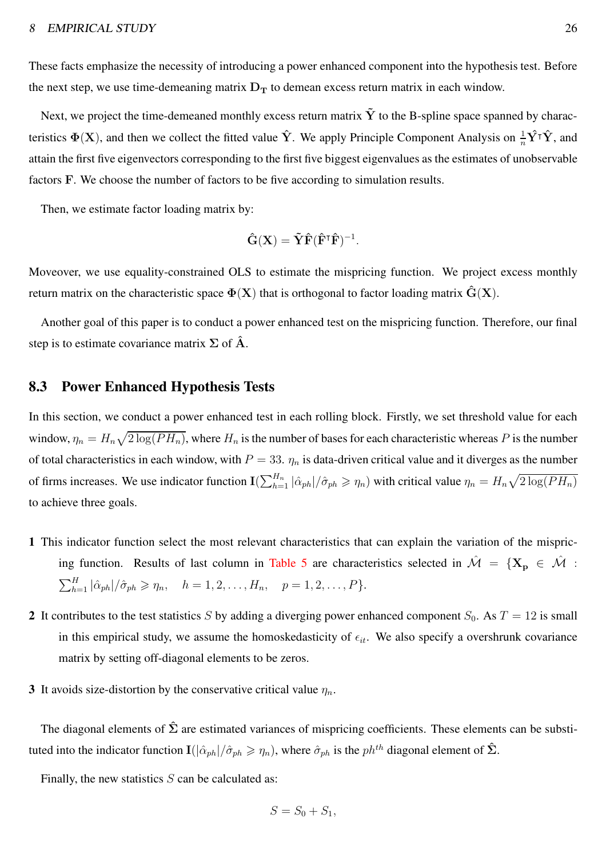These facts emphasize the necessity of introducing a power enhanced component into the hypothesis test. Before the next step, we use time-demeaning matrix  $D_T$  to demean excess return matrix in each window.

Next, we project the time-demeaned monthly excess return matrix  $\tilde{Y}$  to the B-spline space spanned by characteristics  $\Phi(X)$ , and then we collect the fitted value  $\hat{Y}$ . We apply Principle Component Analysis on  $\frac{1}{n}\hat{Y}^{\dagger}\hat{Y}$ , and attain the first five eigenvectors corresponding to the first five biggest eigenvalues as the estimates of unobservable factors F. We choose the number of factors to be five according to simulation results.

Then, we estimate factor loading matrix by:

$$
\hat{\mathbf{G}}(\mathbf{X}) = \tilde{\mathbf{Y}} \hat{\mathbf{F}} (\hat{\mathbf{F}}^{\mathsf{T}} \hat{\mathbf{F}})^{-1}.
$$

Moveover, we use equality-constrained OLS to estimate the mispricing function. We project excess monthly return matrix on the characteristic space  $\Phi(X)$  that is orthogonal to factor loading matrix  $\hat{G}(X)$ .

Another goal of this paper is to conduct a power enhanced test on the mispricing function. Therefore, our final step is to estimate covariance matrix  $\Sigma$  of  $\hat{A}$ .

#### 8.3 Power Enhanced Hypothesis Tests

In this section, we conduct a power enhanced test in each rolling block. Firstly, we set threshold value for each window,  $\eta_n = H_n \sqrt{2 \log(PH_n)}$ , where  $H_n$  is the number of bases for each characteristic whereas P is the number of total characteristics in each window, with  $P = 33$ .  $\eta_n$  is data-driven critical value and it diverges as the number of firms increases. We use indicator function  $\mathbf{I}(\sum_{h=1}^{H_n}|\hat{\alpha}_{ph}|/\hat{\sigma}_{ph}\geq \eta_n)$  with critical value  $\eta_n = H_n\sqrt{2\log(PH_n)}$ to achieve three goals.

- 1 This indicator function select the most relevant characteristics that can explain the variation of the mispric-ing function. Results of last column in [Table 5](#page-28-0) are characteristics selected in  $\hat{\mathcal{M}} = \{X_p \in \hat{\mathcal{M}} :$  $\sum_{h=1}^{H} |\hat{\alpha}_{ph}|/\hat{\sigma}_{ph} \ge \eta_n$ ,  $h = 1, 2, ..., H_n$ ,  $p = 1, 2, ..., P$ .
- 2 It contributes to the test statistics S by adding a diverging power enhanced component  $S_0$ . As  $T = 12$  is small in this empirical study, we assume the homoskedasticity of  $\epsilon_{it}$ . We also specify a overshrunk covariance matrix by setting off-diagonal elements to be zeros.
- 3 It avoids size-distortion by the conservative critical value  $\eta_n$ .

The diagonal elements of  $\hat{\Sigma}$  are estimated variances of mispricing coefficients. These elements can be substituted into the indicator function  $\mathbf{I}(|\hat{\alpha}_{ph}|/\hat{\sigma}_{ph} \geq \eta_n)$ , where  $\hat{\sigma}_{ph}$  is the  $ph^{th}$  diagonal element of  $\hat{\Sigma}$ .

Finally, the new statistics  $S$  can be calculated as:

$$
S = S_0 + S_1,
$$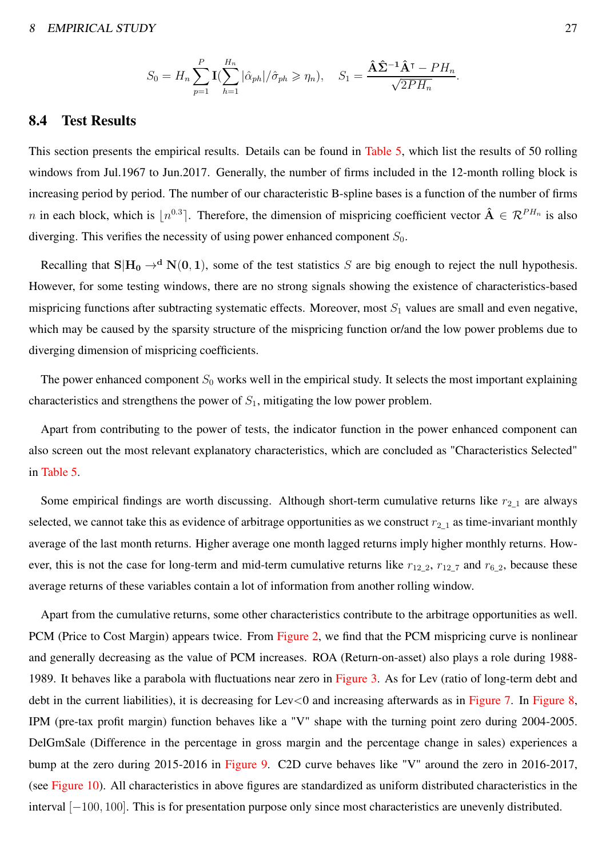#### 8 EMPIRICAL STUDY 27

$$
S_0 = H_n \sum_{p=1}^P \mathbf{I}(\sum_{h=1}^{H_n} |\hat{\alpha}_{ph}|/\hat{\sigma}_{ph} \ge \eta_n), \quad S_1 = \frac{\hat{\mathbf{A}}\hat{\mathbf{\Sigma}}^{-1}\hat{\mathbf{A}}^{\mathsf{T}} - PH_n}{\sqrt{2PH_n}}.
$$

#### 8.4 Test Results

This section presents the empirical results. Details can be found in [Table 5,](#page-28-0) which list the results of 50 rolling windows from Jul.1967 to Jun.2017. Generally, the number of firms included in the 12-month rolling block is increasing period by period. The number of our characteristic B-spline bases is a function of the number of firms n in each block, which is  $[n^{0.3}]$ . Therefore, the dimension of mispricing coefficient vector  $\hat{A} \in \mathcal{R}^{PH_n}$  is also diverging. This verifies the necessity of using power enhanced component  $S_0$ .

Recalling that  $S|H_0 \to^d N(0, 1)$ , some of the test statistics S are big enough to reject the null hypothesis. However, for some testing windows, there are no strong signals showing the existence of characteristics-based mispricing functions after subtracting systematic effects. Moreover, most  $S_1$  values are small and even negative, which may be caused by the sparsity structure of the mispricing function or/and the low power problems due to diverging dimension of mispricing coefficients.

The power enhanced component  $S_0$  works well in the empirical study. It selects the most important explaining characteristics and strengthens the power of  $S_1$ , mitigating the low power problem.

Apart from contributing to the power of tests, the indicator function in the power enhanced component can also screen out the most relevant explanatory characteristics, which are concluded as "Characteristics Selected" in [Table 5.](#page-28-0)

Some empirical findings are worth discussing. Although short-term cumulative returns like  $r_{2,1}$  are always selected, we cannot take this as evidence of arbitrage opportunities as we construct  $r_{2-1}$  as time-invariant monthly average of the last month returns. Higher average one month lagged returns imply higher monthly returns. However, this is not the case for long-term and mid-term cumulative returns like  $r_{12-2}$ ,  $r_{12-7}$  and  $r_{6-2}$ , because these average returns of these variables contain a lot of information from another rolling window.

Apart from the cumulative returns, some other characteristics contribute to the arbitrage opportunities as well. PCM (Price to Cost Margin) appears twice. From [Figure 2,](#page-38-0) we find that the PCM mispricing curve is nonlinear and generally decreasing as the value of PCM increases. ROA (Return-on-asset) also plays a role during 1988- 1989. It behaves like a parabola with fluctuations near zero in [Figure 3.](#page-38-1) As for Lev (ratio of long-term debt and debt in the current liabilities), it is decreasing for Lev<0 and increasing afterwards as in [Figure 7.](#page-39-0) In [Figure 8,](#page-40-0) IPM (pre-tax profit margin) function behaves like a "V" shape with the turning point zero during 2004-2005. DelGmSale (Difference in the percentage in gross margin and the percentage change in sales) experiences a bump at the zero during 2015-2016 in [Figure 9.](#page-40-1) C2D curve behaves like "V" around the zero in 2016-2017, (see [Figure 10\)](#page-41-0). All characteristics in above figures are standardized as uniform distributed characteristics in the interval [−100, 100]. This is for presentation purpose only since most characteristics are unevenly distributed.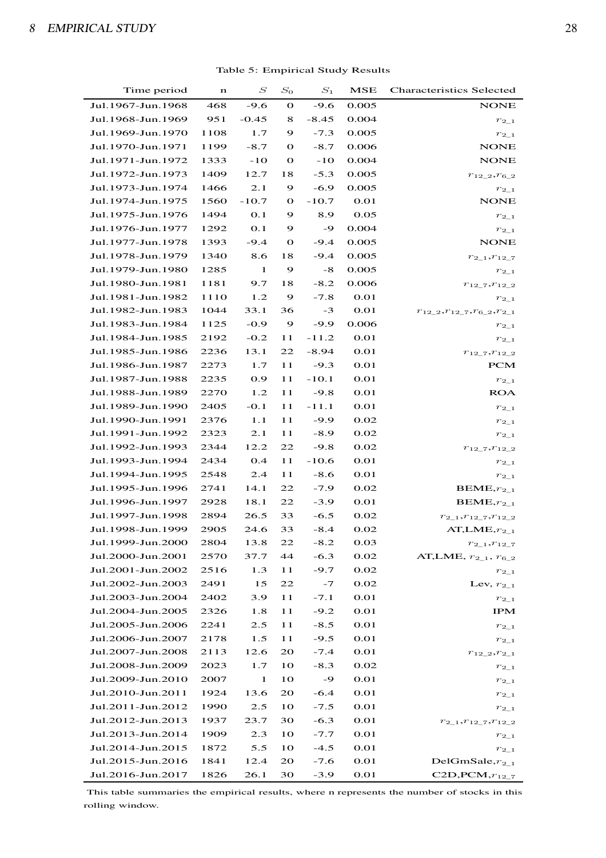<span id="page-28-0"></span>

| Time period       | n    | $\, S \,$  | $S_0$        | $S_1$   | MSE   | <b>Characteristics Selected</b>              |
|-------------------|------|------------|--------------|---------|-------|----------------------------------------------|
| Jul.1967-Jun.1968 | 468  | $-9.6$     | $\mathbf{o}$ | $-9.6$  | 0.005 | <b>NONE</b>                                  |
| Jul.1968-Jun.1969 | 951  | $-0.45$    | 8            | $-8.45$ | 0.004 | $r_{2\_1}$                                   |
| Jul.1969-Jun.1970 | 1108 | 1.7        | 9            | $-7.3$  | 0.005 | $r_{2\_1}$                                   |
| Jul.1970-Jun.1971 | 1199 | $-8.7$     | $\Omega$     | $-8.7$  | 0.006 | <b>NONE</b>                                  |
| Jul.1971-Jun.1972 | 1333 | $-10$      | $\mathbf{o}$ | $-10$   | 0.004 | <b>NONE</b>                                  |
| Jul.1972-Jun.1973 | 1409 | 12.7       | 18           | $-5.3$  | 0.005 | $r_{12\_2}, r_{6\_2}$                        |
| Jul.1973-Jun.1974 | 1466 | 2.1        | 9            | $-6.9$  | 0.005 | $r_{2\_1}$                                   |
| Jul.1974-Jun.1975 | 1560 | $-10.7$    | $\mathbf{o}$ | $-10.7$ | 0.01  | <b>NONE</b>                                  |
| Jul.1975-Jun.1976 | 1494 | 0.1        | 9            | 8.9     | 0.05  | $r_{2\_1}$                                   |
| Jul.1976-Jun.1977 | 1292 | <b>O.1</b> | 9            | -9      | 0.004 | $r_{2\_1}$                                   |
| Jul.1977-Jun.1978 | 1393 | $-9.4$     | $\mathbf{o}$ | $-9.4$  | 0.005 | <b>NONE</b>                                  |
| Jul.1978-Jun.1979 | 1340 | 8.6        | 18           | $-9.4$  | 0.005 | $r_{2\_1}, r_{12\_7}$                        |
| Jul.1979-Jun.1980 | 1285 | 1          | 9            | -8      | 0.005 | $r_{2\_1}$                                   |
| Jul.1980-Jun.1981 | 1181 | 9.7        | 18           | $-8.2$  | 0.006 | $r_{12\_7}, r_{12\_2}$                       |
| Jul.1981-Jun.1982 | 1110 | 1.2        | 9            | $-7.8$  | 0.01  | $r_{2\_1}$                                   |
| Jul.1982-Jun.1983 | 1044 | 33.1       | 36           | $-3$    | 0.01  | $r_{12}$ $_2, r_{12}$ $_7, r_6$ $_2, r_{21}$ |
| Jul.1983-Jun.1984 | 1125 | $-0.9$     | 9            | $-9.9$  | 0.006 | $r_{2\_1}$                                   |
| Jul.1984-Jun.1985 | 2192 | $-0.2$     | 11           | $-11.2$ | 0.01  | $r_{2\_1}$                                   |
| Jul.1985-Jun.1986 | 2236 | 13.1       | 22           | $-8.94$ | 0.01  | $r_{12\_7}, r_{12\_2}$                       |
| Jul.1986-Jun.1987 | 2273 | 1.7        | 11           | $-9.3$  | 0.01  | <b>PCM</b>                                   |
| Jul.1987-Jun.1988 | 2235 | 0.9        | 11           | $-10.1$ | 0.01  | $r_{2\_1}$                                   |
| Jul.1988-Jun.1989 | 2270 | 1.2        | 11           | $-9.8$  | 0.01  | <b>ROA</b>                                   |
| Jul.1989-Jun.1990 | 2405 | $-0.1$     | 11           | $-11.1$ | 0.01  | $r_{2\_1}$                                   |
| Jul.1990-Jun.1991 | 2376 | 1.1        | 11           | $-9.9$  | 0.02  | $r_{2\_1}$                                   |
| Jul.1991-Jun.1992 | 2323 | 2.1        | 11           | $-8.9$  | 0.02  | $r_{2\_1}$                                   |
| Jul.1992-Jun.1993 | 2344 | 12.2       | 22           | $-9.8$  | 0.02  | $r_{12\_7}, r_{12\_2}$                       |
| Jul.1993-Jun.1994 | 2434 | 0.4        | 11           | $-10.6$ | 0.01  | $r_{2\_1}$                                   |
| Jul.1994-Jun.1995 | 2548 | 2.4        | 11           | $-8.6$  | 0.01  | $r_{2\_1}$                                   |
| Jul.1995-Jun.1996 | 2741 | 14.1       | 22           | $-7.9$  | 0.02  | $BEME, r_{2\_1}$                             |
| Jul.1996-Jun.1997 | 2928 | 18.1       | 22           | $-3.9$  | 0.01  | $BEME, r_{2_1}$                              |
| Jul.1997-Jun.1998 | 2894 | 26.5       | 33           | $-6.5$  | 0.02  | $r_{2\_1}, r_{12\_7}, r_{12\_2}$             |
| Jul.1998-Jun.1999 | 2905 | 24.6       | 33           | $-8.4$  | 0.02  | $AT, LME, r_{2\_1}$                          |
| Jul.1999-Jun.2000 | 2804 | 13.8       | 22           | $-8.2$  | 0.03  | $r_{2\_1}, r_{12\_7}$                        |
| Jul.2000-Jun.2001 | 2570 | 37.7       | 44           | $-6.3$  | 0.02  | AT, LME, $r_{2\_1}$ , $r_{6\_2}$             |
| Jul.2001-Jun.2002 | 2516 | 1.3        | 11           | $-9.7$  | 0.02  | $r_{2\_1}$                                   |
| Jul.2002-Jun.2003 | 2491 | 15         | 22           | $-7$    | 0.02  | Lev, $r_{2\_1}$                              |
| Jul.2003-Jun.2004 | 2402 | 3.9        | 11           | $-7.1$  | 0.01  | $r_{2\_1}$                                   |
| Jul.2004-Jun.2005 | 2326 | 1.8        | 11           | $-9.2$  | 0.01  | <b>IPM</b>                                   |
| Jul.2005-Jun.2006 | 2241 | 2.5        | 11           | $-8.5$  | 0.01  | $r_{2\_1}$                                   |
| Jul.2006-Jun.2007 | 2178 | 1.5        | 11           | $-9.5$  | 0.01  | $r_{2\_1}$                                   |
| Jul.2007-Jun.2008 | 2113 | 12.6       | 20           | $-7.4$  | 0.01  | $r_{12\_2}, r_{2\_1}$                        |
| Jul.2008-Jun.2009 | 2023 | 1.7        | 1O           | $-8.3$  | 0.02  | $r_{2\_1}$                                   |
| Jul.2009-Jun.2010 | 2007 | 1          | 10           | -9      | 0.01  | $r_{2\_1}$                                   |
| Jul.2010-Jun.2011 | 1924 | 13.6       | 20           | $-6.4$  | 0.01  | $r_{2\_1}$                                   |
| Jul.2011-Jun.2012 | 1990 | 2.5        | 10           | $-7.5$  | 0.01  | $r_{2\_1}$                                   |
| Jul.2012-Jun.2013 | 1937 | 23.7       | 30           | $-6.3$  | 0.01  | $r_{2\_1}, r_{12\_7}, r_{12\_2}$             |
| Jul.2013-Jun.2014 | 1909 | 2.3        | 10           | $-7.7$  | 0.01  | $r_{2\_1}$                                   |
| Jul.2014-Jun.2015 | 1872 | 5.5        | 10           | $-4.5$  | 0.01  | $r_{2\_1}$                                   |
| Jul.2015-Jun.2016 | 1841 | 12.4       | 20           | $-7.6$  | 0.01  | DelGmSale, $r_{2,1}$                         |
| Jul.2016-Jun.2017 | 1826 | 26.1       | 30           | $-3.9$  | 0.01  | $C2D, PCM, r_{12_7}$                         |

#### Table 5: Empirical Study Results

This table summaries the empirical results, where n represents the number of stocks in this rolling window.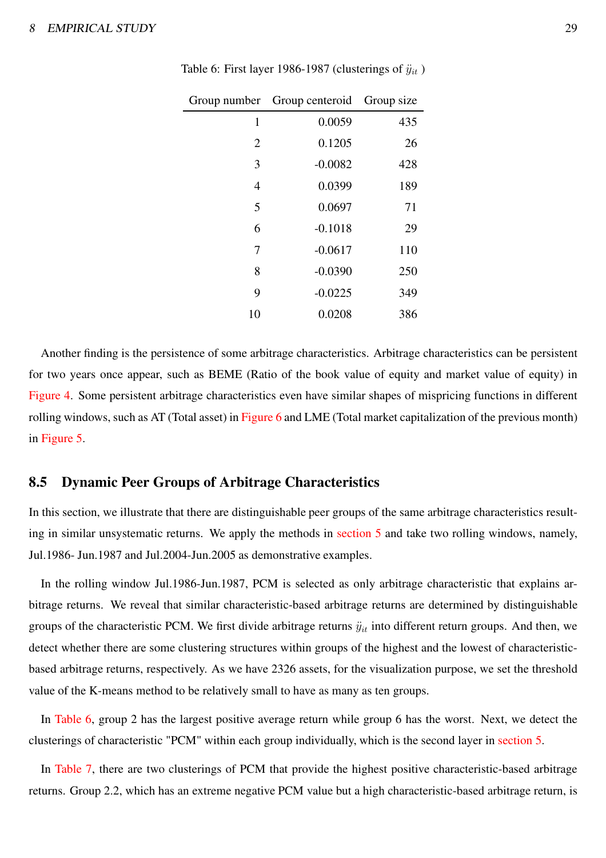|     | Group number Group centeroid Group size |                |
|-----|-----------------------------------------|----------------|
| 435 | 0.0059                                  | 1              |
| 26  | 0.1205                                  | $\overline{2}$ |
| 428 | $-0.0082$                               | 3              |
| 189 | 0.0399                                  | 4              |
| 71  | 0.0697                                  | 5              |
| 29  | $-0.1018$                               | 6              |
| 110 | $-0.0617$                               | 7              |
| 250 | $-0.0390$                               | 8              |
| 349 | $-0.0225$                               | 9              |
| 386 | 0.0208                                  | 10             |

<span id="page-29-0"></span>Table 6: First layer 1986-1987 (clusterings of  $\ddot{y}_{it}$ )

Another finding is the persistence of some arbitrage characteristics. Arbitrage characteristics can be persistent for two years once appear, such as BEME (Ratio of the book value of equity and market value of equity) in [Figure 4.](#page-38-2) Some persistent arbitrage characteristics even have similar shapes of mispricing functions in different rolling windows, such as AT (Total asset) in [Figure 6](#page-39-1) and LME (Total market capitalization of the previous month) in [Figure 5.](#page-39-2)

#### 8.5 Dynamic Peer Groups of Arbitrage Characteristics

In this section, we illustrate that there are distinguishable peer groups of the same arbitrage characteristics resulting in similar unsystematic returns. We apply the methods in [section 5](#page-12-0) and take two rolling windows, namely, Jul.1986- Jun.1987 and Jul.2004-Jun.2005 as demonstrative examples.

In the rolling window Jul.1986-Jun.1987, PCM is selected as only arbitrage characteristic that explains arbitrage returns. We reveal that similar characteristic-based arbitrage returns are determined by distinguishable groups of the characteristic PCM. We first divide arbitrage returns  $\ddot{y}_{it}$  into different return groups. And then, we detect whether there are some clustering structures within groups of the highest and the lowest of characteristicbased arbitrage returns, respectively. As we have 2326 assets, for the visualization purpose, we set the threshold value of the K-means method to be relatively small to have as many as ten groups.

In [Table 6,](#page-29-0) group 2 has the largest positive average return while group 6 has the worst. Next, we detect the clusterings of characteristic "PCM" within each group individually, which is the second layer in [section 5.](#page-12-0)

In [Table 7,](#page-30-0) there are two clusterings of PCM that provide the highest positive characteristic-based arbitrage returns. Group 2.2, which has an extreme negative PCM value but a high characteristic-based arbitrage return, is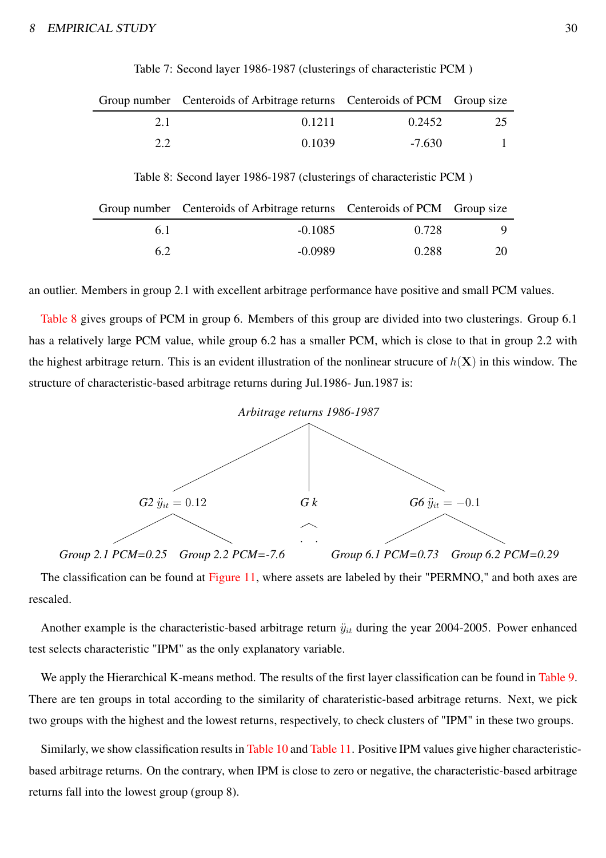<span id="page-30-1"></span><span id="page-30-0"></span>

|     | Group number Centeroids of Arbitrage returns Centeroids of PCM Group size |          |     |
|-----|---------------------------------------------------------------------------|----------|-----|
| 21  | 0.1211                                                                    | 0.2452   | -25 |
| 2.2 | 0.1039                                                                    | $-7.630$ |     |

Table 7: Second layer 1986-1987 (clusterings of characteristic PCM )

Table 8: Second layer 1986-1987 (clusterings of characteristic PCM )

|     | Group number Centeroids of Arbitrage returns Centeroids of PCM Group size |       |    |
|-----|---------------------------------------------------------------------------|-------|----|
| 6.1 | $-0.1085$                                                                 | 0.728 |    |
| 6.2 | $-0.0989$                                                                 | 0.288 | 20 |

an outlier. Members in group 2.1 with excellent arbitrage performance have positive and small PCM values.

[Table 8](#page-30-1) gives groups of PCM in group 6. Members of this group are divided into two clusterings. Group 6.1 has a relatively large PCM value, while group 6.2 has a smaller PCM, which is close to that in group 2.2 with the highest arbitrage return. This is an evident illustration of the nonlinear strucure of  $h(X)$  in this window. The structure of characteristic-based arbitrage returns during Jul.1986- Jun.1987 is:



The classification can be found at [Figure 11,](#page-41-1) where assets are labeled by their "PERMNO," and both axes are rescaled.

Another example is the characteristic-based arbitrage return  $\ddot{y}_{it}$  during the year 2004-2005. Power enhanced test selects characteristic "IPM" as the only explanatory variable.

We apply the Hierarchical K-means method. The results of the first layer classification can be found in [Table 9.](#page-31-0) There are ten groups in total according to the similarity of charateristic-based arbitrage returns. Next, we pick two groups with the highest and the lowest returns, respectively, to check clusters of "IPM" in these two groups.

Similarly, we show classification results in [Table 10](#page-31-1) and [Table 11.](#page-31-2) Positive IPM values give higher characteristicbased arbitrage returns. On the contrary, when IPM is close to zero or negative, the characteristic-based arbitrage returns fall into the lowest group (group 8).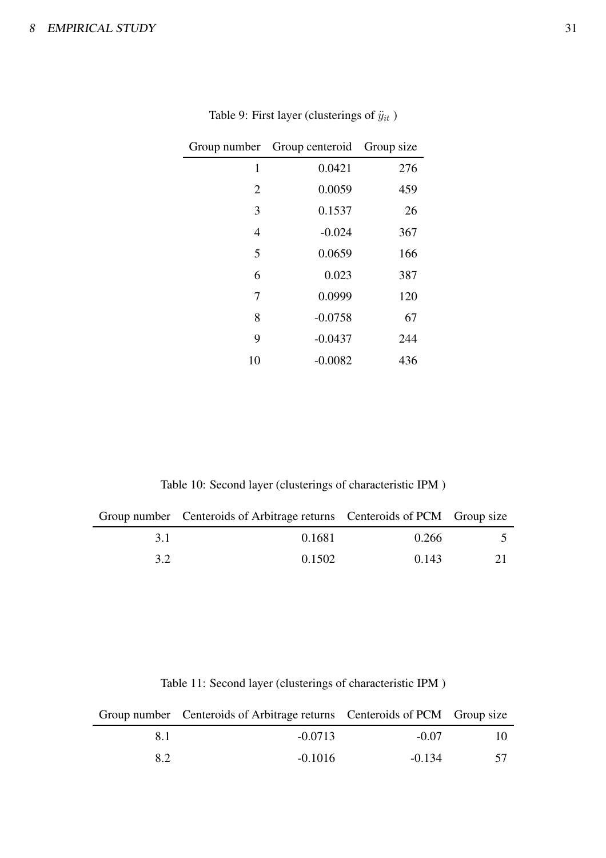<span id="page-31-0"></span>

|                | Group number Group centeroid Group size |     |
|----------------|-----------------------------------------|-----|
| 1              | 0.0421                                  | 276 |
| $\overline{2}$ | 0.0059                                  | 459 |
| 3              | 0.1537                                  | 26  |
| $\overline{4}$ | $-0.024$                                | 367 |
| 5              | 0.0659                                  | 166 |
| 6              | 0.023                                   | 387 |
| 7              | 0.0999                                  | 120 |
| 8              | $-0.0758$                               | 67  |
| 9              | $-0.0437$                               | 244 |
| 10             | $-0.0082$                               | 436 |

Table 9: First layer (clusterings of  $\ddot{y}_{it}$  )

Table 10: Second layer (clusterings of characteristic IPM )

<span id="page-31-1"></span>

|     | Group number Centeroids of Arbitrage returns Centeroids of PCM Group size |       |  |
|-----|---------------------------------------------------------------------------|-------|--|
| 31  | 0.1681                                                                    | 0.266 |  |
| 3.2 | 0.1502                                                                    | 0.143 |  |

Table 11: Second layer (clusterings of characteristic IPM )

<span id="page-31-2"></span>

|     | Group number Centeroids of Arbitrage returns Centeroids of PCM Group size |          |     |
|-----|---------------------------------------------------------------------------|----------|-----|
| 8.1 | $-0.0713$                                                                 | $-0.07$  | 10. |
| 8.2 | $-0.1016$                                                                 | $-0.134$ |     |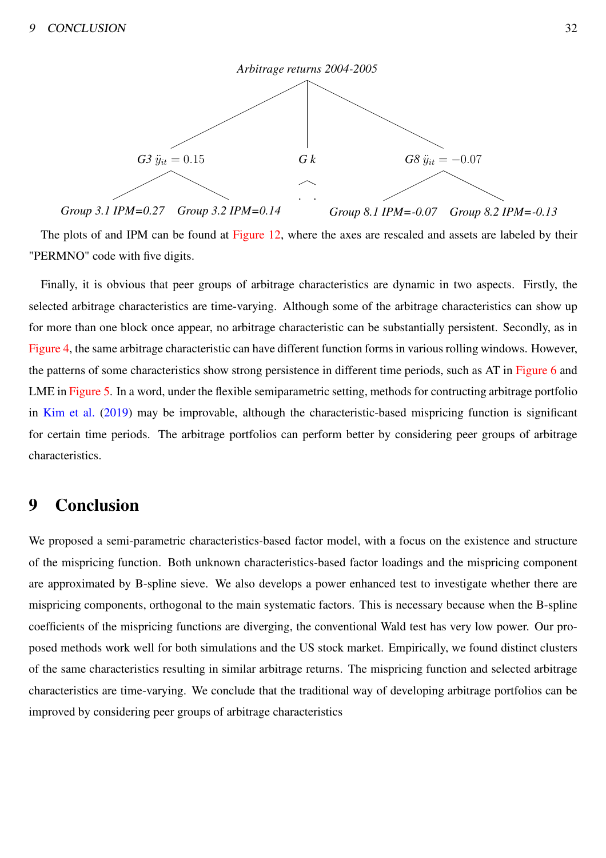

The plots of and IPM can be found at [Figure 12,](#page-41-2) where the axes are rescaled and assets are labeled by their "PERMNO" code with five digits.

Finally, it is obvious that peer groups of arbitrage characteristics are dynamic in two aspects. Firstly, the selected arbitrage characteristics are time-varying. Although some of the arbitrage characteristics can show up for more than one block once appear, no arbitrage characteristic can be substantially persistent. Secondly, as in [Figure 4,](#page-38-2) the same arbitrage characteristic can have different function forms in various rolling windows. However, the patterns of some characteristics show strong persistence in different time periods, such as AT in [Figure 6](#page-39-1) and LME in [Figure 5.](#page-39-2) In a word, under the flexible semiparametric setting, methods for contructing arbitrage portfolio in [Kim et al.](#page-48-2) [\(2019](#page-48-2)) may be improvable, although the characteristic-based mispricing function is significant for certain time periods. The arbitrage portfolios can perform better by considering peer groups of arbitrage characteristics.

### 9 Conclusion

We proposed a semi-parametric characteristics-based factor model, with a focus on the existence and structure of the mispricing function. Both unknown characteristics-based factor loadings and the mispricing component are approximated by B-spline sieve. We also develops a power enhanced test to investigate whether there are mispricing components, orthogonal to the main systematic factors. This is necessary because when the B-spline coefficients of the mispricing functions are diverging, the conventional Wald test has very low power. Our proposed methods work well for both simulations and the US stock market. Empirically, we found distinct clusters of the same characteristics resulting in similar arbitrage returns. The mispricing function and selected arbitrage characteristics are time-varying. We conclude that the traditional way of developing arbitrage portfolios can be improved by considering peer groups of arbitrage characteristics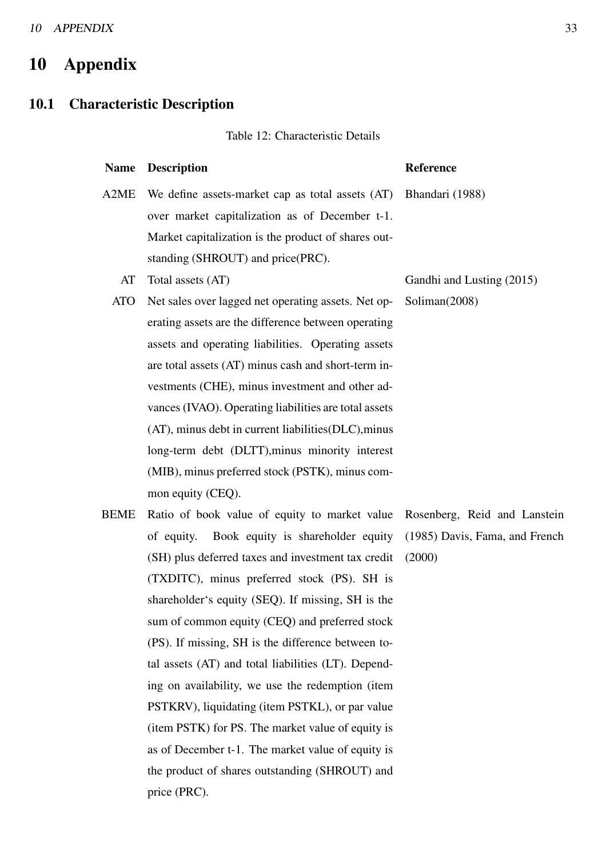# 10 Appendix

#### 10.1 Characteristic Description

#### Table 12: Characteristic Details

#### Name Description Reference

Bhandari (1988)

Soliman(2008)

Rosenberg, Reid and Lanstein

(1985) Davis, Fama, and French

(2000)

A2ME We define assets-market cap as total assets (AT) over market capitalization as of December t-1. Market capitalization is the product of shares outstanding (SHROUT) and price(PRC).

- AT Total assets (AT) Gandhi and Lusting (2015)
- ATO Net sales over lagged net operating assets. Net operating assets are the difference between operating assets and operating liabilities. Operating assets are total assets (AT) minus cash and short-term investments (CHE), minus investment and other advances (IVAO). Operating liabilities are total assets (AT), minus debt in current liabilities(DLC),minus long-term debt (DLTT),minus minority interest (MIB), minus preferred stock (PSTK), minus common equity (CEQ).
- BEME Ratio of book value of equity to market value of equity. Book equity is shareholder equity (SH) plus deferred taxes and investment tax credit (TXDITC), minus preferred stock (PS). SH is shareholder's equity (SEQ). If missing, SH is the sum of common equity (CEQ) and preferred stock (PS). If missing, SH is the difference between total assets (AT) and total liabilities (LT). Depending on availability, we use the redemption (item PSTKRV), liquidating (item PSTKL), or par value (item PSTK) for PS. The market value of equity is as of December t-1. The market value of equity is the product of shares outstanding (SHROUT) and price (PRC).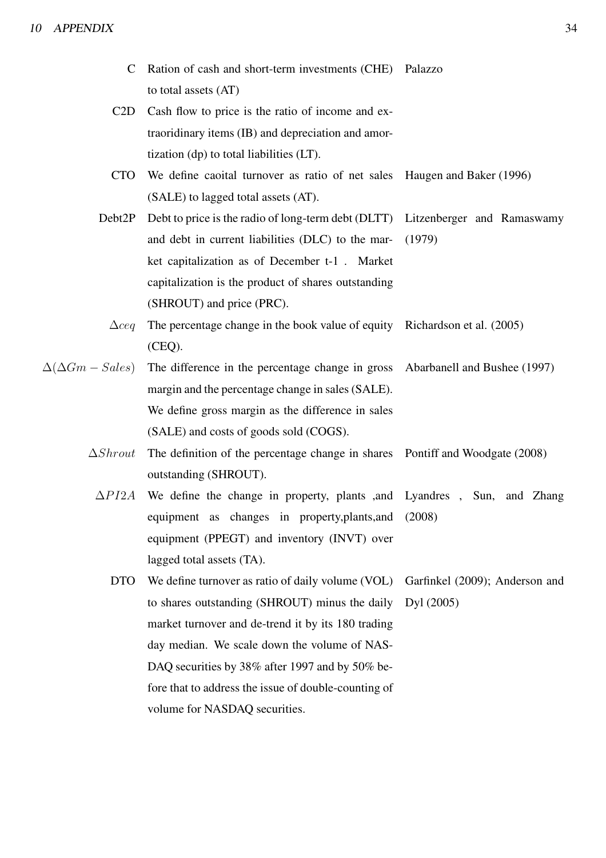- C Ration of cash and short-term investments (CHE) Palazzo to total assets (AT)
- C2D Cash flow to price is the ratio of income and extraoridinary items (IB) and depreciation and amortization (dp) to total liabilities (LT).
- CTO We define caoital turnover as ratio of net sales Haugen and Baker (1996) (SALE) to lagged total assets (AT).
- Debt2P Debt to price is the radio of long-term debt (DLTT) and debt in current liabilities (DLC) to the market capitalization as of December t-1 . Market capitalization is the product of shares outstanding (SHROUT) and price (PRC). Litzenberger and Ramaswamy (1979)
	- $\Delta$ ceq The percentage change in the book value of equity (CEQ). Richardson et al. (2005)
- $\Delta(\Delta Gm Sales)$  The difference in the percentage change in gross margin and the percentage change in sales (SALE). We define gross margin as the difference in sales (SALE) and costs of goods sold (COGS). Abarbanell and Bushee (1997)
	- $\Delta Shrout$  The definition of the percentage change in shares outstanding (SHROUT). Pontiff and Woodgate (2008)
		- $\Delta P I2A$  We define the change in property, plants , and equipment as changes in property,plants,and equipment (PPEGT) and inventory (INVT) over lagged total assets (TA). Lyandres , Sun, and Zhang (2008)
			- DTO We define turnover as ratio of daily volume (VOL) to shares outstanding (SHROUT) minus the daily market turnover and de-trend it by its 180 trading day median. We scale down the volume of NAS-DAQ securities by 38% after 1997 and by 50% before that to address the issue of double-counting of volume for NASDAQ securities. Garfinkel (2009); Anderson and Dyl (2005)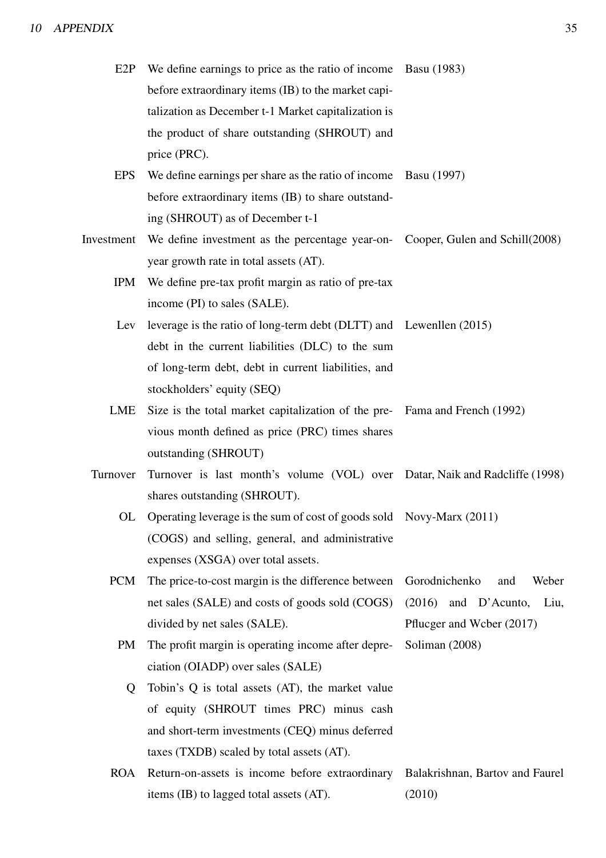| E2P        | We define earnings to price as the ratio of income Basu (1983)                 |                                 |
|------------|--------------------------------------------------------------------------------|---------------------------------|
|            | before extraordinary items (IB) to the market capi-                            |                                 |
|            | talization as December t-1 Market capitalization is                            |                                 |
|            | the product of share outstanding (SHROUT) and                                  |                                 |
|            | price (PRC).                                                                   |                                 |
| <b>EPS</b> | We define earnings per share as the ratio of income Basu (1997)                |                                 |
|            | before extraordinary items (IB) to share outstand-                             |                                 |
|            | ing (SHROUT) as of December t-1                                                |                                 |
| Investment | We define investment as the percentage year-on- Cooper, Gulen and Schill(2008) |                                 |
|            | year growth rate in total assets (AT).                                         |                                 |
| IPM        | We define pre-tax profit margin as ratio of pre-tax                            |                                 |
|            | income (PI) to sales (SALE).                                                   |                                 |
| Lev        | leverage is the ratio of long-term debt (DLTT) and Lewenllen (2015)            |                                 |
|            | debt in the current liabilities (DLC) to the sum                               |                                 |
|            | of long-term debt, debt in current liabilities, and                            |                                 |
|            | stockholders' equity (SEQ)                                                     |                                 |
| LME        | Size is the total market capitalization of the pre- Fama and French (1992)     |                                 |
|            | vious month defined as price (PRC) times shares                                |                                 |
|            | outstanding (SHROUT)                                                           |                                 |
| Turnover   | Turnover is last month's volume (VOL) over Datar, Naik and Radcliffe (1998)    |                                 |
|            | shares outstanding (SHROUT).                                                   |                                 |
| OL         | Operating leverage is the sum of cost of goods sold Novy-Marx (2011)           |                                 |
|            | (COGS) and selling, general, and administrative                                |                                 |
|            | expenses (XSGA) over total assets.                                             |                                 |
| <b>PCM</b> | The price-to-cost margin is the difference between                             | Gorodnichenko<br>Weber<br>and   |
|            | net sales (SALE) and costs of goods sold (COGS)                                | (2016)<br>and D'Acunto,<br>Liu, |
|            | divided by net sales (SALE).                                                   | Pflucger and Weber (2017)       |
| PM         | The profit margin is operating income after depre-                             | Soliman (2008)                  |
|            | ciation (OIADP) over sales (SALE)                                              |                                 |
| Q          | Tobin's Q is total assets (AT), the market value                               |                                 |
|            | of equity (SHROUT times PRC) minus cash                                        |                                 |
|            | and short-term investments (CEQ) minus deferred                                |                                 |
|            | taxes (TXDB) scaled by total assets (AT).                                      |                                 |
| <b>ROA</b> | Return-on-assets is income before extraordinary                                | Balakrishnan, Bartov and Faurel |
|            | items (IB) to lagged total assets (AT).                                        | (2010)                          |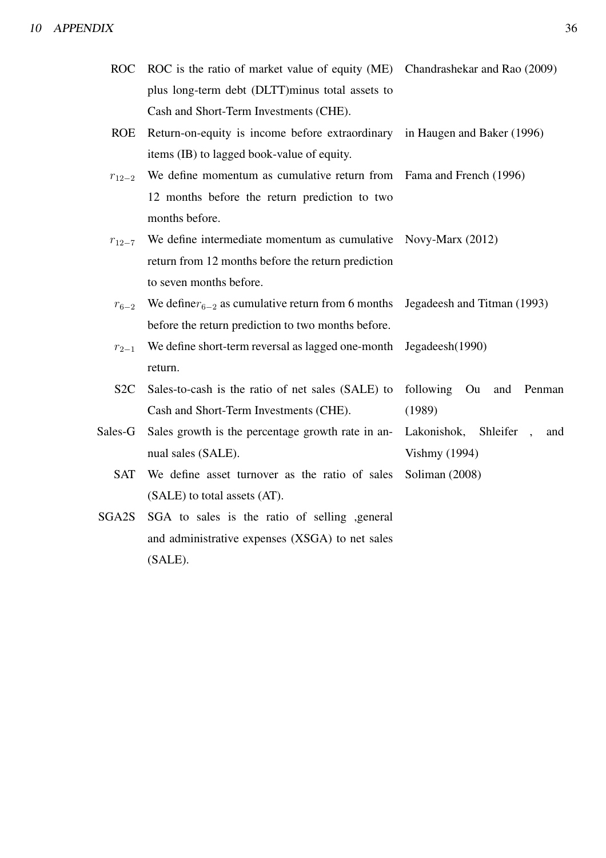| ROC ROC is the ratio of market value of equity (ME) Chandrashekar and Rao (2009) |  |
|----------------------------------------------------------------------------------|--|
| plus long-term debt (DLTT) minus total assets to                                 |  |
| Cash and Short-Term Investments (CHE).                                           |  |

- ROE Return-on-equity is income before extraordinary items (IB) to lagged book-value of equity. in Haugen and Baker (1996)
- $r_{12-2}$  We define momentum as cumulative return from 12 months before the return prediction to two months before. Fama and French (1996)
- $r_{12-7}$  We define intermediate momentum as cumulative Novy-Marx (2012) return from 12 months before the return prediction to seven months before.
- $r_{6-2}$  We define $r_{6-2}$  as cumulative return from 6 months before the return prediction to two months before. Jegadeesh and Titman (1993)
- $r_{2-1}$  We define short-term reversal as lagged one-month return. Jegadeesh(1990)
- S2C Sales-to-cash is the ratio of net sales (SALE) to Cash and Short-Term Investments (CHE). following Ou and Penman (1989)
- Sales-G Sales growth is the percentage growth rate in annual sales (SALE).
	- SAT We define asset turnover as the ratio of sales (SALE) to total assets (AT). Soliman (2008)
- SGA2S SGA to sales is the ratio of selling ,general and administrative expenses (XSGA) to net sales (SALE).

Lakonishok, Shleifer , and

Vishmy (1994)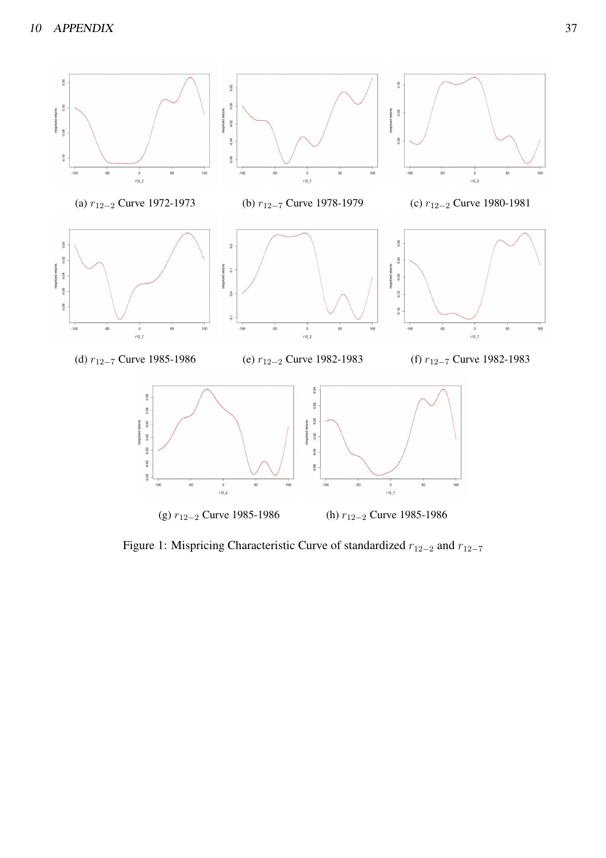

Figure 1: Mispricing Characteristic Curve of standardized  $r_{12-2}$  and  $r_{12-7}$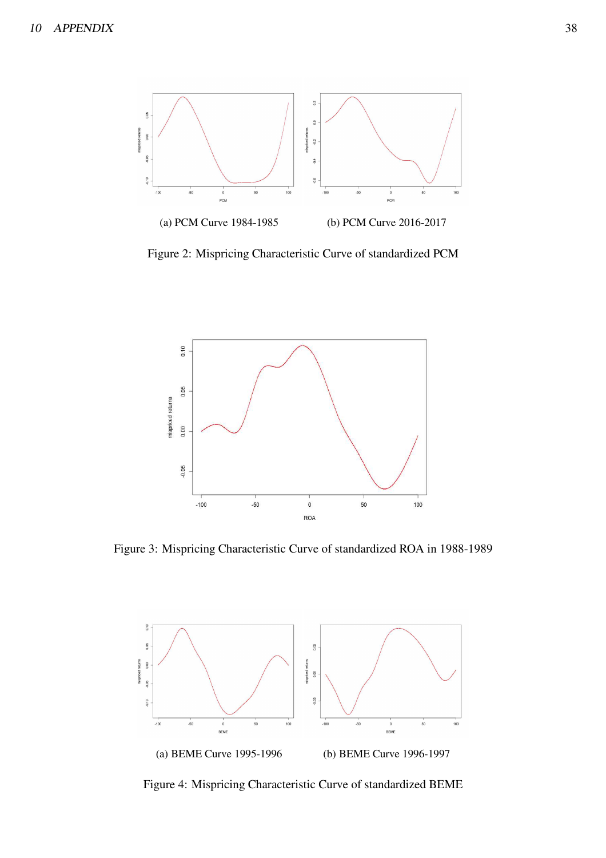<span id="page-38-0"></span>

<span id="page-38-1"></span>Figure 2: Mispricing Characteristic Curve of standardized PCM



<span id="page-38-2"></span>Figure 3: Mispricing Characteristic Curve of standardized ROA in 1988-1989



Figure 4: Mispricing Characteristic Curve of standardized BEME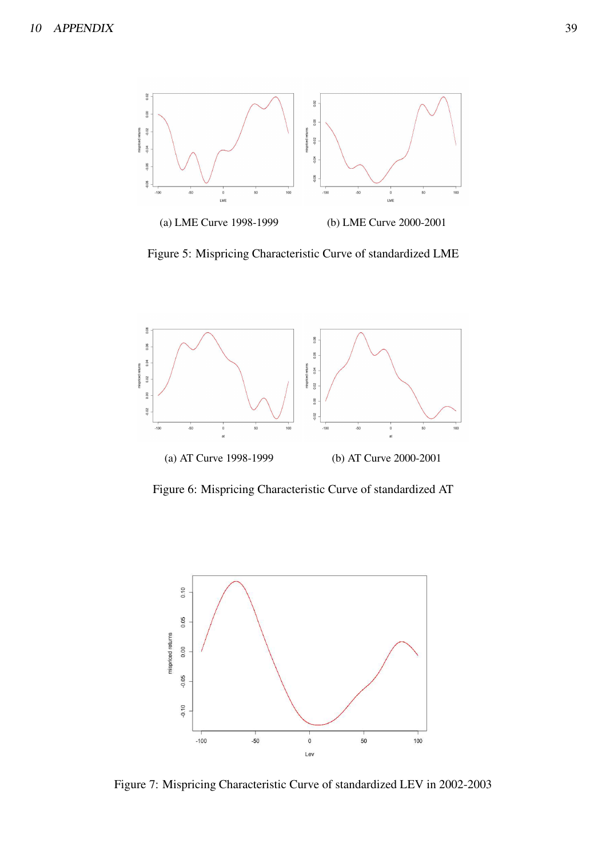<span id="page-39-2"></span>

Figure 5: Mispricing Characteristic Curve of standardized LME

<span id="page-39-1"></span>

Figure 6: Mispricing Characteristic Curve of standardized AT

<span id="page-39-0"></span>

Figure 7: Mispricing Characteristic Curve of standardized LEV in 2002-2003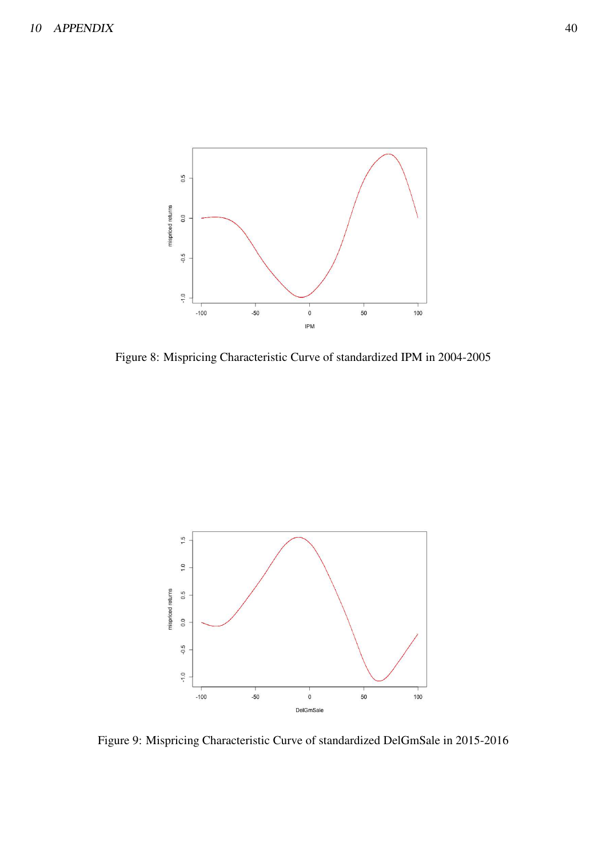<span id="page-40-0"></span>

Figure 8: Mispricing Characteristic Curve of standardized IPM in 2004-2005

<span id="page-40-1"></span>

Figure 9: Mispricing Characteristic Curve of standardized DelGmSale in 2015-2016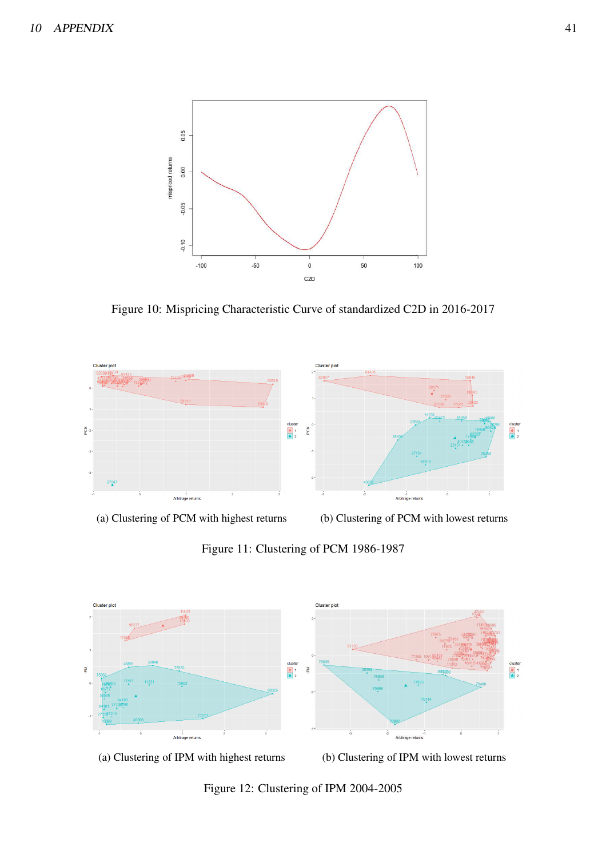<span id="page-41-0"></span>

Figure 10: Mispricing Characteristic Curve of standardized C2D in 2016-2017

<span id="page-41-1"></span>

Figure 11: Clustering of PCM 1986-1987

<span id="page-41-2"></span>



(a) Clustering of IPM with highest returns (b) Clustering of IPM with lowest returns

Figure 12: Clustering of IPM 2004-2005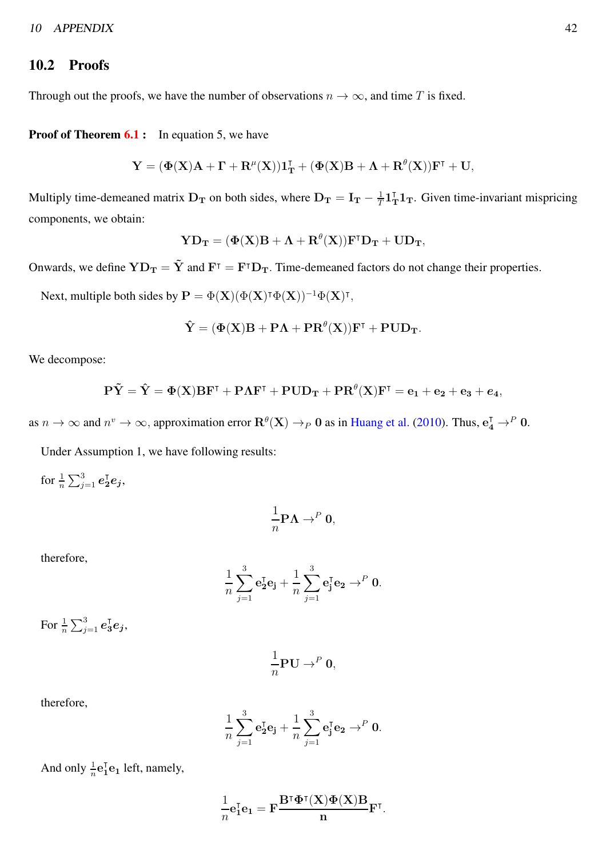#### 10.2 Proofs

Through out the proofs, we have the number of observations  $n \to \infty$ , and time T is fixed.

**Proof of Theorem [6.1](#page-16-0):** In equation 5, we have

$$
\mathbf{Y} = (\Phi(\mathbf{X})\mathbf{A} + \mathbf{\Gamma} + \mathbf{R}^{\mu}(\mathbf{X}))\mathbf{1}_{\mathbf{T}}^{\mathsf{T}} + (\Phi(\mathbf{X})\mathbf{B} + \mathbf{\Lambda} + \mathbf{R}^{\theta}(\mathbf{X}))\mathbf{F}^{\mathsf{T}} + \mathbf{U},
$$

Multiply time-demeaned matrix  $D_T$  on both sides, where  $D_T = I_T - \frac{1}{T}$  $\frac{1}{T}$ **1**<sub>T</sub>**1**<sub>T</sub>. Given time-invariant mispricing components, we obtain:

$$
\mathbf{YD}_{\mathbf{T}} = (\Phi(\mathbf{X})\mathbf{B} + \mathbf{\Lambda} + \mathbf{R}^{\theta}(\mathbf{X}))\mathbf{F}^{\mathsf{T}}\mathbf{D}_{\mathbf{T}} + \mathbf{U}\mathbf{D}_{\mathbf{T}},
$$

Onwards, we define  $YD_T = \tilde{Y}$  and  $F^{\dagger} = F^{\dagger}D_T$ . Time-demeaned factors do not change their properties.

Next, multiple both sides by  $\mathbf{P} = \Phi(\mathbf{X})(\Phi(\mathbf{X})^{\intercal}\Phi(\mathbf{X}))^{-1}\Phi(\mathbf{X})^{\intercal}$ ,

$$
\hat{\mathbf{Y}} = (\Phi(\mathbf{X})\mathbf{B} + \mathbf{P}\boldsymbol{\Lambda} + \mathbf{P}\mathbf{R}^\theta(\mathbf{X}))\mathbf{F}^\intercal + \mathbf{P}\mathbf{U}\mathbf{D}_\mathbf{T}.
$$

We decompose:

$$
\mathbf{P}\tilde{\mathbf{Y}}=\hat{\mathbf{Y}}=\Phi(\mathbf{X})\mathbf{B}\mathbf{F}^{\intercal}+\mathbf{P}\boldsymbol{\Lambda}\mathbf{F}^{\intercal}+\mathbf{P}\mathbf{U}\mathbf{D}_{\mathbf{T}}+\mathbf{P}\mathbf{R}^{\theta}(\mathbf{X})\mathbf{F}^{\intercal}=\mathbf{e}_{1}+\mathbf{e}_{2}+\mathbf{e}_{3}+\mathbf{e}_{4},
$$

as  $n \to \infty$  and  $n^v \to \infty$ , approximation error  $\mathbf{R}^{\theta}(\mathbf{X}) \to_P 0$  as in [Huang et al.](#page-48-5) [\(2010](#page-48-5)). Thus,  $\mathbf{e}_4^{\mathsf{T}} \to^P 0$ .

Under Assumption 1, we have following results:

for  $\frac{1}{n}\sum_{j=1}^3\bm{e}_2^{\intercal}\bm{e}_j,$ 

$$
\frac{1}{n}\mathbf{P}\mathbf{\Lambda} \to^P \mathbf{0},
$$

therefore,

$$
\frac{1}{n}\sum_{j=1}^3 \mathbf{e}_2^{\text{T}} \mathbf{e}_j + \frac{1}{n}\sum_{j=1}^3 \mathbf{e}_j^{\text{T}} \mathbf{e}_2 \rightarrow^P \mathbf{0}.
$$

For  $\frac{1}{n}\sum_{j=1}^3\bm{e}_3^{\intercal}\bm{e}_j$ ,

$$
\frac{1}{n}\mathbf{PU} \to^P \mathbf{0},
$$

therefore,

$$
\frac{1}{n}\sum_{j=1}^3 \mathbf{e}_2^{\text{T}} \mathbf{e}_j + \frac{1}{n}\sum_{j=1}^3 \mathbf{e}_j^{\text{T}} \mathbf{e}_2 \rightarrow^P \mathbf{0}.
$$

And only  $\frac{1}{n}$ **e**<sup>T</sup><sub>1</sub>**e**<sub>1</sub> left, namely,

$$
\frac{1}{n} \mathbf{e}_1^{\mathsf{T}} \mathbf{e}_1 = \mathbf{F} \frac{\mathbf{B}^{\mathsf{T}} \mathbf{\Phi}^{\mathsf{T}}(\mathbf{X}) \mathbf{\Phi}(\mathbf{X}) \mathbf{B}}{\mathbf{n}} \mathbf{F}^{\mathsf{T}}.
$$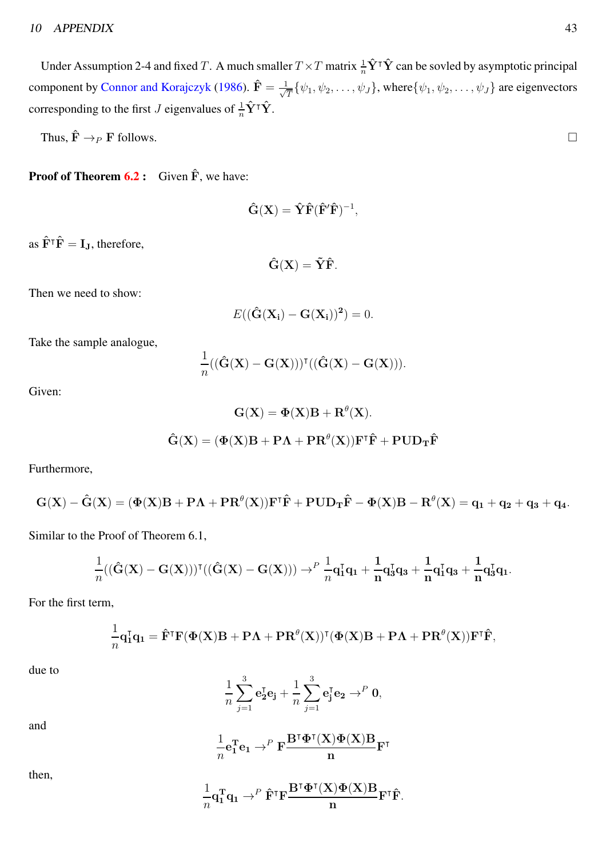Under Assumption 2-4 and fixed T. A much smaller  $T \times T$  matrix  $\frac{1}{n} \hat{Y}^\intercal \hat{Y}$  can be sovled by asymptotic principal component by [Connor and Korajczyk](#page-47-14) [\(1986](#page-47-14)).  $\hat{\mathbf{F}} = \frac{1}{\sqrt{2}}$  $\frac{1}{T} \{\psi_1, \psi_2, \dots, \psi_J\}$ , where $\{\psi_1, \psi_2, \dots, \psi_J\}$  are eigenvectors corresponding to the first *J* eigenvalues of  $\frac{1}{n}\hat{\mathbf{Y}}^{\intercal}\hat{\mathbf{Y}}$ .

Thus,  $\hat{\mathbf{F}} \to_P \mathbf{F}$  follows.

**Proof of Theorem [6.2](#page-16-1):** Given  $\hat{F}$ , we have:

$$
\mathbf{\hat{G}}(\mathbf{X}) = \mathbf{\hat{Y}} \mathbf{\hat{F}} (\mathbf{\hat{F}'} \mathbf{\hat{F}})^{-1},
$$

as  $\hat{\mathbf{F}}^{\dagger} \hat{\mathbf{F}} = \mathbf{I}_{\mathbf{J}}$ , therefore,

$$
\hat{\mathbf{G}}(\mathbf{X}) = \tilde{\mathbf{Y}} \hat{\mathbf{F}}.
$$

Then we need to show:

$$
E((\hat{\mathbf{G}}(\mathbf{X_i}) - \mathbf{G}(\mathbf{X_i}))^2) = 0.
$$

Take the sample analogue,

$$
\frac{1}{n}((\mathbf{\hat{G}}(\mathbf{X})-\mathbf{G}(\mathbf{X})))^{\intercal}((\mathbf{\hat{G}}(\mathbf{X})-\mathbf{G}(\mathbf{X}))).
$$

Given:

$$
G(X) = \Phi(X)B + R^{\theta}(X).
$$
  

$$
\hat{G}(X) = (\Phi(X)B + P\Lambda + PR^{\theta}(X))F^{\dagger}\hat{F} + PUD_{T}\hat{F}
$$

Furthermore,

$$
\mathbf{G}(\mathbf{X})-\hat{\mathbf{G}}(\mathbf{X})=(\Phi(\mathbf{X})\mathbf{B}+\mathbf{P}\boldsymbol{\Lambda}+\mathbf{P}\mathbf{R}^\theta(\mathbf{X}))\mathbf{F}^\intercal\hat{\mathbf{F}}+\mathbf{P}\mathbf{U}\mathbf{D}_\mathbf{T}\hat{\mathbf{F}}-\Phi(\mathbf{X})\mathbf{B}-\mathbf{R}^\theta(\mathbf{X})=\mathbf{q}_1+\mathbf{q}_2+\mathbf{q}_3+\mathbf{q}_4.
$$

Similar to the Proof of Theorem 6.1,

$$
\frac{1}{n}((\hat{G}(X)-G(X)))^{\intercal}((\hat{G}(X)-G(X))) \to^{P} \frac{1}{n}q_{1}^{\intercal}q_{1} + \frac{1}{n}q_{3}^{\intercal}q_{3} + \frac{1}{n}q_{1}^{\intercal}q_{3} + \frac{1}{n}q_{3}^{\intercal}q_{1}.
$$

For the first term,

$$
\frac{1}{n}\mathbf{q}_1^{\mathsf{T}}\mathbf{q}_1 = \mathbf{\hat{F}}^{\mathsf{T}}\mathbf{F}(\Phi(\mathbf{X})\mathbf{B} + \mathbf{P}\mathbf{\Lambda} + \mathbf{P}\mathbf{R}^{\theta}(\mathbf{X}))^{\mathsf{T}}(\Phi(\mathbf{X})\mathbf{B} + \mathbf{P}\mathbf{\Lambda} + \mathbf{P}\mathbf{R}^{\theta}(\mathbf{X}))\mathbf{F}^{\mathsf{T}}\mathbf{\hat{F}},
$$

due to

$$
\frac{1}{n}\sum_{j=1}^3{\mathbf e}_2^{\intercal}{\mathbf e}_j+\frac{1}{n}\sum_{j=1}^3{\mathbf e}_j^{\intercal}{\mathbf e}_2\to^P{\mathbf 0},
$$

and

$$
\frac{1}{n}{\bf e}_1^T{\bf e}_1\rightarrow^P {\bf F}\frac{{\bf B}^{\intercal}\pmb{\Phi}^{\intercal}({\bf X})\pmb{\Phi}({\bf X}){\bf B}}{n}{\bf F}^{\intercal}
$$

then,

$$
\frac{1}{n}\mathbf{q}_1^{\rm T}\mathbf{q}_1 \rightarrow^{P} \hat{\mathbf{F}}^{\rm T}\mathbf{F}\frac{\mathbf{B}^{\rm T}\pmb{\Phi}^{\rm T}(\mathbf{X})\pmb{\Phi}(\mathbf{X})\mathbf{B}}{\mathbf{n}}\mathbf{F}^{\rm T}\hat{\mathbf{F}}.
$$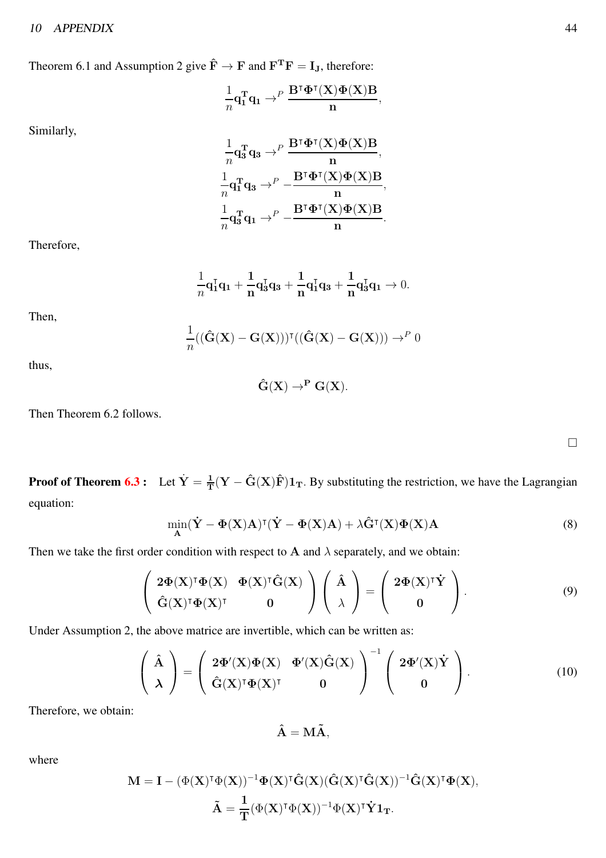Theorem 6.1 and Assumption 2 give  $\hat{F} \to F$  and  $F^T F = I_J$ , therefore:

$$
\frac{1}{n} \mathbf{q}_1^T \mathbf{q}_1 \rightarrow^P \frac{\mathbf{B}^{\intercal} \pmb{\Phi}^{\intercal}(\mathbf{X}) \pmb{\Phi}(\mathbf{X}) \mathbf{B}}{n},
$$

Similarly,

$$
\frac{1}{n}\mathbf{q}_3^{\mathrm{T}}\mathbf{q}_3 \rightarrow^{P} \frac{\mathbf{B}^{\mathrm{T}}\Phi^{\mathrm{T}}(\mathbf{X})\Phi(\mathbf{X})\mathbf{B}}{n}, \\ \frac{1}{n}\mathbf{q}_1^{\mathrm{T}}\mathbf{q}_3 \rightarrow^{P} - \frac{\mathbf{B}^{\mathrm{T}}\Phi^{\mathrm{T}}(\mathbf{X})\Phi(\mathbf{X})\mathbf{B}}{n}, \\ \frac{1}{n}\mathbf{q}_3^{\mathrm{T}}\mathbf{q}_1 \rightarrow^{P} - \frac{\mathbf{B}^{\mathrm{T}}\Phi^{\mathrm{T}}(\mathbf{X})\Phi(\mathbf{X})\mathbf{B}}{n}.
$$

Therefore,

$$
\frac{1}{n}\mathbf{q}_1^{\mathsf{T}}\mathbf{q}_1 + \frac{1}{n}\mathbf{q}_3^{\mathsf{T}}\mathbf{q}_3 + \frac{1}{n}\mathbf{q}_1^{\mathsf{T}}\mathbf{q}_3 + \frac{1}{n}\mathbf{q}_3^{\mathsf{T}}\mathbf{q}_1 \to 0.
$$

Then,

$$
\frac{1}{n}((\mathbf{\hat{G}}(\mathbf{X}) - \mathbf{G}(\mathbf{X})))^{\mathsf{T}}((\mathbf{\hat{G}}(\mathbf{X}) - \mathbf{G}(\mathbf{X}))) \rightarrow^{P} 0
$$

thus,

$$
\hat{\mathbf{G}}(\mathbf{X}) \to^{\mathbf{P}} \mathbf{G}(\mathbf{X}).
$$

Then Theorem 6.2 follows.

**Proof of Theorem [6.3](#page-16-2):** Let  $\dot{Y} = \frac{1}{T}$  $\frac{1}{T} (Y - \hat{G}(X)\hat{F}) \mathbb{1}_T$ . By substituting the restriction, we have the Lagrangian equation:

$$
\min_{\mathbf{A}} (\dot{\mathbf{Y}} - \mathbf{\Phi}(\mathbf{X})\mathbf{A})^{\mathsf{T}} (\dot{\mathbf{Y}} - \mathbf{\Phi}(\mathbf{X})\mathbf{A}) + \lambda \hat{\mathbf{G}}^{\mathsf{T}}(\mathbf{X}) \mathbf{\Phi}(\mathbf{X})\mathbf{A}
$$
(8)

Then we take the first order condition with respect to A and  $\lambda$  separately, and we obtain:

$$
\begin{pmatrix} 2\Phi(X)^{\dagger}\Phi(X) & \Phi(X)^{\dagger}\hat{G}(X) \\ \hat{G}(X)^{\dagger}\Phi(X)^{\dagger} & 0 \end{pmatrix} \begin{pmatrix} \hat{A} \\ \lambda \end{pmatrix} = \begin{pmatrix} 2\Phi(X)^{\dagger}\dot{Y} \\ 0 \end{pmatrix}.
$$
 (9)

Under Assumption 2, the above matrice are invertible, which can be written as:

$$
\begin{pmatrix}\n\hat{\mathbf{A}} \\
\lambda\n\end{pmatrix} = \begin{pmatrix}\n2\Phi'(X)\Phi(X) & \Phi'(X)\hat{\mathbf{G}}(X) \\
\hat{\mathbf{G}}(X)^{\dagger}\Phi(X)^{\dagger} & 0\n\end{pmatrix}^{-1} \begin{pmatrix}\n2\Phi'(X)\dot{Y} \\
0\n\end{pmatrix}.
$$
\n(10)

Therefore, we obtain:

$$
\mathbf{\hat{A}} = \mathbf{M}\mathbf{\tilde{A}},
$$

where

$$
\begin{aligned} \mathbf{M} &= \mathbf{I} - (\Phi(\mathbf{X})^{\intercal}\Phi(\mathbf{X}))^{-1}\Phi(\mathbf{X})^{\intercal}\hat{\mathbf{G}}(\mathbf{X})(\hat{\mathbf{G}}(\mathbf{X})^{\intercal}\hat{\mathbf{G}}(\mathbf{X}))^{-1}\hat{\mathbf{G}}(\mathbf{X})^{\intercal}\Phi(\mathbf{X}), \\ \tilde{\mathbf{A}} &= \frac{1}{T}(\Phi(\mathbf{X})^{\intercal}\Phi(\mathbf{X}))^{-1}\Phi(\mathbf{X})^{\intercal}\dot{\mathbf{Y}}\mathbf{1}_T. \end{aligned}
$$

 $\Box$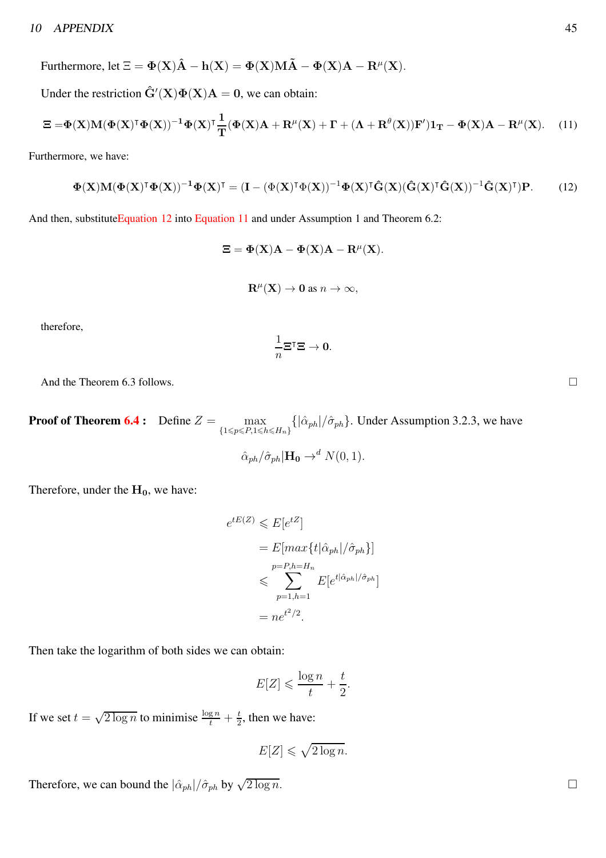Furthermore, let  $\Xi = \Phi(\mathbf{X})\hat{\mathbf{A}} - \mathbf{h}(\mathbf{X}) = \Phi(\mathbf{X})\mathbf{M}\tilde{\mathbf{A}} - \Phi(\mathbf{X})\mathbf{A} - \mathbf{R}^{\mu}(\mathbf{X})$ .

Under the restriction  $\hat{G}'(X)\Phi(X)A = 0$ , we can obtain:

<span id="page-45-1"></span>
$$
\Xi = \Phi(\mathbf{X})\mathbf{M}(\Phi(\mathbf{X})^{\mathsf{T}}\Phi(\mathbf{X}))^{-1}\Phi(\mathbf{X})\mathbf{I}\frac{1}{\mathbf{T}}(\Phi(\mathbf{X})\mathbf{A} + \mathbf{R}^{\mu}(\mathbf{X}) + \mathbf{\Gamma} + (\mathbf{\Lambda} + \mathbf{R}^{\theta}(\mathbf{X}))\mathbf{F}')\mathbf{1}_{\mathbf{T}} - \Phi(\mathbf{X})\mathbf{A} - \mathbf{R}^{\mu}(\mathbf{X}).
$$
 (11)

Furthermore, we have:

<span id="page-45-0"></span>
$$
\Phi(\mathbf{X})\mathbf{M}(\Phi(\mathbf{X})^{\intercal}\Phi(\mathbf{X}))^{-1}\Phi(\mathbf{X})^{\intercal} = (\mathbf{I} - (\Phi(\mathbf{X})^{\intercal}\Phi(\mathbf{X}))^{-1}\Phi(\mathbf{X})^{\intercal}\hat{\mathbf{G}}(\mathbf{X})(\hat{\mathbf{G}}(\mathbf{X})^{\intercal}\hat{\mathbf{G}}(\mathbf{X}))^{-1}\hat{\mathbf{G}}(\mathbf{X})^{\intercal})\mathbf{P}.
$$
 (12)

And then, substitute Equation 12 into [Equation 11](#page-45-1) and under Assumption 1 and Theorem 6.2:

$$
\Xi = \Phi(X)A - \Phi(X)A - R^{\mu}(X).
$$
  

$$
R^{\mu}(X) \to 0 \text{ as } n \to \infty,
$$

therefore,

$$
\frac{1}{n}\Xi^{\mathsf{T}}\Xi\to 0.
$$

And the Theorem 6.3 follows.

**Proof of Theorem [6.4](#page-16-3) :** Define  $Z = \max$  $\max_{\{1 \le p \le P, 1 \le h \le H_n\}} {\left\{ |\hat{\alpha}_{ph}| / \hat{\sigma}_{ph} \right\}}$ . Under Assumption 3.2.3, we have  $\hat{\alpha}_{ph}/\hat{\sigma}_{ph}|\mathbf{H_0} \rightarrow^d N(0, 1).$ 

Therefore, under the  $H_0$ , we have:

$$
e^{tE(Z)} \leqslant E[e^{tZ}]
$$
  
= 
$$
E[\max\{t|\hat{\alpha}_{ph}|/\hat{\sigma}_{ph}\}]
$$
  

$$
\leqslant \sum_{p=1,h=1}^{p=P,h=H_n} E[e^{t|\hat{\alpha}_{ph}|/\hat{\sigma}_{ph}}]
$$
  
= 
$$
n e^{t^2/2}.
$$

Then take the logarithm of both sides we can obtain:

$$
E[Z] \leqslant \frac{\log n}{t} + \frac{t}{2}.
$$

If we set  $t = \sqrt{2 \log n}$  to minimise  $\frac{\log n}{t} + \frac{t}{2}$  $\frac{t}{2}$ , then we have:

$$
E[Z] \leqslant \sqrt{2 \log n}.
$$

Therefore, we can bound the  $|\hat{\alpha}_{ph}|/\hat{\sigma}_{ph}$  by  $\sqrt{2 \log n}$ .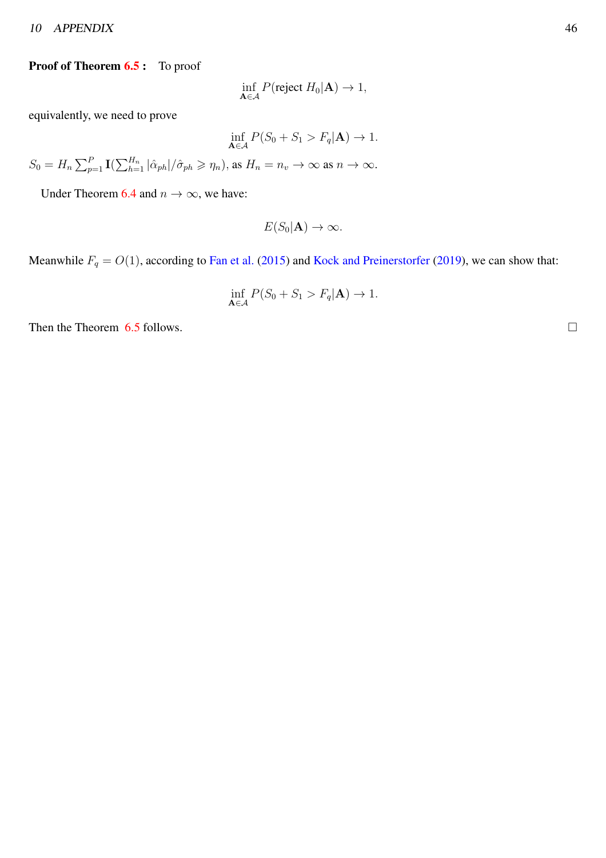#### <sup>10</sup> APPENDIX 46

#### Proof of Theorem [6.5](#page-16-4): To proof

$$
\inf_{\mathbf{A}\in\mathcal{A}} P(\text{reject } H_0|\mathbf{A}) \to 1,
$$

equivalently, we need to prove

$$
\inf_{\mathbf{A}\in\mathcal{A}} P(S_0 + S_1 > F_q|\mathbf{A}) \to 1.
$$

 $S_0 = H_n \sum_{p=1}^P \mathbf{I}(\sum_{h=1}^{H_n} |\hat{\alpha}_{ph}|/\hat{\sigma}_{ph} \geqslant \eta_n),$  as  $H_n = n_v \to \infty$  as  $n \to \infty$ .

Under Theorem [6.4](#page-16-3) and  $n \to \infty$ , we have:

$$
E(S_0|\mathbf{A}) \to \infty.
$$

Meanwhile  $F_q = O(1)$ , according to [Fan et al.](#page-47-6) [\(2015\)](#page-47-6) and [Kock and Preinerstorfer](#page-48-6) [\(2019](#page-48-6)), we can show that:

$$
\inf_{\mathbf{A}\in\mathcal{A}} P(S_0 + S_1 > F_q|\mathbf{A}) \to 1.
$$

Then the Theorem  $6.5$  follows.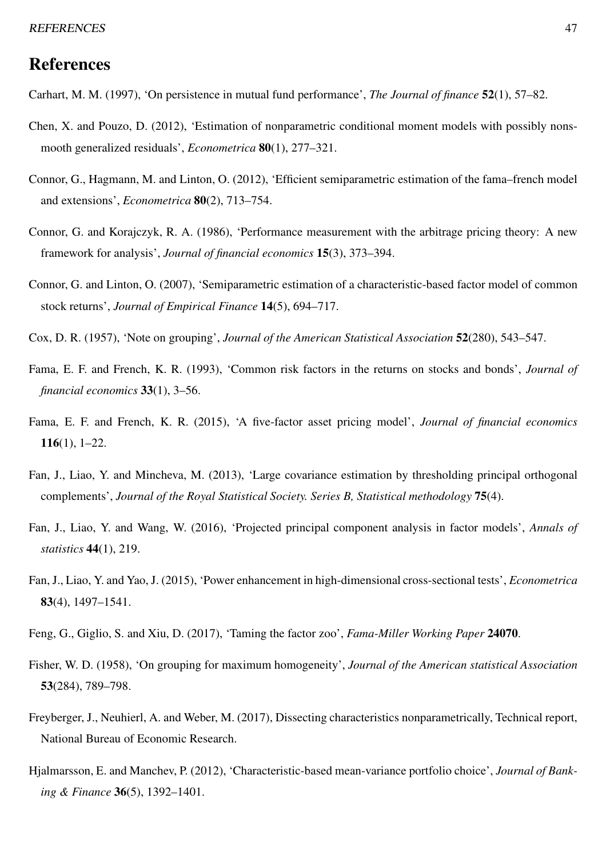# References

- <span id="page-47-2"></span>Carhart, M. M. (1997), 'On persistence in mutual fund performance', *The Journal of finance* 52(1), 57–82.
- <span id="page-47-10"></span>Chen, X. and Pouzo, D. (2012), 'Estimation of nonparametric conditional moment models with possibly nonsmooth generalized residuals', *Econometrica* 80(1), 277–321.
- <span id="page-47-8"></span>Connor, G., Hagmann, M. and Linton, O. (2012), 'Efficient semiparametric estimation of the fama–french model and extensions', *Econometrica* 80(2), 713–754.
- <span id="page-47-14"></span>Connor, G. and Korajczyk, R. A. (1986), 'Performance measurement with the arbitrage pricing theory: A new framework for analysis', *Journal of financial economics* 15(3), 373–394.
- <span id="page-47-7"></span>Connor, G. and Linton, O. (2007), 'Semiparametric estimation of a characteristic-based factor model of common stock returns', *Journal of Empirical Finance* 14(5), 694–717.
- <span id="page-47-12"></span>Cox, D. R. (1957), 'Note on grouping', *Journal of the American Statistical Association* 52(280), 543–547.
- <span id="page-47-0"></span>Fama, E. F. and French, K. R. (1993), 'Common risk factors in the returns on stocks and bonds', *Journal of financial economics* 33(1), 3–56.
- <span id="page-47-1"></span>Fama, E. F. and French, K. R. (2015), 'A five-factor asset pricing model', *Journal of financial economics* 116(1), 1–22.
- <span id="page-47-11"></span>Fan, J., Liao, Y. and Mincheva, M. (2013), 'Large covariance estimation by thresholding principal orthogonal complements', *Journal of the Royal Statistical Society. Series B, Statistical methodology* 75(4).
- <span id="page-47-9"></span>Fan, J., Liao, Y. and Wang, W. (2016), 'Projected principal component analysis in factor models', *Annals of statistics* 44(1), 219.
- <span id="page-47-6"></span>Fan, J., Liao, Y. and Yao, J. (2015), 'Power enhancement in high-dimensional cross-sectional tests', *Econometrica* 83(4), 1497–1541.
- <span id="page-47-3"></span>Feng, G., Giglio, S. and Xiu, D. (2017), 'Taming the factor zoo', *Fama-Miller Working Paper* 24070.
- <span id="page-47-13"></span>Fisher, W. D. (1958), 'On grouping for maximum homogeneity', *Journal of the American statistical Association* 53(284), 789–798.
- <span id="page-47-4"></span>Freyberger, J., Neuhierl, A. and Weber, M. (2017), Dissecting characteristics nonparametrically, Technical report, National Bureau of Economic Research.
- <span id="page-47-5"></span>Hjalmarsson, E. and Manchev, P. (2012), 'Characteristic-based mean-variance portfolio choice', *Journal of Banking & Finance* 36(5), 1392–1401.